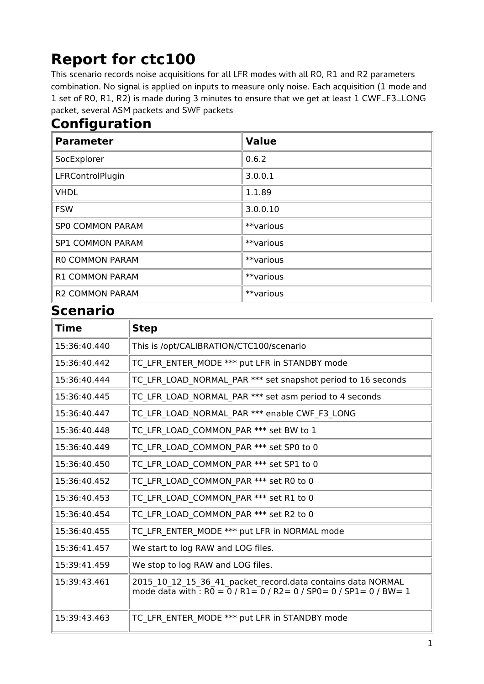## **Report for ctc100**

This scenario records noise acquisitions for all LFR modes with all RO, R1 and R2 parameters combination. No signal is applied on inputs to measure only noise. Each acquisition (1 mode and 1 set of R0, R1, R2) is made during 3 minutes to ensure thatwe get at least 1 CWF\_F3\_LONG packet, several ASM packets and SWF packets

## **Configuration**

| <b>Parameter</b>        | <b>Value</b> |
|-------------------------|--------------|
| SocExplorer             | 0.6.2        |
| LFRControlPlugin        | 3.0.0.1      |
| <b>VHDL</b>             | 1.1.89       |
| <b>FSW</b>              | 3.0.0.10     |
| <b>SPO COMMON PARAM</b> | **various    |
| <b>SP1 COMMON PARAM</b> | **various    |
| <b>RO COMMON PARAM</b>  | **various    |
| R1 COMMON PARAM         | **various    |
| <b>R2 COMMON PARAM</b>  | **various    |

## **Scenario**

| <b>Time</b>  | <b>Step</b>                                                                                                                                       |
|--------------|---------------------------------------------------------------------------------------------------------------------------------------------------|
| 15:36:40.440 | This is /opt/CALIBRATION/CTC100/scenario                                                                                                          |
| 15:36:40.442 | TC LFR ENTER MODE *** put LFR in STANDBY mode                                                                                                     |
| 15:36:40.444 | TC LFR LOAD NORMAL PAR *** set snapshot period to 16 seconds                                                                                      |
| 15:36:40.445 | TC LFR LOAD NORMAL PAR *** set asm period to 4 seconds                                                                                            |
| 15:36:40.447 | TC_LFR_LOAD_NORMAL_PAR *** enable CWF_F3_LONG                                                                                                     |
| 15:36:40.448 | TC_LFR_LOAD_COMMON_PAR *** set BW to 1                                                                                                            |
| 15:36:40.449 | TC_LFR_LOAD_COMMON_PAR *** set SP0 to 0                                                                                                           |
| 15:36:40.450 | TC_LFR_LOAD_COMMON_PAR *** set SP1 to 0                                                                                                           |
| 15:36:40.452 | TC_LFR_LOAD_COMMON_PAR *** set R0 to 0                                                                                                            |
| 15:36:40.453 | TC_LFR_LOAD_COMMON_PAR *** set R1 to 0                                                                                                            |
| 15:36:40.454 | TC LFR LOAD COMMON PAR *** set R2 to 0                                                                                                            |
| 15:36:40.455 | TC LFR ENTER MODE *** put LFR in NORMAL mode                                                                                                      |
| 15:36:41.457 | We start to log RAW and LOG files.                                                                                                                |
| 15:39:41.459 | We stop to log RAW and LOG files.                                                                                                                 |
| 15:39:43.461 | 2015_10_12_15_36_41_packet_record.data contains data NORMAL<br>mode data with : $R0 = 0$ / $R1 = 0$ / $R2 = 0$ / $SP0 = 0$ / $SP1 = 0$ / $BW = 1$ |
| 15:39:43.463 | TC LFR ENTER MODE *** put LFR in STANDBY mode                                                                                                     |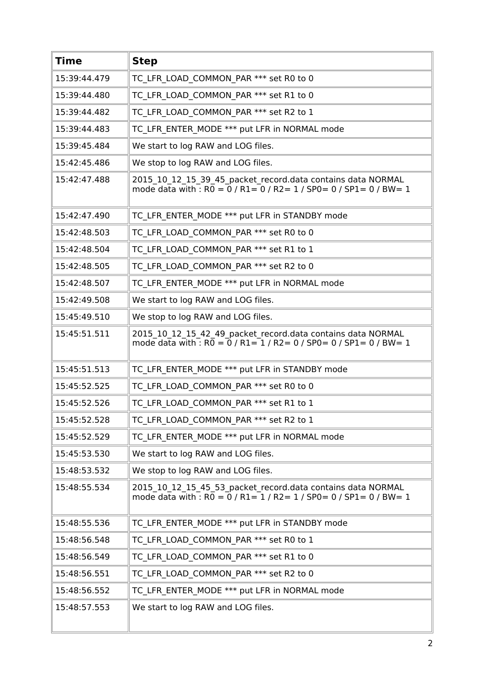| <b>Time</b>  | <b>Step</b>                                                                                                                                       |
|--------------|---------------------------------------------------------------------------------------------------------------------------------------------------|
| 15:39:44.479 | TC_LFR_LOAD_COMMON_PAR *** set R0 to 0                                                                                                            |
| 15:39:44.480 | TC LFR LOAD COMMON PAR *** set R1 to 0                                                                                                            |
| 15:39:44.482 | TC LFR LOAD COMMON PAR *** set R2 to 1                                                                                                            |
| 15:39:44.483 | TC LFR ENTER MODE *** put LFR in NORMAL mode                                                                                                      |
| 15:39:45.484 | We start to log RAW and LOG files.                                                                                                                |
| 15:42:45.486 | We stop to log RAW and LOG files.                                                                                                                 |
| 15:42:47.488 | 2015_10_12_15_39_45_packet_record.data contains data NORMAL<br>mode data with : $R0 = 0$ / $R1 = 0$ / $R2 = 1$ / $SP0 = 0$ / $SP1 = 0$ / $BW = 1$ |
| 15:42:47.490 | TC LFR ENTER MODE *** put LFR in STANDBY mode                                                                                                     |
| 15:42:48.503 | TC LFR LOAD COMMON PAR *** set R0 to 0                                                                                                            |
| 15:42:48.504 | TC LFR LOAD_COMMON_PAR *** set R1 to 1                                                                                                            |
| 15:42:48.505 | TC LFR LOAD COMMON PAR *** set R2 to 0                                                                                                            |
| 15:42:48.507 | TC LFR ENTER MODE *** put LFR in NORMAL mode                                                                                                      |
| 15:42:49.508 | We start to log RAW and LOG files.                                                                                                                |
| 15:45:49.510 | We stop to log RAW and LOG files.                                                                                                                 |
| 15:45:51.511 | 2015_10_12_15_42_49_packet_record.data contains data NORMAL<br>mode data with : $R0 = 0$ / $R1 = 1$ / $R2 = 0$ / $SP0 = 0$ / $SP1 = 0$ / $BW = 1$ |
| 15:45:51.513 | TC LFR ENTER MODE *** put LFR in STANDBY mode                                                                                                     |
| 15:45:52.525 | TC LFR LOAD COMMON PAR *** set R0 to 0                                                                                                            |
| 15:45:52.526 | TC LFR LOAD COMMON PAR *** set R1 to 1                                                                                                            |
| 15:45:52.528 | TC LFR LOAD COMMON PAR *** set R2 to 1                                                                                                            |
| 15:45:52.529 | TC LFR ENTER MODE *** put LFR in NORMAL mode                                                                                                      |
| 15:45:53.530 | We start to log RAW and LOG files.                                                                                                                |
| 15:48:53.532 | We stop to log RAW and LOG files.                                                                                                                 |
| 15:48:55.534 | 2015_10_12_15_45_53_packet_record.data contains data NORMAL<br>mode data with : $R0 = 0$ / $R1 = 1$ / $R2 = 1$ / $SP0 = 0$ / $SP1 = 0$ / $BW = 1$ |
| 15:48:55.536 | TC LFR ENTER MODE *** put LFR in STANDBY mode                                                                                                     |
| 15:48:56.548 | TC LFR LOAD COMMON PAR *** set R0 to 1                                                                                                            |
| 15:48:56.549 | TC LFR LOAD COMMON PAR *** set R1 to 0                                                                                                            |
| 15:48:56.551 | TC LFR LOAD COMMON PAR *** set R2 to 0                                                                                                            |
| 15:48:56.552 | TC LFR ENTER MODE *** put LFR in NORMAL mode                                                                                                      |
| 15:48:57.553 | We start to log RAW and LOG files.                                                                                                                |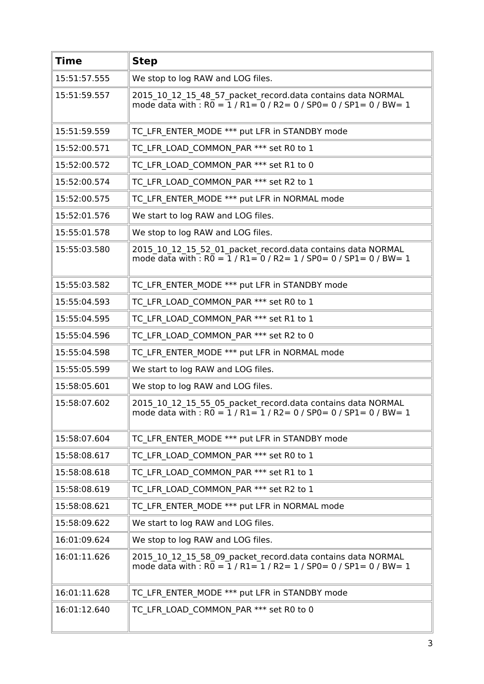| <b>Time</b>  | <b>Step</b>                                                                                                                                                                        |
|--------------|------------------------------------------------------------------------------------------------------------------------------------------------------------------------------------|
| 15:51:57.555 | We stop to log RAW and LOG files.                                                                                                                                                  |
| 15:51:59.557 | 2015 10 12 15 48 57 packet record.data contains data NORMAL<br>mode data with : $R0 = 1 / R1 = 0 / R2 = 0 / SPO = 0 / SPI = 0 / BW = 1$                                            |
| 15:51:59.559 | TC LFR ENTER MODE *** put LFR in STANDBY mode                                                                                                                                      |
| 15:52:00.571 | TC LFR LOAD COMMON PAR *** set R0 to 1                                                                                                                                             |
| 15:52:00.572 | TC LFR LOAD COMMON PAR *** set R1 to 0                                                                                                                                             |
| 15:52:00.574 | TC LFR LOAD COMMON PAR *** set R2 to 1                                                                                                                                             |
| 15:52:00.575 | TC LFR ENTER MODE *** put LFR in NORMAL mode                                                                                                                                       |
| 15:52:01.576 | We start to log RAW and LOG files.                                                                                                                                                 |
| 15:55:01.578 | We stop to log RAW and LOG files.                                                                                                                                                  |
| 15:55:03.580 | 2015_10_12_15_52_01_packet_record.data contains data NORMAL<br>mode data with : $R\overline{0} = \overline{1}$ / $R1 = \overline{0}$ / $R2 = 1$ / $SP0 = 0$ / $SP1 = 0$ / $BW = 1$ |
| 15:55:03.582 | TC LFR ENTER MODE *** put LFR in STANDBY mode                                                                                                                                      |
| 15:55:04.593 | TC LFR LOAD COMMON PAR *** set R0 to 1                                                                                                                                             |
| 15:55:04.595 | TC LFR LOAD_COMMON_PAR *** set R1 to 1                                                                                                                                             |
| 15:55:04.596 | TC LFR LOAD COMMON PAR *** set R2 to 0                                                                                                                                             |
| 15:55:04.598 | TC LFR ENTER MODE *** put LFR in NORMAL mode                                                                                                                                       |
| 15:55:05.599 | We start to log RAW and LOG files.                                                                                                                                                 |
| 15:58:05.601 | We stop to log RAW and LOG files.                                                                                                                                                  |
| 15:58:07.602 | 2015 10 12 15 55 05 packet record.data contains data NORMAL<br>mode data with : $R0 = 1 / R1 = 1 / R2 = 0 / SPO = 0 / SPI = 0 / BW = 1$                                            |
| 15:58:07.604 | TC LFR ENTER MODE *** put LFR in STANDBY mode                                                                                                                                      |
| 15:58:08.617 | TC LFR LOAD COMMON PAR *** set R0 to 1                                                                                                                                             |
| 15:58:08.618 | TC LFR LOAD COMMON PAR *** set R1 to 1                                                                                                                                             |
| 15:58:08.619 | TC_LFR_LOAD_COMMON_PAR *** set R2 to 1                                                                                                                                             |
| 15:58:08.621 | TC LFR ENTER MODE *** put LFR in NORMAL mode                                                                                                                                       |
| 15:58:09.622 | We start to log RAW and LOG files.                                                                                                                                                 |
| 16:01:09.624 | We stop to log RAW and LOG files.                                                                                                                                                  |
| 16:01:11.626 | 2015_10_12_15_58_09_packet_record.data contains data NORMAL<br>mode data with : $R0 = 1 / R1 = 1 / R2 = 1 / SPO = 0 / SPI = 0 / BW = 1$                                            |
| 16:01:11.628 | TC LFR ENTER MODE *** put LFR in STANDBY mode                                                                                                                                      |
| 16:01:12.640 | TC LFR LOAD COMMON PAR *** set R0 to 0                                                                                                                                             |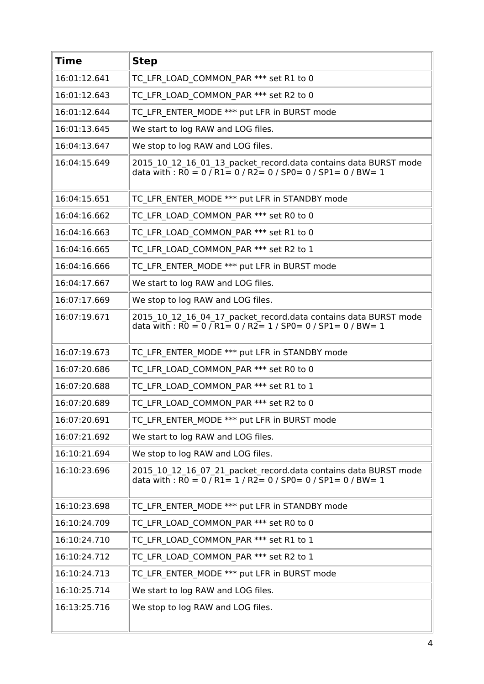| <b>Time</b>  | <b>Step</b>                                                                                                                                                                      |
|--------------|----------------------------------------------------------------------------------------------------------------------------------------------------------------------------------|
| 16:01:12.641 | TC LFR LOAD COMMON PAR *** set R1 to 0                                                                                                                                           |
| 16:01:12.643 | TC LFR LOAD COMMON PAR *** set R2 to 0                                                                                                                                           |
| 16:01:12.644 | TC LFR ENTER MODE *** put LFR in BURST mode                                                                                                                                      |
| 16:01:13.645 | We start to log RAW and LOG files.                                                                                                                                               |
| 16:04:13.647 | We stop to log RAW and LOG files.                                                                                                                                                |
| 16:04:15.649 | 2015_10_12_16_01_13_packet_record.data contains data BURST mode<br>data with : R0 = 0 / R1= 0 / R2= 0 / SP0= 0 / SP1= 0 / BW= 1                                                  |
| 16:04:15.651 | TC LFR ENTER MODE *** put LFR in STANDBY mode                                                                                                                                    |
| 16:04:16.662 | TC LFR LOAD COMMON PAR *** set R0 to 0                                                                                                                                           |
| 16:04:16.663 | TC LFR LOAD COMMON PAR *** set R1 to 0                                                                                                                                           |
| 16:04:16.665 | TC LFR LOAD COMMON PAR *** set R2 to 1                                                                                                                                           |
| 16:04:16.666 | TC LFR ENTER MODE *** put LFR in BURST mode                                                                                                                                      |
| 16:04:17.667 | We start to log RAW and LOG files.                                                                                                                                               |
| 16:07:17.669 | We stop to log RAW and LOG files.                                                                                                                                                |
| 16:07:19.671 | 2015 10 12 16 04 17 packet record.data contains data BURST mode<br>data with: $\overline{RO} = 0$ / $\overline{R1} = 0$ / $\overline{R2} = 1$ / $SP0 = 0$ / $SP1 = 0$ / $BW = 1$ |
| 16:07:19.673 | TC LFR ENTER MODE *** put LFR in STANDBY mode                                                                                                                                    |
| 16:07:20.686 | TC LFR LOAD COMMON PAR *** set R0 to 0                                                                                                                                           |
| 16:07:20.688 | TC LFR LOAD COMMON PAR *** set R1 to 1                                                                                                                                           |
| 16:07:20.689 | TC LFR LOAD COMMON PAR *** set R2 to 0                                                                                                                                           |
| 16:07:20.691 | TC LFR ENTER MODE *** put LFR in BURST mode                                                                                                                                      |
| 16:07:21.692 | We start to log RAW and LOG files.                                                                                                                                               |
| 16:10:21.694 | We stop to log RAW and LOG files.                                                                                                                                                |
| 16:10:23.696 | 2015_10_12_16_07_21_packet_record.data contains data BURST mode<br>data with : $R0 = 0 / R1 = 1 / R2 = 0 / SPO = 0 / SPL = 0 / BW = 1$                                           |
| 16:10:23.698 | TC LFR ENTER MODE *** put LFR in STANDBY mode                                                                                                                                    |
| 16:10:24.709 | TC LFR LOAD COMMON PAR *** set R0 to 0                                                                                                                                           |
| 16:10:24.710 | TC LFR LOAD COMMON PAR *** set R1 to 1                                                                                                                                           |
| 16:10:24.712 | TC LFR LOAD COMMON PAR *** set R2 to 1                                                                                                                                           |
| 16:10:24.713 | TC LFR ENTER MODE *** put LFR in BURST mode                                                                                                                                      |
| 16:10:25.714 | We start to log RAW and LOG files.                                                                                                                                               |
| 16:13:25.716 | We stop to log RAW and LOG files.                                                                                                                                                |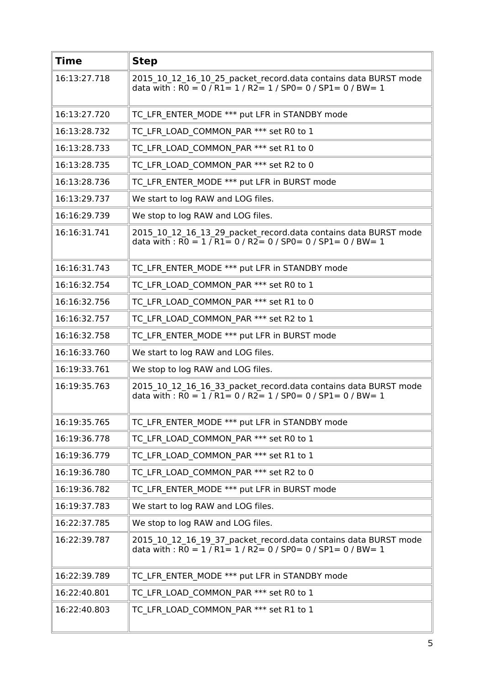| <b>Time</b>  | <b>Step</b>                                                                                                                                                                                              |
|--------------|----------------------------------------------------------------------------------------------------------------------------------------------------------------------------------------------------------|
| 16:13:27.718 | 2015_10_12_16_10_25_packet_record.data contains data BURST mode<br>data with : $R0 = 0$ / $R1 = 1$ / $R2 = 1$ / $SP0 = 0$ / $SP1 = 0$ / $BW = 1$                                                         |
| 16:13:27.720 | TC LFR ENTER MODE *** put LFR in STANDBY mode                                                                                                                                                            |
| 16:13:28.732 | TC LFR LOAD COMMON PAR *** set R0 to 1                                                                                                                                                                   |
| 16:13:28.733 | TC LFR LOAD COMMON PAR *** set R1 to 0                                                                                                                                                                   |
| 16:13:28.735 | TC LFR LOAD COMMON PAR *** set R2 to 0                                                                                                                                                                   |
| 16:13:28.736 | TC LFR ENTER MODE *** put LFR in BURST mode                                                                                                                                                              |
| 16:13:29.737 | We start to log RAW and LOG files.                                                                                                                                                                       |
| 16:16:29.739 | We stop to log RAW and LOG files.                                                                                                                                                                        |
| 16:16:31.741 | 2015_10_12_16_13_29_packet_record.data contains data BURST mode<br>data with : $\overline{RO} = 1 / \overline{R1} = 0 / \overline{R2} = 0 / \overline{SPO} = 0 / \overline{SPI} = 0 / \overline{BW} = 1$ |
| 16:16:31.743 | TC LFR ENTER MODE *** put LFR in STANDBY mode                                                                                                                                                            |
| 16:16:32.754 | TC LFR LOAD COMMON PAR *** set R0 to 1                                                                                                                                                                   |
| 16:16:32.756 | TC_LFR_LOAD_COMMON_PAR *** set R1 to 0                                                                                                                                                                   |
| 16:16:32.757 | TC LFR LOAD COMMON PAR *** set R2 to 1                                                                                                                                                                   |
| 16:16:32.758 | TC LFR ENTER MODE *** put LFR in BURST mode                                                                                                                                                              |
| 16:16:33.760 | We start to log RAW and LOG files.                                                                                                                                                                       |
| 16:19:33.761 | We stop to log RAW and LOG files.                                                                                                                                                                        |
| 16:19:35.763 | 2015 10 12 16 16 33 packet record.data contains data BURST mode<br>data with : $\overline{RO} = 1 / \overline{R1} = 0 / \overline{R2} = 1 / \overline{SPO} = 0 / \overline{SPI} = 0 / \overline{BW} = 1$ |
| 16:19:35.765 | TC_LFR_ENTER_MODE *** put LFR in STANDBY mode                                                                                                                                                            |
| 16:19:36.778 | TC LFR LOAD COMMON PAR *** set R0 to 1                                                                                                                                                                   |
| 16:19:36.779 | TC LFR LOAD COMMON PAR *** set R1 to 1                                                                                                                                                                   |
| 16:19:36.780 | TC LFR LOAD COMMON PAR *** set R2 to 0                                                                                                                                                                   |
| 16:19:36.782 | TC LFR ENTER MODE *** put LFR in BURST mode                                                                                                                                                              |
| 16:19:37.783 | We start to log RAW and LOG files.                                                                                                                                                                       |
| 16:22:37.785 | We stop to log RAW and LOG files.                                                                                                                                                                        |
| 16:22:39.787 | 2015_10_12_16_19_37_packet_record.data contains data BURST mode<br>data with : $\overline{RO} = 1 / \overline{R1} = 1 / \overline{R2} = 0 / \overline{SPO} = 0 / \overline{SPI} = 0 / \overline{BW} = 1$ |
| 16:22:39.789 | TC LFR ENTER MODE *** put LFR in STANDBY mode                                                                                                                                                            |
| 16:22:40.801 | TC LFR LOAD COMMON PAR *** set R0 to 1                                                                                                                                                                   |
| 16:22:40.803 | TC LFR LOAD COMMON PAR *** set R1 to 1                                                                                                                                                                   |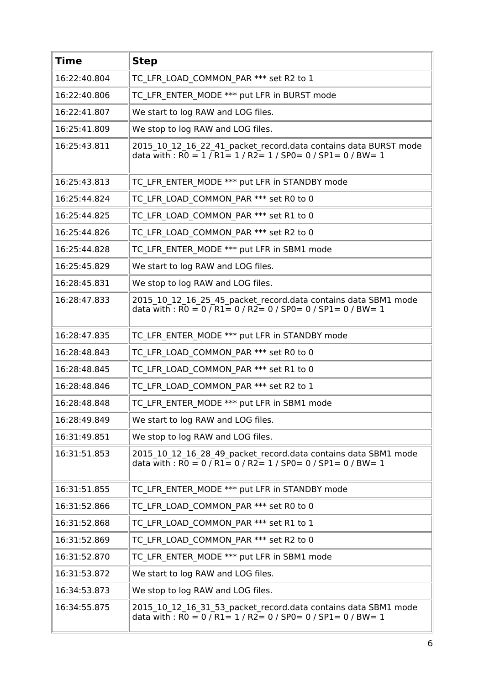| <b>Time</b>  | <b>Step</b>                                                                                                                                                                                              |
|--------------|----------------------------------------------------------------------------------------------------------------------------------------------------------------------------------------------------------|
| 16:22:40.804 | TC LFR LOAD COMMON PAR *** set R2 to 1                                                                                                                                                                   |
| 16:22:40.806 | TC LFR ENTER MODE *** put LFR in BURST mode                                                                                                                                                              |
| 16:22:41.807 | We start to log RAW and LOG files.                                                                                                                                                                       |
| 16:25:41.809 | We stop to log RAW and LOG files.                                                                                                                                                                        |
| 16:25:43.811 | 2015_10_12_16_22_41_packet_record.data contains data BURST mode<br>data with : $\overline{RO} = 1 / \overline{R1} = 1 / \overline{R2} = 1 / \overline{SPO} = 0 / \overline{SPI} = 0 / \overline{BW} = 1$ |
| 16:25:43.813 | TC LFR ENTER MODE *** put LFR in STANDBY mode                                                                                                                                                            |
| 16:25:44.824 | TC LFR LOAD COMMON PAR *** set R0 to 0                                                                                                                                                                   |
| 16:25:44.825 | TC LFR LOAD COMMON PAR *** set R1 to 0                                                                                                                                                                   |
| 16:25:44.826 | TC LFR LOAD COMMON PAR *** set R2 to 0                                                                                                                                                                   |
| 16:25:44.828 | TC_LFR_ENTER_MODE *** put LFR in SBM1 mode                                                                                                                                                               |
| 16:25:45.829 | We start to log RAW and LOG files.                                                                                                                                                                       |
| 16:28:45.831 | We stop to log RAW and LOG files.                                                                                                                                                                        |
| 16:28:47.833 | 2015_10_12_16_25_45_packet_record.data contains data SBM1 mode<br>data with : R0 = 0 / R1 = 0 / R2 = 0 / SP0 = 0 / SP1 = 0 / BW = 1                                                                      |
| 16:28:47.835 | TC LFR ENTER MODE *** put LFR in STANDBY mode                                                                                                                                                            |
| 16:28:48.843 | TC LFR LOAD COMMON PAR *** set R0 to 0                                                                                                                                                                   |
| 16:28:48.845 | TC LFR_LOAD_COMMON_PAR *** set R1 to 0                                                                                                                                                                   |
| 16:28:48.846 | TC LFR LOAD COMMON PAR *** set R2 to 1                                                                                                                                                                   |
| 16:28:48.848 | TC LFR ENTER MODE *** put LFR in SBM1 mode                                                                                                                                                               |
| 16:28:49.849 | We start to log RAW and LOG files.                                                                                                                                                                       |
| 16:31:49.851 | We stop to log RAW and LOG files.                                                                                                                                                                        |
| 16:31:51.853 | 2015 10 12 16 28 49 packet record.data contains data SBM1 mode<br>data with: $\overline{RO} = 0 / \overline{R1} = 0 / \overline{R2} = 1 / \overline{SPO} = 0 / \overline{SPI} = 0 / \overline{BW} = 1$   |
| 16:31:51.855 | TC LFR ENTER MODE *** put LFR in STANDBY mode                                                                                                                                                            |
| 16:31:52.866 | TC LFR LOAD COMMON PAR *** set R0 to 0                                                                                                                                                                   |
| 16:31:52.868 | TC LFR LOAD COMMON PAR *** set R1 to 1                                                                                                                                                                   |
| 16:31:52.869 | TC LFR LOAD COMMON PAR *** set R2 to 0                                                                                                                                                                   |
| 16:31:52.870 | TC LFR ENTER MODE *** put LFR in SBM1 mode                                                                                                                                                               |
| 16:31:53.872 | We start to log RAW and LOG files.                                                                                                                                                                       |
| 16:34:53.873 | We stop to log RAW and LOG files.                                                                                                                                                                        |
| 16:34:55.875 | 2015_10_12_16_31_53_packet_record.data contains data SBM1 mode<br>data with : $\overline{RO} = 0 / \overline{R1} = 1 / \overline{R2} = 0 / \overline{SPO} = 0 / \overline{SPI} = 0 / \overline{BW} = 1$  |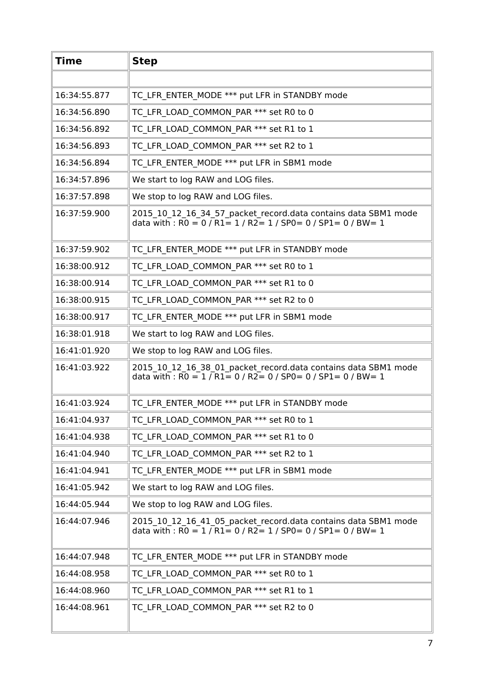| <b>Time</b>  | <b>Step</b>                                                                                                                                                                                             |
|--------------|---------------------------------------------------------------------------------------------------------------------------------------------------------------------------------------------------------|
|              |                                                                                                                                                                                                         |
| 16:34:55.877 | TC LFR ENTER MODE *** put LFR in STANDBY mode                                                                                                                                                           |
| 16:34:56.890 | TC LFR LOAD COMMON PAR *** set R0 to 0                                                                                                                                                                  |
| 16:34:56.892 | TC LFR LOAD COMMON_PAR *** set R1 to 1                                                                                                                                                                  |
| 16:34:56.893 | TC LFR LOAD COMMON PAR *** set R2 to 1                                                                                                                                                                  |
| 16:34:56.894 | TC LFR ENTER MODE *** put LFR in SBM1 mode                                                                                                                                                              |
| 16:34:57.896 | We start to log RAW and LOG files.                                                                                                                                                                      |
| 16:37:57.898 | We stop to log RAW and LOG files.                                                                                                                                                                       |
| 16:37:59.900 | 2015_10_12_16_34_57_packet_record.data contains data SBM1 mode<br>data with : R0 = 0 / R1 = 1 / R2 = 1 / SP0 = 0 / SP1 = 0 / BW = 1                                                                     |
| 16:37:59.902 | TC LFR ENTER MODE *** put LFR in STANDBY mode                                                                                                                                                           |
| 16:38:00.912 | TC LFR LOAD COMMON PAR *** set R0 to 1                                                                                                                                                                  |
| 16:38:00.914 | TC LFR LOAD COMMON_PAR *** set R1 to 0                                                                                                                                                                  |
| 16:38:00.915 | TC LFR LOAD COMMON PAR *** set R2 to 0                                                                                                                                                                  |
| 16:38:00.917 | TC LFR ENTER MODE *** put LFR in SBM1 mode                                                                                                                                                              |
| 16:38:01.918 | We start to log RAW and LOG files.                                                                                                                                                                      |
| 16:41:01.920 | We stop to log RAW and LOG files.                                                                                                                                                                       |
| 16:41:03.922 | 2015 10 12 16 38 01 packet record.data contains data SBM1 mode<br>data with : $\overline{RO} = 1 / \overline{R1} = 0 / \overline{R2} = 0 / \overline{SPO} = 0 / \overline{SPI} = 0 / \overline{BW} = 1$ |
| 16:41:03.924 | TC LFR ENTER MODE *** put LFR in STANDBY mode                                                                                                                                                           |
| 16:41:04.937 | TC LFR LOAD COMMON PAR *** set R0 to 1                                                                                                                                                                  |
| 16:41:04.938 | TC LFR LOAD COMMON PAR *** set R1 to 0                                                                                                                                                                  |
| 16:41:04.940 | TC LFR LOAD COMMON PAR *** set R2 to 1                                                                                                                                                                  |
| 16:41:04.941 | TC LFR ENTER MODE *** put LFR in SBM1 mode                                                                                                                                                              |
| 16:41:05.942 | We start to log RAW and LOG files.                                                                                                                                                                      |
| 16:44:05.944 | We stop to log RAW and LOG files.                                                                                                                                                                       |
| 16:44:07.946 | 2015 10 12 16 41 05 packet record.data contains data SBM1 mode<br>data with : $R0 = 1 / R1 = 0 / R2 = 1 / SPO = 0 / SP1 = 0 / BW = 1$                                                                   |
| 16:44:07.948 | TC LFR ENTER MODE *** put LFR in STANDBY mode                                                                                                                                                           |
| 16:44:08.958 | TC LFR LOAD COMMON PAR *** set R0 to 1                                                                                                                                                                  |
| 16:44:08.960 | TC LFR LOAD COMMON PAR *** set R1 to 1                                                                                                                                                                  |
| 16:44:08.961 | TC LFR LOAD COMMON PAR *** set R2 to 0                                                                                                                                                                  |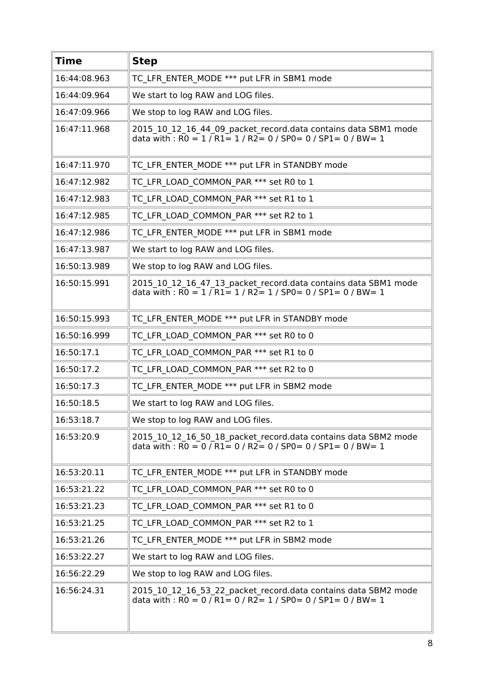| <b>Time</b>  | <b>Step</b>                                                                                                                                                                                             |
|--------------|---------------------------------------------------------------------------------------------------------------------------------------------------------------------------------------------------------|
| 16:44:08.963 | TC LFR ENTER_MODE *** put LFR in SBM1 mode                                                                                                                                                              |
| 16:44:09.964 | We start to log RAW and LOG files.                                                                                                                                                                      |
| 16:47:09.966 | We stop to log RAW and LOG files.                                                                                                                                                                       |
| 16:47:11.968 | 2015_10_12_16_44_09_packet_record.data contains data SBM1 mode<br>data with : $\overline{RO} = 1 / \overline{R1} = 1 / \overline{R2} = 0 / \overline{SPO} = 0 / \overline{SPI} = 0 / \overline{BW} = 1$ |
| 16:47:11.970 | TC LFR ENTER MODE *** put LFR in STANDBY mode                                                                                                                                                           |
| 16:47:12.982 | TC LFR LOAD COMMON PAR *** set R0 to 1                                                                                                                                                                  |
| 16:47:12.983 | TC LFR LOAD COMMON PAR *** set R1 to 1                                                                                                                                                                  |
| 16:47:12.985 | TC LFR LOAD_COMMON_PAR *** set R2 to 1                                                                                                                                                                  |
| 16:47:12.986 | TC LFR ENTER_MODE *** put LFR in SBM1 mode                                                                                                                                                              |
| 16:47:13.987 | We start to log RAW and LOG files.                                                                                                                                                                      |
| 16:50:13.989 | We stop to log RAW and LOG files.                                                                                                                                                                       |
| 16:50:15.991 | 2015 10 12 16 47 13 packet record.data contains data SBM1 mode<br>data with : $\overline{RO} = 1 / \overline{R1} = 1 / \overline{R2} = 1 / \overline{SPO} = 0 / \overline{SPI} = 0 / \overline{BW} = 1$ |
| 16:50:15.993 | TC LFR ENTER MODE *** put LFR in STANDBY mode                                                                                                                                                           |
| 16:50:16.999 | TC LFR LOAD COMMON PAR *** set R0 to 0                                                                                                                                                                  |
| 16:50:17.1   | TC LFR LOAD COMMON PAR *** set R1 to 0                                                                                                                                                                  |
| 16:50:17.2   | TC LFR LOAD COMMON PAR *** set R2 to 0                                                                                                                                                                  |
| 16:50:17.3   | TC LFR ENTER MODE *** put LFR in SBM2 mode                                                                                                                                                              |
| 16:50:18.5   | We start to log RAW and LOG files.                                                                                                                                                                      |
| 16:53:18.7   | We stop to log RAW and LOG files.                                                                                                                                                                       |
| 16:53:20.9   | 2015 10 12 16 50 18 packet record.data contains data SBM2 mode<br>data with : $R0 = 0$ / $R1 = 0$ / $R2 = 0$ / $SP0 = 0$ / $SP1 = 0$ / $BW = 1$                                                         |
| 16:53:20.11  | TC LFR ENTER MODE *** put LFR in STANDBY mode                                                                                                                                                           |
| 16:53:21.22  | TC LFR LOAD COMMON PAR *** set R0 to 0                                                                                                                                                                  |
| 16:53:21.23  | TC LFR LOAD COMMON PAR *** set R1 to 0                                                                                                                                                                  |
| 16:53:21.25  | TC LFR LOAD COMMON PAR *** set R2 to 1                                                                                                                                                                  |
| 16:53:21.26  | TC LFR ENTER MODE *** put LFR in SBM2 mode                                                                                                                                                              |
| 16:53:22.27  | We start to log RAW and LOG files.                                                                                                                                                                      |
| 16:56:22.29  | We stop to log RAW and LOG files.                                                                                                                                                                       |
| 16:56:24.31  | 2015 10 12 16 53 22 packet record.data contains data SBM2 mode<br>data with : $R0 = 0$ / $R1 = 0$ / $R2 = 1$ / $SP0 = 0$ / $SP1 = 0$ / $BW = 1$                                                         |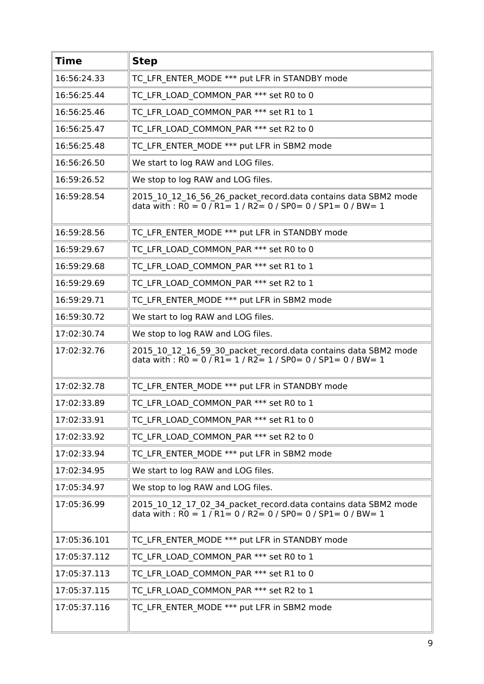| <b>Time</b>  | <b>Step</b>                                                                                                                           |
|--------------|---------------------------------------------------------------------------------------------------------------------------------------|
| 16:56:24.33  | TC LFR ENTER MODE *** put LFR in STANDBY mode                                                                                         |
| 16:56:25.44  | TC LFR LOAD COMMON PAR *** set R0 to 0                                                                                                |
| 16:56:25.46  | TC LFR LOAD COMMON PAR *** set R1 to 1                                                                                                |
| 16:56:25.47  | TC LFR LOAD COMMON PAR *** set R2 to 0                                                                                                |
| 16:56:25.48  | TC LFR ENTER MODE *** put LFR in SBM2 mode                                                                                            |
| 16:56:26.50  | We start to log RAW and LOG files.                                                                                                    |
| 16:59:26.52  | We stop to log RAW and LOG files.                                                                                                     |
| 16:59:28.54  | 2015_10_12_16_56_26_packet_record.data contains data SBM2 mode<br>data with : R0 = 0 / R1 = 1 / R2 = 0 / SP0 = 0 / SP1 = 0 / BW = 1   |
| 16:59:28.56  | TC LFR ENTER MODE *** put LFR in STANDBY mode                                                                                         |
| 16:59:29.67  | TC LFR LOAD COMMON PAR *** set R0 to 0                                                                                                |
| 16:59:29.68  | TC LFR LOAD COMMON PAR *** set R1 to 1                                                                                                |
| 16:59:29.69  | TC LFR LOAD COMMON PAR *** set R2 to 1                                                                                                |
| 16:59:29.71  | TC LFR ENTER MODE *** put LFR in SBM2 mode                                                                                            |
| 16:59:30.72  | We start to log RAW and LOG files.                                                                                                    |
| 17:02:30.74  | We stop to log RAW and LOG files.                                                                                                     |
| 17:02:32.76  | 2015 10 12 16 59 30 packet record.data contains data SBM2 mode<br>data with : $RO = 0 / R1 = 1 / R2 = 1 / SPO = 0 / SPI = 0 / BW = 1$ |
| 17:02:32.78  | TC LFR ENTER MODE *** put LFR in STANDBY mode                                                                                         |
| 17:02:33.89  | TC LFR LOAD COMMON PAR *** set R0 to 1                                                                                                |
| 17:02:33.91  | TC LFR LOAD COMMON PAR *** set R1 to 0                                                                                                |
| 17:02:33.92  | TC LFR LOAD COMMON PAR *** set R2 to 0                                                                                                |
| 17:02:33.94  | TC LFR ENTER MODE *** put LFR in SBM2 mode                                                                                            |
| 17:02:34.95  | We start to log RAW and LOG files.                                                                                                    |
| 17:05:34.97  | We stop to log RAW and LOG files.                                                                                                     |
| 17:05:36.99  | 2015_10_12_17_02_34_packet_record.data contains data SBM2 mode<br>data with : $RO = 1 / R1 = 0 / R2 = 0 / SPO = 0 / SPI = 0 / BW = 1$ |
| 17:05:36.101 | TC LFR ENTER MODE *** put LFR in STANDBY mode                                                                                         |
| 17:05:37.112 | TC LFR_LOAD_COMMON_PAR *** set R0 to 1                                                                                                |
| 17:05:37.113 | TC LFR LOAD COMMON PAR *** set R1 to 0                                                                                                |
| 17:05:37.115 | TC LFR LOAD COMMON PAR *** set R2 to 1                                                                                                |
| 17:05:37.116 | TC LFR ENTER MODE *** put LFR in SBM2 mode                                                                                            |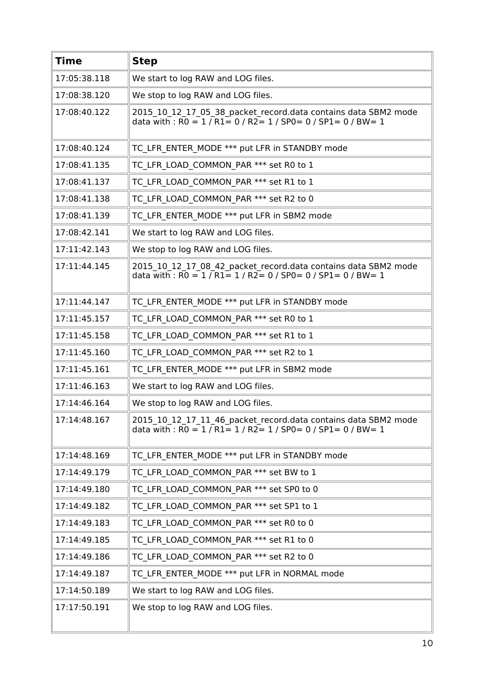| <b>Time</b>  | <b>Step</b>                                                                                                                                                 |
|--------------|-------------------------------------------------------------------------------------------------------------------------------------------------------------|
| 17:05:38.118 | We start to log RAW and LOG files.                                                                                                                          |
| 17:08:38.120 | We stop to log RAW and LOG files.                                                                                                                           |
| 17:08:40.122 | 2015_10_12_17_05_38_packet_record.data contains data SBM2 mode<br>data with : $\overline{RO} = 1 / \overline{R1} = 0 / R2 = 1 / SPO = 0 / SP1 = 0 / BW = 1$ |
| 17:08:40.124 | TC LFR ENTER MODE *** put LFR in STANDBY mode                                                                                                               |
| 17:08:41.135 | TC LFR LOAD COMMON PAR *** set R0 to 1                                                                                                                      |
| 17:08:41.137 | TC LFR LOAD COMMON PAR *** set R1 to 1                                                                                                                      |
| 17:08:41.138 | TC LFR LOAD COMMON PAR *** set R2 to 0                                                                                                                      |
| 17:08:41.139 | TC LFR ENTER MODE *** put LFR in SBM2 mode                                                                                                                  |
| 17:08:42.141 | We start to log RAW and LOG files.                                                                                                                          |
| 17:11:42.143 | We stop to log RAW and LOG files.                                                                                                                           |
| 17:11:44.145 | 2015_10_12_17_08_42_packet_record.data contains data SBM2 mode<br>data with : $\overline{RO} = 1 / R1 = 1 / R2 = 0 / SPO = 0 / SPL = 0 / BW = 1$            |
| 17:11:44.147 | TC LFR ENTER MODE *** put LFR in STANDBY mode                                                                                                               |
| 17:11:45.157 | TC LFR LOAD COMMON PAR *** set R0 to 1                                                                                                                      |
| 17:11:45.158 | TC LFR LOAD COMMON PAR *** set R1 to 1                                                                                                                      |
| 17:11:45.160 | TC LFR LOAD COMMON PAR *** set R2 to 1                                                                                                                      |
| 17:11:45.161 | TC LFR ENTER MODE *** put LFR in SBM2 mode                                                                                                                  |
| 17:11:46.163 | We start to log RAW and LOG files.                                                                                                                          |
| 17:14:46.164 | We stop to log RAW and LOG files.                                                                                                                           |
| 17:14:48.167 | 2015_10_12_17_11_46_packet_record.data contains data SBM2 mode<br>data with : $\overline{RO} = 1 / \overline{R1} = 1 / R2 = 1 / SPO = 0 / SP1 = 0 / BW = 1$ |
| 17:14:48.169 | TC LFR ENTER MODE *** put LFR in STANDBY mode                                                                                                               |
| 17:14:49.179 | TC LFR LOAD COMMON PAR *** set BW to 1                                                                                                                      |
| 17:14:49.180 | TC LFR LOAD COMMON PAR *** set SP0 to 0                                                                                                                     |
| 17:14:49.182 | TC LFR LOAD COMMON PAR *** set SP1 to 1                                                                                                                     |
| 17:14:49.183 | TC LFR LOAD COMMON PAR *** set R0 to 0                                                                                                                      |
| 17:14:49.185 | TC LFR LOAD COMMON PAR *** set R1 to 0                                                                                                                      |
| 17:14:49.186 | TC LFR LOAD COMMON PAR *** set R2 to 0                                                                                                                      |
| 17:14:49.187 | TC LFR ENTER MODE *** put LFR in NORMAL mode                                                                                                                |
| 17:14:50.189 | We start to log RAW and LOG files.                                                                                                                          |
| 17:17:50.191 | We stop to log RAW and LOG files.                                                                                                                           |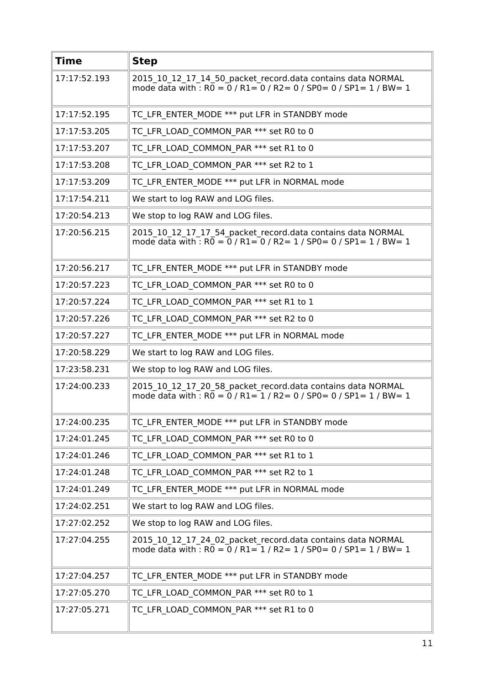| <b>Time</b>  | <b>Step</b>                                                                                                                                                             |
|--------------|-------------------------------------------------------------------------------------------------------------------------------------------------------------------------|
| 17:17:52.193 | 2015 10 12 17 14 50 packet record.data contains data NORMAL<br>mode data with : $R0 = 0$ / $R1 = 0$ / $R2 = 0$ / $SP0 = 0$ / $SP1 = 1$ / $BW = 1$                       |
| 17:17:52.195 | TC LFR ENTER MODE *** put LFR in STANDBY mode                                                                                                                           |
| 17:17:53.205 | TC LFR LOAD COMMON PAR *** set R0 to 0                                                                                                                                  |
| 17:17:53.207 | TC LFR LOAD COMMON PAR *** set R1 to 0                                                                                                                                  |
| 17:17:53.208 | TC LFR LOAD COMMON PAR *** set R2 to 1                                                                                                                                  |
| 17:17:53.209 | TC LFR ENTER MODE *** put LFR in NORMAL mode                                                                                                                            |
| 17:17:54.211 | We start to log RAW and LOG files.                                                                                                                                      |
| 17:20:54.213 | We stop to log RAW and LOG files.                                                                                                                                       |
| 17:20:56.215 | 2015 10 12 17 17 54 packet record.data contains data NORMAL<br>mode data with : R0 = 0 / R1 = 0 / R2 = 1 / SP0 = 0 / SP1 = 1 / BW = 1                                   |
| 17:20:56.217 | TC LFR ENTER MODE *** put LFR in STANDBY mode                                                                                                                           |
| 17:20:57.223 | TC LFR LOAD COMMON PAR *** set R0 to 0                                                                                                                                  |
| 17:20:57.224 | TC LFR LOAD COMMON PAR *** set R1 to 1                                                                                                                                  |
| 17:20:57.226 | TC LFR LOAD COMMON PAR *** set R2 to 0                                                                                                                                  |
| 17:20:57.227 | TC LFR ENTER MODE *** put LFR in NORMAL mode                                                                                                                            |
| 17:20:58.229 | We start to log RAW and LOG files.                                                                                                                                      |
| 17:23:58.231 | We stop to log RAW and LOG files.                                                                                                                                       |
| 17:24:00.233 | 2015 10 12 17 20 58 packet record.data contains data NORMAL<br>mode data with : $R\overline{0} = \overline{0}$ / $R1 = 1$ / $R2 = 0$ / $SP0 = 0$ / $SP1 = 1$ / $BW = 1$ |
| 17:24:00.235 | TC LFR ENTER MODE *** put LFR in STANDBY mode                                                                                                                           |
| 17:24:01.245 | TC LFR LOAD COMMON PAR *** set R0 to 0                                                                                                                                  |
| 17:24:01.246 | TC LFR LOAD COMMON PAR *** set R1 to 1                                                                                                                                  |
| 17:24:01.248 | TC LFR LOAD COMMON PAR *** set R2 to 1                                                                                                                                  |
| 17:24:01.249 | TC LFR ENTER MODE *** put LFR in NORMAL mode                                                                                                                            |
| 17:24:02.251 | We start to log RAW and LOG files.                                                                                                                                      |
| 17:27:02.252 | We stop to log RAW and LOG files.                                                                                                                                       |
| 17:27:04.255 | 2015_10_12_17_24_02_packet_record.data contains data NORMAL<br>mode data with : $R\overline{0} = \overline{0}$ / R1= 1 / R2= 1 / SP0= 0 / SP1= 1 / BW= 1                |
| 17:27:04.257 | TC LFR ENTER MODE *** put LFR in STANDBY mode                                                                                                                           |
| 17:27:05.270 | TC LFR LOAD COMMON PAR *** set R0 to 1                                                                                                                                  |
| 17:27:05.271 | TC LFR LOAD COMMON PAR *** set R1 to 0                                                                                                                                  |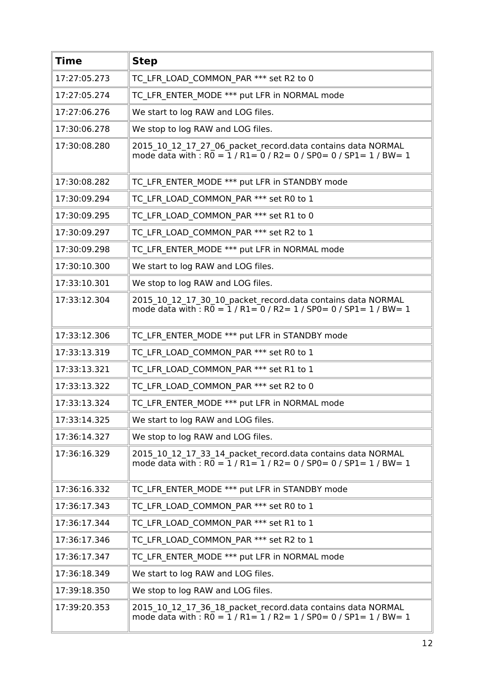| <b>Time</b>  | <b>Step</b>                                                                                                                                |
|--------------|--------------------------------------------------------------------------------------------------------------------------------------------|
| 17:27:05.273 | TC LFR LOAD COMMON PAR *** set R2 to 0                                                                                                     |
| 17:27:05.274 | TC LFR ENTER MODE *** put LFR in NORMAL mode                                                                                               |
| 17:27:06.276 | We start to log RAW and LOG files.                                                                                                         |
| 17:30:06.278 | We stop to log RAW and LOG files.                                                                                                          |
| 17:30:08.280 | 2015 10 12 17 27 06 packet record.data contains data NORMAL<br>mode data with $\cdot$ RO = 1 / R1= 0 / R2 = 0 / SP0 = 0 / SP1 = 1 / BW = 1 |
| 17:30:08.282 | TC LFR ENTER MODE *** put LFR in STANDBY mode                                                                                              |
| 17:30:09.294 | TC LFR LOAD COMMON PAR *** set R0 to 1                                                                                                     |
| 17:30:09.295 | TC LFR LOAD COMMON PAR *** set R1 to 0                                                                                                     |
| 17:30:09.297 | TC LFR LOAD COMMON PAR *** set R2 to 1                                                                                                     |
| 17:30:09.298 | TC LFR ENTER MODE *** put LFR in NORMAL mode                                                                                               |
| 17:30:10.300 | We start to log RAW and LOG files.                                                                                                         |
| 17:33:10.301 | We stop to log RAW and LOG files.                                                                                                          |
| 17:33:12.304 | 2015 10 12 17 30 10 packet record.data contains data NORMAL<br>mode data with : $R0 = 1/R1 = 0/R2 = 1/SPO = 0/SPL = 1/BW = 1$              |
| 17:33:12.306 | TC LFR ENTER MODE *** put LFR in STANDBY mode                                                                                              |
| 17:33:13.319 | TC LFR LOAD COMMON PAR *** set R0 to 1                                                                                                     |
| 17:33:13.321 | TC LFR LOAD COMMON PAR *** set R1 to 1                                                                                                     |
| 17:33:13.322 | TC LFR LOAD COMMON PAR *** set R2 to 0                                                                                                     |
| 17:33:13.324 | TC LFR ENTER MODE *** put LFR in NORMAL mode                                                                                               |
| 17:33:14.325 | We start to log RAW and LOG files.                                                                                                         |
| 17:36:14.327 | We stop to log RAW and LOG files.                                                                                                          |
| 17:36:16.329 | 2015 10 12 17 33 14 packet record.data contains data NORMAL<br>mode data with : $R\overline{0} = 1/R1 = 1/R2 = 0/SP0 = 0/SP1 = 1/BW = 1$   |
| 17:36:16.332 | TC LFR ENTER MODE *** put LFR in STANDBY mode                                                                                              |
| 17:36:17.343 | TC LFR LOAD COMMON PAR *** set R0 to 1                                                                                                     |
| 17:36:17.344 | TC LFR LOAD COMMON PAR *** set R1 to 1                                                                                                     |
| 17:36:17.346 | TC LFR LOAD COMMON PAR *** set R2 to 1                                                                                                     |
| 17:36:17.347 | TC LFR ENTER MODE *** put LFR in NORMAL mode                                                                                               |
| 17:36:18.349 | We start to log RAW and LOG files.                                                                                                         |
| 17:39:18.350 | We stop to log RAW and LOG files.                                                                                                          |
| 17:39:20.353 | 2015 10 12 17 36 18 packet record.data contains data NORMAL<br>mode data with : $R0 = 1 / R1 = 1 / R2 = 1 / SPO = 0 / SPI = 1 / BW = 1$    |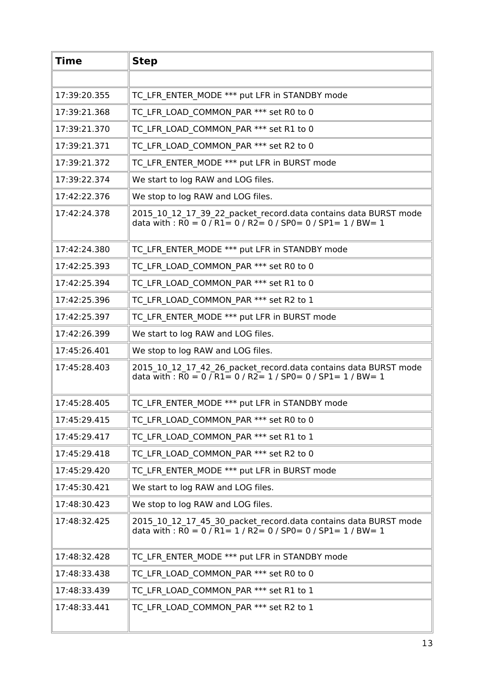| <b>Time</b>  | <b>Step</b>                                                                                                                                                                                              |
|--------------|----------------------------------------------------------------------------------------------------------------------------------------------------------------------------------------------------------|
|              |                                                                                                                                                                                                          |
| 17:39:20.355 | TC LFR ENTER MODE *** put LFR in STANDBY mode                                                                                                                                                            |
| 17:39:21.368 | TC LFR LOAD COMMON PAR *** set R0 to 0                                                                                                                                                                   |
| 17:39:21.370 | TC LFR LOAD COMMON PAR *** set R1 to 0                                                                                                                                                                   |
| 17:39:21.371 | TC LFR LOAD COMMON PAR *** set R2 to 0                                                                                                                                                                   |
| 17:39:21.372 | TC LFR ENTER MODE *** put LFR in BURST mode                                                                                                                                                              |
| 17:39:22.374 | We start to log RAW and LOG files.                                                                                                                                                                       |
| 17:42:22.376 | We stop to log RAW and LOG files.                                                                                                                                                                        |
| 17:42:24.378 | 2015 10 12 17 39 22 packet record.data contains data BURST mode<br>data with : $\overline{RO} = 0 / \overline{R1} = 0 / \overline{R2} = 0 / \overline{SPO} = 0 / \overline{SPI} = 1 / \overline{BW} = 1$ |
| 17:42:24.380 | TC LFR ENTER MODE *** put LFR in STANDBY mode                                                                                                                                                            |
| 17:42:25.393 | TC LFR LOAD COMMON PAR *** set R0 to 0                                                                                                                                                                   |
| 17:42:25.394 | TC LFR LOAD COMMON PAR *** set R1 to 0                                                                                                                                                                   |
| 17:42:25.396 | TC LFR LOAD COMMON PAR *** set R2 to 1                                                                                                                                                                   |
| 17:42:25.397 | TC LFR ENTER MODE *** put LFR in BURST mode                                                                                                                                                              |
| 17:42:26.399 | We start to log RAW and LOG files.                                                                                                                                                                       |
| 17:45:26.401 | We stop to log RAW and LOG files.                                                                                                                                                                        |
| 17:45:28.403 | 2015_10_12_17_42_26_packet_record.data contains data BURST mode<br>data with: $R0 = 0$ / $R1 = 0$ / $R2 = 1$ / $SP0 = 0$ / $SP1 = 1$ / $BW = 1$                                                          |
| 17:45:28.405 | TC LFR ENTER MODE *** put LFR in STANDBY mode                                                                                                                                                            |
| 17:45:29.415 | TC LFR LOAD COMMON PAR *** set R0 to 0                                                                                                                                                                   |
| 17:45:29.417 | TC LFR LOAD COMMON PAR *** set R1 to 1                                                                                                                                                                   |
| 17:45:29.418 | TC LFR LOAD COMMON PAR *** set R2 to 0                                                                                                                                                                   |
| 17:45:29.420 | TC LFR ENTER MODE *** put LFR in BURST mode                                                                                                                                                              |
| 17:45:30.421 | We start to log RAW and LOG files.                                                                                                                                                                       |
| 17:48:30.423 | We stop to log RAW and LOG files.                                                                                                                                                                        |
| 17:48:32.425 | 2015_10_12_17_45_30_packet_record.data contains data BURST mode<br>data with : $\overline{RO} = 0 / \overline{R1} = 1 / \overline{R2} = 0 / \overline{SPO} = 0 / \overline{SPI} = 1 / \overline{BW} = 1$ |
| 17:48:32.428 | TC LFR ENTER MODE *** put LFR in STANDBY mode                                                                                                                                                            |
| 17:48:33.438 | TC LFR LOAD COMMON PAR *** set R0 to 0                                                                                                                                                                   |
| 17:48:33.439 | TC LFR LOAD COMMON PAR *** set R1 to 1                                                                                                                                                                   |
| 17:48:33.441 | TC LFR LOAD COMMON PAR *** set R2 to 1                                                                                                                                                                   |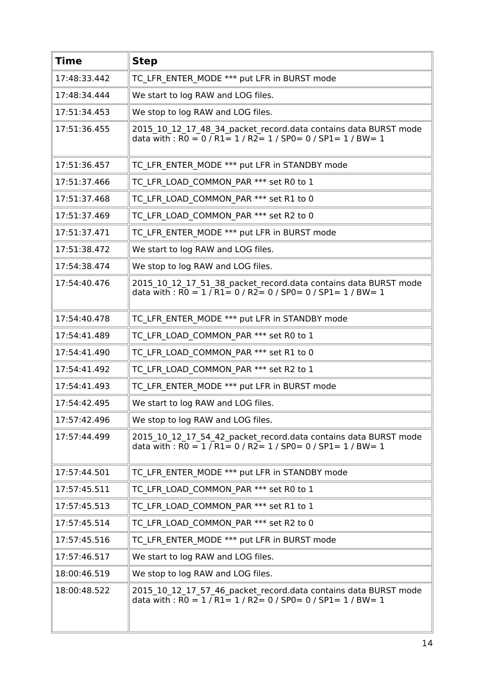| <b>Time</b>  | <b>Step</b>                                                                                                                                                                                              |
|--------------|----------------------------------------------------------------------------------------------------------------------------------------------------------------------------------------------------------|
| 17:48:33.442 | TC LFR ENTER MODE *** put LFR in BURST mode                                                                                                                                                              |
| 17:48:34.444 | We start to log RAW and LOG files.                                                                                                                                                                       |
| 17:51:34.453 | We stop to log RAW and LOG files.                                                                                                                                                                        |
| 17:51:36.455 | 2015_10_12_17_48_34_packet_record.data contains data BURST mode<br>data with : $R0 = 0$ / $R1 = 1$ / $R2 = 1$ / $SP0 = 0$ / $SP1 = 1$ / $BW = 1$                                                         |
| 17:51:36.457 | TC LFR ENTER MODE *** put LFR in STANDBY mode                                                                                                                                                            |
| 17:51:37.466 | TC LFR LOAD COMMON PAR *** set R0 to 1                                                                                                                                                                   |
| 17:51:37.468 | TC LFR LOAD COMMON PAR *** set R1 to 0                                                                                                                                                                   |
| 17:51:37.469 | TC LFR LOAD COMMON PAR *** set R2 to 0                                                                                                                                                                   |
| 17:51:37.471 | TC LFR ENTER MODE *** put LFR in BURST mode                                                                                                                                                              |
| 17:51:38.472 | We start to log RAW and LOG files.                                                                                                                                                                       |
| 17:54:38.474 | We stop to log RAW and LOG files.                                                                                                                                                                        |
| 17:54:40.476 | 2015_10_12_17_51_38_packet_record.data contains data BURST mode<br>data with : $\overline{RO} = 1 / \overline{R1} = 0 / \overline{R2} = 0 / \overline{SPO} = 0 / \overline{SPI} = 1 / \overline{BW} = 1$ |
| 17:54:40.478 | TC LFR ENTER MODE *** put LFR in STANDBY mode                                                                                                                                                            |
| 17:54:41.489 | TC LFR LOAD COMMON PAR *** set R0 to 1                                                                                                                                                                   |
| 17:54:41.490 | TC LFR LOAD COMMON PAR *** set R1 to 0                                                                                                                                                                   |
| 17:54:41.492 | TC LFR LOAD COMMON PAR *** set R2 to 1                                                                                                                                                                   |
| 17:54:41.493 | TC_LFR_ENTER_MODE *** put LFR in BURST mode                                                                                                                                                              |
| 17:54:42.495 | We start to log RAW and LOG files.                                                                                                                                                                       |
| 17:57:42.496 | We stop to log RAW and LOG files.                                                                                                                                                                        |
| 17:57:44.499 | 2015 10 12 17 54 42 packet record.data contains data BURST mode<br>data with : $R0 = 1 / R1 = 0 / R2 = 1 / SPO = 0 / SPI = 1 / BW = 1$                                                                   |
| 17:57:44.501 | TC_LFR_ENTER_MODE *** put LFR in STANDBY mode                                                                                                                                                            |
| 17:57:45.511 | TC LFR LOAD COMMON PAR *** set R0 to 1                                                                                                                                                                   |
| 17:57:45.513 | TC LFR LOAD COMMON PAR *** set R1 to 1                                                                                                                                                                   |
| 17:57:45.514 | TC LFR LOAD COMMON PAR *** set R2 to 0                                                                                                                                                                   |
| 17:57:45.516 | TC LFR ENTER MODE *** put LFR in BURST mode                                                                                                                                                              |
| 17:57:46.517 | We start to log RAW and LOG files.                                                                                                                                                                       |
| 18:00:46.519 | We stop to log RAW and LOG files.                                                                                                                                                                        |
| 18:00:48.522 | 2015 10 12 17 57 46 packet record.data contains data BURST mode<br>data with: $R0 = 1 / R1 = 1 / R2 = 0 / SP0 = 0 / SP1 = 1 / BW = 1$                                                                    |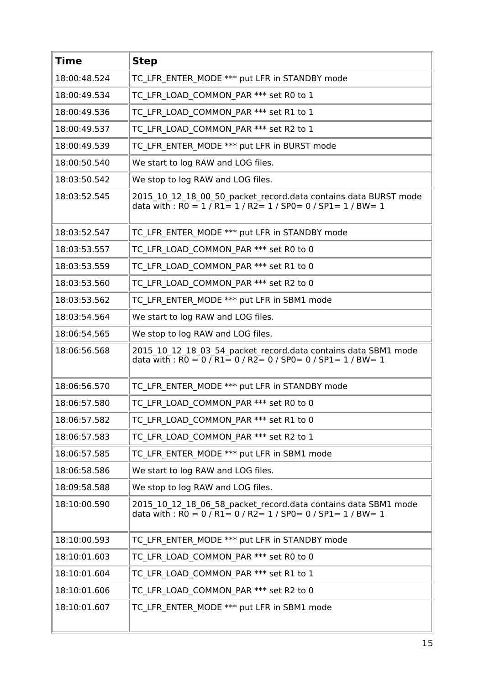| <b>Time</b>  | <b>Step</b>                                                                                                                                                                                             |
|--------------|---------------------------------------------------------------------------------------------------------------------------------------------------------------------------------------------------------|
| 18:00:48.524 | TC LFR ENTER MODE *** put LFR in STANDBY mode                                                                                                                                                           |
| 18:00:49.534 | TC_LFR_LOAD_COMMON_PAR *** set R0 to 1                                                                                                                                                                  |
| 18:00:49.536 | TC LFR LOAD COMMON PAR *** set R1 to 1                                                                                                                                                                  |
| 18:00:49.537 | TC LFR LOAD COMMON PAR *** set R2 to 1                                                                                                                                                                  |
| 18:00:49.539 | TC LFR ENTER MODE *** put LFR in BURST mode                                                                                                                                                             |
| 18:00:50.540 | We start to log RAW and LOG files.                                                                                                                                                                      |
| 18:03:50.542 | We stop to log RAW and LOG files.                                                                                                                                                                       |
| 18:03:52.545 | 2015_10_12_18_00_50_packet_record.data contains data BURST mode<br>data with : $R0 = 1 / R1 = 1 / R2 = 1 / SPO = 0 / SPI = 1 / BW = 1$                                                                  |
| 18:03:52.547 | TC LFR ENTER MODE *** put LFR in STANDBY mode                                                                                                                                                           |
| 18:03:53.557 | TC LFR LOAD COMMON PAR *** set R0 to 0                                                                                                                                                                  |
| 18:03:53.559 | TC LFR LOAD COMMON PAR *** set R1 to 0                                                                                                                                                                  |
| 18:03:53.560 | TC LFR LOAD COMMON PAR *** set R2 to 0                                                                                                                                                                  |
| 18:03:53.562 | TC LFR ENTER MODE *** put LFR in SBM1 mode                                                                                                                                                              |
| 18:03:54.564 | We start to log RAW and LOG files.                                                                                                                                                                      |
| 18:06:54.565 | We stop to log RAW and LOG files.                                                                                                                                                                       |
| 18:06:56.568 | 2015_10_12_18_03_54_packet_record.data contains data SBM1 mode<br>data with : $RO = 0 / R1 = 0 / R2 = 0 / SPO = 0 / SPI = 1 / BW = 1$                                                                   |
| 18:06:56.570 | TC LFR ENTER MODE *** put LFR in STANDBY mode                                                                                                                                                           |
| 18:06:57.580 | TC LFR LOAD COMMON PAR *** set R0 to 0                                                                                                                                                                  |
| 18:06:57.582 | TC LFR LOAD COMMON PAR *** set R1 to 0                                                                                                                                                                  |
| 18:06:57.583 | TC LFR LOAD COMMON PAR *** set R2 to 1                                                                                                                                                                  |
| 18:06:57.585 | TC LFR ENTER MODE *** put LFR in SBM1 mode                                                                                                                                                              |
| 18:06:58.586 | We start to log RAW and LOG files.                                                                                                                                                                      |
| 18:09:58.588 | We stop to log RAW and LOG files.                                                                                                                                                                       |
| 18:10:00.590 | 2015 10 12 18 06 58 packet record.data contains data SBM1 mode<br>data with : $\overline{RO} = 0 / \overline{R1} = 0 / \overline{R2} = 1 / \overline{SPO} = 0 / \overline{SPI} = 1 / \overline{BW} = 1$ |
| 18:10:00.593 | TC LFR ENTER MODE *** put LFR in STANDBY mode                                                                                                                                                           |
| 18:10:01.603 | TC_LFR_LOAD_COMMON_PAR *** set R0 to 0                                                                                                                                                                  |
| 18:10:01.604 | TC LFR LOAD COMMON PAR *** set R1 to 1                                                                                                                                                                  |
| 18:10:01.606 | TC LFR LOAD_COMMON_PAR *** set R2 to 0                                                                                                                                                                  |
| 18:10:01.607 | TC LFR ENTER MODE *** put LFR in SBM1 mode                                                                                                                                                              |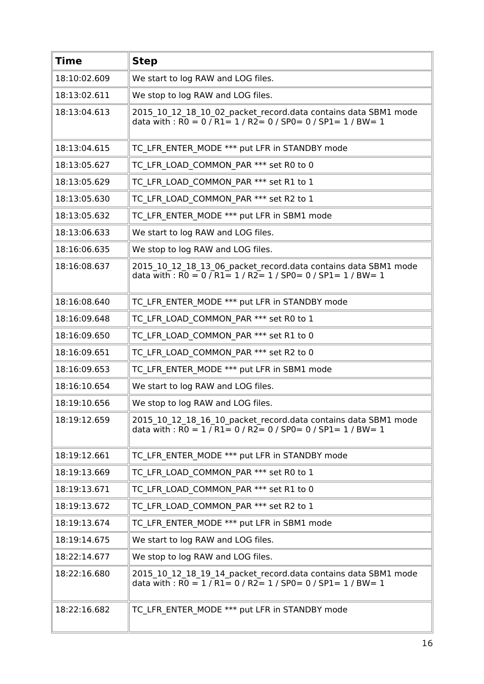| <b>Time</b>  | <b>Step</b>                                                                                                                                                                                             |
|--------------|---------------------------------------------------------------------------------------------------------------------------------------------------------------------------------------------------------|
| 18:10:02.609 | We start to log RAW and LOG files.                                                                                                                                                                      |
| 18:13:02.611 | We stop to log RAW and LOG files.                                                                                                                                                                       |
| 18:13:04.613 | 2015_10_12_18_10_02_packet_record.data contains data SBM1 mode<br>data with : $\overline{RO} = 0$ / $\overline{R1} = 1$ / $\overline{R2} = 0$ / SP0 = 0 / SP1 = 1 / BW = 1                              |
| 18:13:04.615 | TC LFR ENTER MODE *** put LFR in STANDBY mode                                                                                                                                                           |
| 18:13:05.627 | TC LFR LOAD COMMON PAR *** set R0 to 0                                                                                                                                                                  |
| 18:13:05.629 | TC LFR LOAD COMMON PAR *** set R1 to 1                                                                                                                                                                  |
| 18:13:05.630 | TC LFR LOAD COMMON PAR *** set R2 to 1                                                                                                                                                                  |
| 18:13:05.632 | TC LFR ENTER MODE *** put LFR in SBM1 mode                                                                                                                                                              |
| 18:13:06.633 | We start to log RAW and LOG files.                                                                                                                                                                      |
| 18:16:06.635 | We stop to log RAW and LOG files.                                                                                                                                                                       |
| 18:16:08.637 | 2015_10_12_18_13_06_packet_record.data contains data SBM1 mode<br>data with : $R0 = 0$ / $R1 = 1$ / $R2 = 1$ / SP0 = 0 / SP1 = 1 / BW = 1                                                               |
| 18:16:08.640 | TC LFR ENTER MODE *** put LFR in STANDBY mode                                                                                                                                                           |
| 18:16:09.648 | TC LFR LOAD COMMON PAR *** set R0 to 1                                                                                                                                                                  |
| 18:16:09.650 | TC LFR LOAD COMMON PAR *** set R1 to 0                                                                                                                                                                  |
| 18:16:09.651 | TC LFR LOAD COMMON_PAR *** set R2 to 0                                                                                                                                                                  |
| 18:16:09.653 | TC LFR ENTER MODE *** put LFR in SBM1 mode                                                                                                                                                              |
| 18:16:10.654 | We start to log RAW and LOG files.                                                                                                                                                                      |
| 18:19:10.656 | We stop to log RAW and LOG files.                                                                                                                                                                       |
| 18:19:12.659 | 2015 10 12 18 16 10 packet record.data contains data SBM1 mode<br>data with : $\overline{RO} = 1 / \overline{R1} = 0 / \overline{R2} = 0 / \overline{SPO} = 0 / \overline{SPI} = 1 / \overline{BW} = 1$ |
| 18:19:12.661 | TC LFR ENTER MODE *** put LFR in STANDBY mode                                                                                                                                                           |
| 18:19:13.669 | TC LFR LOAD COMMON PAR *** set R0 to 1                                                                                                                                                                  |
| 18:19:13.671 | TC LFR LOAD COMMON PAR *** set R1 to 0                                                                                                                                                                  |
| 18:19:13.672 | TC LFR LOAD COMMON PAR *** set R2 to 1                                                                                                                                                                  |
| 18:19:13.674 | TC LFR ENTER MODE *** put LFR in SBM1 mode                                                                                                                                                              |
| 18:19:14.675 | We start to log RAW and LOG files.                                                                                                                                                                      |
| 18:22:14.677 | We stop to log RAW and LOG files.                                                                                                                                                                       |
| 18:22:16.680 | 2015_10_12_18_19_14_packet_record.data contains data SBM1 mode<br>data with : $R0 = 1 / R1 = 0 / R2 = 1 / SPO = 0 / SPI = 1 / BW = 1$                                                                   |
| 18:22:16.682 | TC_LFR_ENTER_MODE *** put LFR in STANDBY mode                                                                                                                                                           |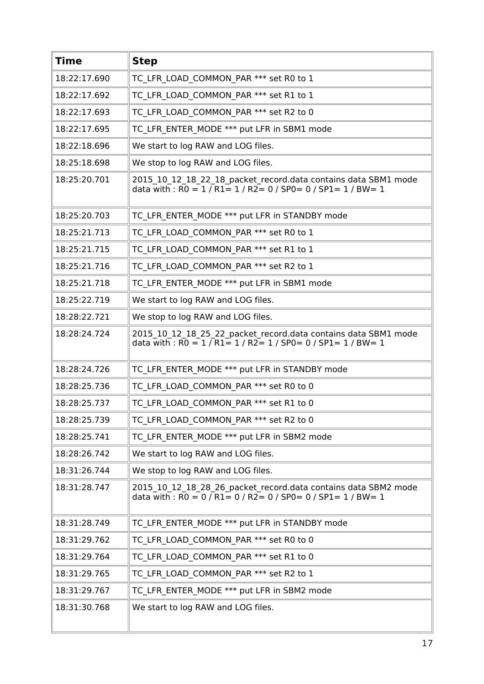| <b>Time</b>  | <b>Step</b>                                                                                                                                                                                             |
|--------------|---------------------------------------------------------------------------------------------------------------------------------------------------------------------------------------------------------|
| 18:22:17.690 | TC LFR LOAD COMMON PAR *** set R0 to 1                                                                                                                                                                  |
| 18:22:17.692 | TC LFR LOAD COMMON PAR *** set R1 to 1                                                                                                                                                                  |
| 18:22:17.693 | TC LFR LOAD COMMON PAR *** set R2 to 0                                                                                                                                                                  |
| 18:22:17.695 | TC LFR ENTER MODE *** put LFR in SBM1 mode                                                                                                                                                              |
| 18:22:18.696 | We start to log RAW and LOG files.                                                                                                                                                                      |
| 18:25:18.698 | We stop to log RAW and LOG files.                                                                                                                                                                       |
| 18:25:20.701 | 2015_10_12_18_22_18_packet_record.data contains data SBM1 mode<br>data with : $\overline{RO} = 1 / \overline{R1} = 1 / \overline{R2} = 0 / \overline{SPO} = 0 / \overline{SPI} = 1 / \overline{BW} = 1$ |
| 18:25:20.703 | TC LFR ENTER MODE *** put LFR in STANDBY mode                                                                                                                                                           |
| 18:25:21.713 | TC_LFR_LOAD_COMMON_PAR *** set R0 to 1                                                                                                                                                                  |
| 18:25:21.715 | TC LFR_LOAD_COMMON_PAR *** set R1 to 1                                                                                                                                                                  |
| 18:25:21.716 | TC LFR LOAD COMMON PAR *** set R2 to 1                                                                                                                                                                  |
| 18:25:21.718 | TC LFR ENTER MODE *** put LFR in SBM1 mode                                                                                                                                                              |
| 18:25:22.719 | We start to log RAW and LOG files.                                                                                                                                                                      |
| 18:28:22.721 | We stop to log RAW and LOG files.                                                                                                                                                                       |
| 18:28:24.724 | 2015_10_12_18_25_22_packet_record.data contains data SBM1 mode<br>data with : $\overline{RO} = 1 / \overline{R1} = 1 / \overline{R2} = 1 / \overline{SPO} = 0 / \overline{SPI} = 1 / \overline{BW} = 1$ |
| 18:28:24.726 | TC LFR ENTER MODE *** put LFR in STANDBY mode                                                                                                                                                           |
| 18:28:25.736 | TC LFR LOAD COMMON PAR *** set R0 to 0                                                                                                                                                                  |
| 18:28:25.737 | TC LFR LOAD COMMON PAR *** set R1 to 0                                                                                                                                                                  |
| 18:28:25.739 | TC LFR LOAD COMMON PAR *** set R2 to 0                                                                                                                                                                  |
| 18:28:25.741 | TC LFR ENTER MODE *** put LFR in SBM2 mode                                                                                                                                                              |
| 18:28:26.742 | We start to log RAW and LOG files.                                                                                                                                                                      |
| 18:31:26.744 | We stop to log RAW and LOG files.                                                                                                                                                                       |
| 18:31:28.747 | 2015_10_12_18_28_26_packet_record.data contains data SBM2 mode<br>data with : $\overline{RO} = 0 / R1 = 0 / R2 = 0 / SPO = 0 / SP1 = 1 / BW = 1$                                                        |
| 18:31:28.749 | TC LFR ENTER MODE *** put LFR in STANDBY mode                                                                                                                                                           |
| 18:31:29.762 | TC LFR LOAD COMMON PAR *** set R0 to 0                                                                                                                                                                  |
| 18:31:29.764 | TC LFR LOAD COMMON PAR *** set R1 to 0                                                                                                                                                                  |
| 18:31:29.765 | TC LFR LOAD COMMON PAR *** set R2 to 1                                                                                                                                                                  |
| 18:31:29.767 | TC LFR ENTER MODE *** put LFR in SBM2 mode                                                                                                                                                              |
| 18:31:30.768 | We start to log RAW and LOG files.                                                                                                                                                                      |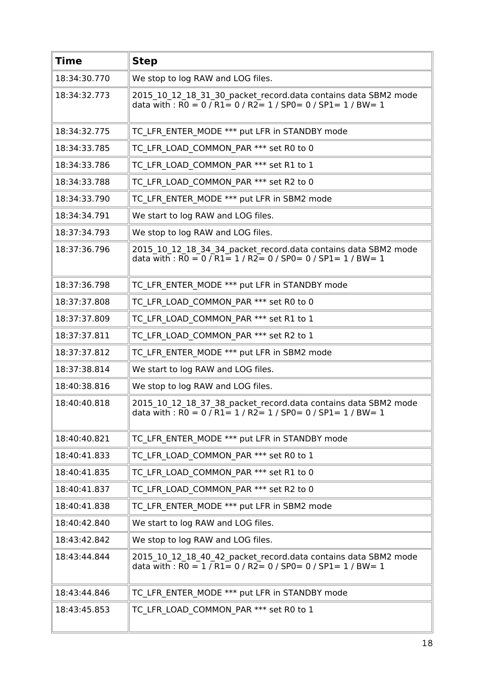| <b>Time</b>  | <b>Step</b>                                                                                                                                                                                             |
|--------------|---------------------------------------------------------------------------------------------------------------------------------------------------------------------------------------------------------|
| 18:34:30.770 | We stop to log RAW and LOG files.                                                                                                                                                                       |
| 18:34:32.773 | 2015 10 12 18 31 30 packet record.data contains data SBM2 mode<br>data with : $R0 = 0$ / $R1 = 0$ / $R2 = 1$ / $SP0 = 0$ / $SP1 = 1$ / $BW = 1$                                                         |
| 18:34:32.775 | TC LFR ENTER MODE *** put LFR in STANDBY mode                                                                                                                                                           |
| 18:34:33.785 | TC LFR LOAD COMMON PAR *** set R0 to 0                                                                                                                                                                  |
| 18:34:33.786 | TC LFR LOAD COMMON PAR *** set R1 to 1                                                                                                                                                                  |
| 18:34:33.788 | TC LFR LOAD COMMON PAR *** set R2 to 0                                                                                                                                                                  |
| 18:34:33.790 | TC LFR ENTER MODE *** put LFR in SBM2 mode                                                                                                                                                              |
| 18:34:34.791 | We start to log RAW and LOG files.                                                                                                                                                                      |
| 18:37:34.793 | We stop to log RAW and LOG files.                                                                                                                                                                       |
| 18:37:36.796 | 2015_10_12_18_34_34_packet_record.data contains data SBM2 mode<br>data with : $\overline{RO} = 0 / \overline{R1} = 1 / \overline{R2} = 0 / \overline{SPO} = 0 / \overline{SPI} = 1 / \overline{BW} = 1$ |
| 18:37:36.798 | TC LFR ENTER MODE *** put LFR in STANDBY mode                                                                                                                                                           |
| 18:37:37.808 | TC LFR LOAD COMMON PAR *** set R0 to 0                                                                                                                                                                  |
| 18:37:37.809 | TC LFR LOAD COMMON PAR *** set R1 to 1                                                                                                                                                                  |
| 18:37:37.811 | TC LFR LOAD COMMON PAR *** set R2 to 1                                                                                                                                                                  |
| 18:37:37.812 | TC LFR ENTER MODE *** put LFR in SBM2 mode                                                                                                                                                              |
| 18:37:38.814 | We start to log RAW and LOG files.                                                                                                                                                                      |
| 18:40:38.816 | We stop to log RAW and LOG files.                                                                                                                                                                       |
| 18:40:40.818 | 2015_10_12_18_37_38_packet_record.data contains data SBM2 mode<br>data with : R0 = 0 / R1 = 1 / R2 = 1 / SP0 = 0 / SP1 = 1 / BW = 1                                                                     |
| 18:40:40.821 | TC_LFR_ENTER_MODE *** put LFR in STANDBY mode                                                                                                                                                           |
| 18:40:41.833 | TC LFR LOAD COMMON PAR *** set R0 to 1                                                                                                                                                                  |
| 18:40:41.835 | TC LFR LOAD COMMON PAR *** set R1 to 0                                                                                                                                                                  |
| 18:40:41.837 | TC LFR LOAD COMMON PAR *** set R2 to 0                                                                                                                                                                  |
| 18:40:41.838 | TC LFR ENTER MODE *** put LFR in SBM2 mode                                                                                                                                                              |
| 18:40:42.840 | We start to log RAW and LOG files.                                                                                                                                                                      |
| 18:43:42.842 | We stop to log RAW and LOG files.                                                                                                                                                                       |
| 18:43:44.844 | 2015_10_12_18_40_42_packet_record.data contains data SBM2 mode<br>data with : $RO = 1 / R1 = 0 / R2 = 0 / SPO = 0 / SPI = 1 / BW = 1$                                                                   |
| 18:43:44.846 | TC LFR ENTER MODE *** put LFR in STANDBY mode                                                                                                                                                           |
| 18:43:45.853 | TC LFR LOAD COMMON PAR *** set R0 to 1                                                                                                                                                                  |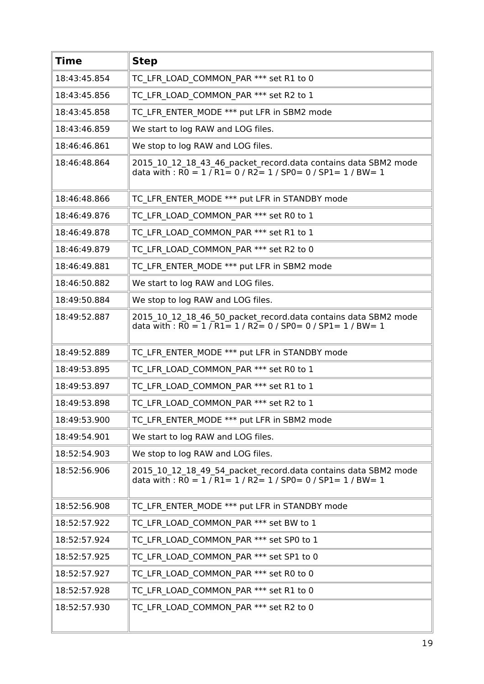| <b>Time</b>  | <b>Step</b>                                                                                                                                    |
|--------------|------------------------------------------------------------------------------------------------------------------------------------------------|
| 18:43:45.854 | TC LFR LOAD COMMON PAR *** set R1 to 0                                                                                                         |
| 18:43:45.856 | TC LFR LOAD COMMON PAR *** set R2 to 1                                                                                                         |
| 18:43:45.858 | TC LFR ENTER MODE *** put LFR in SBM2 mode                                                                                                     |
| 18:43:46.859 | We start to log RAW and LOG files.                                                                                                             |
| 18:46:46.861 | We stop to log RAW and LOG files.                                                                                                              |
| 18:46:48.864 | 2015_10_12_18_43_46_packet_record.data contains data SBM2 mode<br>data with : R0 = 1 / R1= 0 / R2= 1 / SP0= 0 / SP1= 1 / BW= 1                 |
| 18:46:48.866 | TC LFR ENTER MODE *** put LFR in STANDBY mode                                                                                                  |
| 18:46:49.876 | TC LFR LOAD COMMON PAR *** set R0 to 1                                                                                                         |
| 18:46:49.878 | TC LFR LOAD COMMON PAR *** set R1 to 1                                                                                                         |
| 18:46:49.879 | TC LFR LOAD COMMON PAR *** set R2 to 0                                                                                                         |
| 18:46:49.881 | TC LFR ENTER MODE *** put LFR in SBM2 mode                                                                                                     |
| 18:46:50.882 | We start to log RAW and LOG files.                                                                                                             |
| 18:49:50.884 | We stop to log RAW and LOG files.                                                                                                              |
| 18:49:52.887 | 2015_10_12_18_46_50_packet_record.data contains data SBM2 mode<br>data with: $R0 = 1 / R1 = 1 / R2 = 0 / SP0 = 0 / SP1 = 1 / BW = 1$           |
| 18:49:52.889 | TC LFR ENTER MODE *** put LFR in STANDBY mode                                                                                                  |
| 18:49:53.895 | TC LFR LOAD COMMON PAR *** set R0 to 1                                                                                                         |
| 18:49:53.897 | TC LFR LOAD COMMON PAR *** set R1 to 1                                                                                                         |
| 18:49:53.898 | TC LFR LOAD COMMON PAR *** set R2 to 1                                                                                                         |
| 18:49:53.900 | TC LFR ENTER MODE *** put LFR in SBM2 mode                                                                                                     |
| 18:49:54.901 | We start to log RAW and LOG files.                                                                                                             |
| 18:52:54.903 | We stop to log RAW and LOG files.                                                                                                              |
| 18:52:56.906 | 2015 10 12 18 49 54 packet record.data contains data SBM2 mode<br>data with: $R0 = 1$ / $R1 = 1$ / $R2 = 1$ / $SP0 = 0$ / $SP1 = 1$ / $BW = 1$ |
| 18:52:56.908 | TC LFR ENTER MODE *** put LFR in STANDBY mode                                                                                                  |
| 18:52:57.922 | TC LFR LOAD COMMON PAR *** set BW to 1                                                                                                         |
| 18:52:57.924 | TC LFR LOAD COMMON PAR *** set SP0 to 1                                                                                                        |
| 18:52:57.925 | TC LFR LOAD COMMON PAR *** set SP1 to 0                                                                                                        |
| 18:52:57.927 | TC LFR LOAD COMMON PAR *** set R0 to 0                                                                                                         |
| 18:52:57.928 | TC LFR LOAD COMMON_PAR *** set R1 to 0                                                                                                         |
| 18:52:57.930 | TC LFR LOAD COMMON PAR *** set R2 to 0                                                                                                         |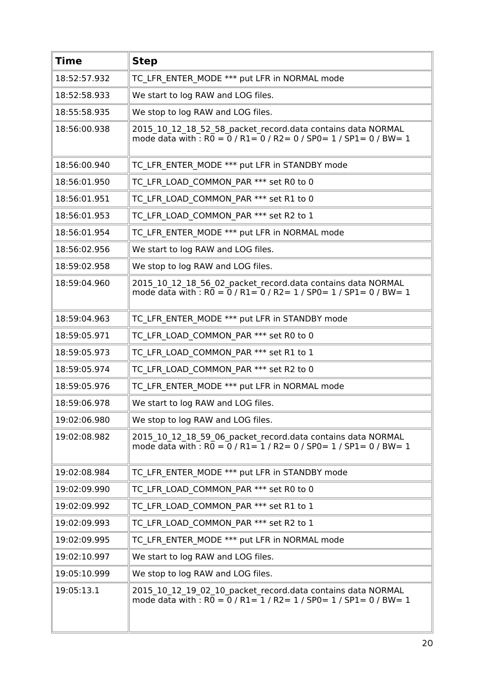| <b>Time</b>  | <b>Step</b>                                                                                                                                       |
|--------------|---------------------------------------------------------------------------------------------------------------------------------------------------|
| 18:52:57.932 | TC LFR ENTER MODE *** put LFR in NORMAL mode                                                                                                      |
| 18:52:58.933 | We start to log RAW and LOG files.                                                                                                                |
| 18:55:58.935 | We stop to log RAW and LOG files.                                                                                                                 |
| 18:56:00.938 | 2015 10 12 18 52 58 packet record.data contains data NORMAL<br>mode data with : $R0 = 0$ / $R1 = 0$ / $R2 = 0$ / $SP0 = 1$ / $SP1 = 0$ / $BW = 1$ |
| 18:56:00.940 | TC LFR ENTER MODE *** put LFR in STANDBY mode                                                                                                     |
| 18:56:01.950 | TC LFR LOAD COMMON PAR *** set R0 to 0                                                                                                            |
| 18:56:01.951 | TC LFR LOAD COMMON PAR *** set R1 to 0                                                                                                            |
| 18:56:01.953 | TC LFR LOAD COMMON PAR *** set R2 to 1                                                                                                            |
| 18:56:01.954 | TC LFR ENTER MODE *** put LFR in NORMAL mode                                                                                                      |
| 18:56:02.956 | We start to log RAW and LOG files.                                                                                                                |
| 18:59:02.958 | We stop to log RAW and LOG files.                                                                                                                 |
| 18:59:04.960 | 2015 10 12 18 56 02 packet record.data contains data NORMAL<br>mode data with : $R0 = 0$ / $R1 = 0$ / $R2 = 1$ / $SP0 = 1$ / $SP1 = 0$ / $BW = 1$ |
| 18:59:04.963 | TC LFR ENTER MODE *** put LFR in STANDBY mode                                                                                                     |
| 18:59:05.971 | TC LFR LOAD COMMON PAR *** set R0 to 0                                                                                                            |
| 18:59:05.973 | TC LFR LOAD COMMON PAR *** set R1 to 1                                                                                                            |
| 18:59:05.974 | TC LFR LOAD COMMON PAR *** set R2 to 0                                                                                                            |
| 18:59:05.976 | TC LFR ENTER MODE *** put LFR in NORMAL mode                                                                                                      |
| 18:59:06.978 | We start to log RAW and LOG files.                                                                                                                |
| 19:02:06.980 | We stop to log RAW and LOG files.                                                                                                                 |
| 19:02:08.982 | 2015 10 12 18 59 06 packet record.data contains data NORMAL<br>mode data with : $R0 = 0$ / $R1 = 1$ / $R2 = 0$ / $SP0 = 1$ / $SP1 = 0$ / $BW = 1$ |
| 19:02:08.984 | TC LFR ENTER MODE *** put LFR in STANDBY mode                                                                                                     |
| 19:02:09.990 | TC LFR LOAD COMMON PAR *** set R0 to 0                                                                                                            |
| 19:02:09.992 | TC LFR LOAD COMMON PAR *** set R1 to 1                                                                                                            |
| 19:02:09.993 | TC LFR LOAD COMMON PAR *** set R2 to 1                                                                                                            |
| 19:02:09.995 | TC LFR ENTER MODE *** put LFR in NORMAL mode                                                                                                      |
| 19:02:10.997 | We start to log RAW and LOG files.                                                                                                                |
| 19:05:10.999 | We stop to log RAW and LOG files.                                                                                                                 |
| 19:05:13.1   | 2015 10 12 19 02 10 packet record.data contains data NORMAL<br>mode data with $\cdot$ RO = 0 / R1= 1 / R2 = 1 / SP0 = 1 / SP1 = 0 / BW = 1        |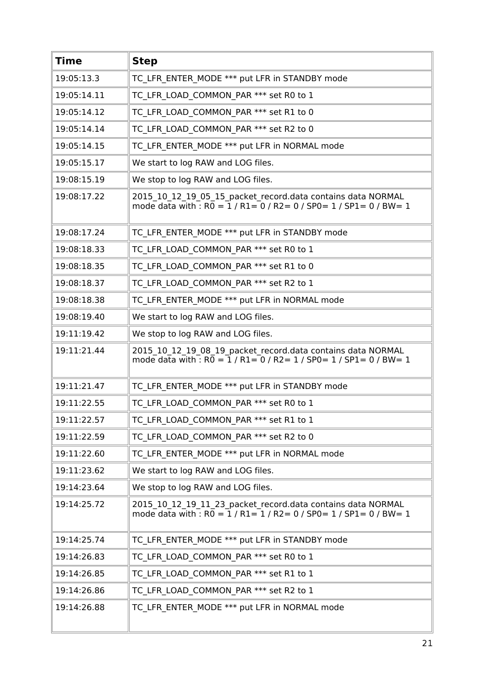| <b>Time</b> | <b>Step</b>                                                                                                                             |
|-------------|-----------------------------------------------------------------------------------------------------------------------------------------|
| 19:05:13.3  | TC LFR ENTER MODE *** put LFR in STANDBY mode                                                                                           |
| 19:05:14.11 | TC LFR LOAD COMMON PAR *** set R0 to 1                                                                                                  |
| 19:05:14.12 | TC LFR LOAD COMMON PAR *** set R1 to 0                                                                                                  |
| 19:05:14.14 | TC LFR LOAD COMMON PAR *** set R2 to 0                                                                                                  |
| 19:05:14.15 | TC LFR ENTER MODE *** put LFR in NORMAL mode                                                                                            |
| 19:05:15.17 | We start to log RAW and LOG files.                                                                                                      |
| 19:08:15.19 | We stop to log RAW and LOG files.                                                                                                       |
| 19:08:17.22 | 2015 10 12 19 05 15 packet record.data contains data NORMAL<br>mode data with : $R0 = 1 / R1 = 0 / R2 = 0 / SPO = 1 / SPL = 0 / BW = 1$ |
| 19:08:17.24 | TC LFR ENTER MODE *** put LFR in STANDBY mode                                                                                           |
| 19:08:18.33 | TC LFR LOAD COMMON PAR *** set R0 to 1                                                                                                  |
| 19:08:18.35 | TC LFR LOAD COMMON PAR *** set R1 to 0                                                                                                  |
| 19:08:18.37 | TC LFR LOAD COMMON PAR *** set R2 to 1                                                                                                  |
| 19:08:18.38 | TC LFR ENTER MODE *** put LFR in NORMAL mode                                                                                            |
| 19:08:19.40 | We start to log RAW and LOG files.                                                                                                      |
| 19:11:19.42 | We stop to log RAW and LOG files.                                                                                                       |
| 19:11:21.44 | 2015 10 12 19 08 19 packet record.data contains data NORMAL<br>mode data with : $R0 = 1 / R1 = 0 / R2 = 1 / SPO = 1 / SPI = 0 / BW = 1$ |
| 19:11:21.47 | TC LFR ENTER MODE *** put LFR in STANDBY mode                                                                                           |
| 19:11:22.55 | TC LFR LOAD COMMON PAR *** set R0 to 1                                                                                                  |
| 19:11:22.57 | TC LFR LOAD COMMON PAR *** set R1 to 1                                                                                                  |
| 19:11:22.59 | TC LFR LOAD COMMON PAR *** set R2 to 0                                                                                                  |
| 19:11:22.60 | TC LFR ENTER MODE *** put LFR in NORMAL mode                                                                                            |
| 19:11:23.62 | We start to log RAW and LOG files.                                                                                                      |
| 19:14:23.64 | We stop to log RAW and LOG files.                                                                                                       |
| 19:14:25.72 | 2015_10_12_19_11_23_packet_record.data contains data NORMAL<br>mode data with : $R0 = 1 / R1 = 1 / R2 = 0 / SPO = 1 / SPI = 0 / BW = 1$ |
| 19:14:25.74 | TC LFR ENTER MODE *** put LFR in STANDBY mode                                                                                           |
| 19:14:26.83 | TC_LFR_LOAD_COMMON_PAR *** set R0 to 1                                                                                                  |
| 19:14:26.85 | TC LFR LOAD COMMON PAR *** set R1 to 1                                                                                                  |
| 19:14:26.86 | TC LFR LOAD COMMON PAR *** set R2 to 1                                                                                                  |
| 19:14:26.88 | TC LFR ENTER MODE *** put LFR in NORMAL mode                                                                                            |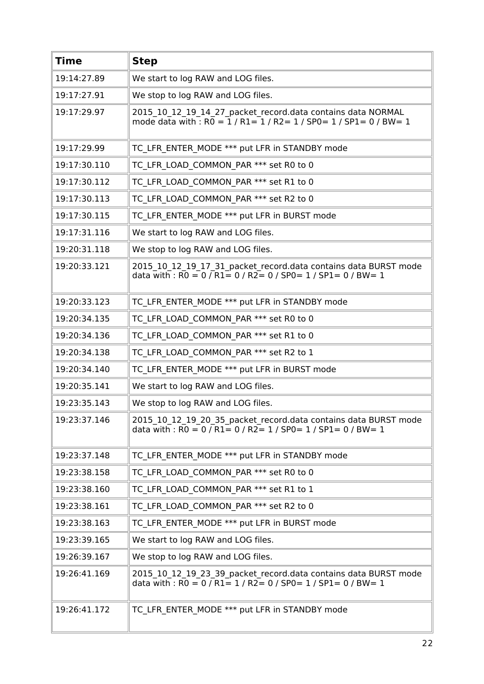| <b>Time</b>  | <b>Step</b>                                                                                                                                                                                                                    |
|--------------|--------------------------------------------------------------------------------------------------------------------------------------------------------------------------------------------------------------------------------|
| 19:14:27.89  | We start to log RAW and LOG files.                                                                                                                                                                                             |
| 19:17:27.91  | We stop to log RAW and LOG files.                                                                                                                                                                                              |
| 19:17:29.97  | 2015_10_12_19_14_27_packet_record.data contains data NORMAL<br>mode data with : $R\overline{0} = \overline{1}$ / $R1 = \overline{1}$ / $R2 = \overline{1}$ / $SP0 = \overline{1}$ / $SP1 = \overline{0}$ / $BW = \overline{1}$ |
| 19:17:29.99  | TC LFR ENTER MODE *** put LFR in STANDBY mode                                                                                                                                                                                  |
| 19:17:30.110 | TC LFR LOAD COMMON PAR *** set R0 to 0                                                                                                                                                                                         |
| 19:17:30.112 | TC LFR LOAD COMMON PAR *** set R1 to 0                                                                                                                                                                                         |
| 19:17:30.113 | TC LFR LOAD COMMON PAR *** set R2 to 0                                                                                                                                                                                         |
| 19:17:30.115 | TC LFR ENTER MODE *** put LFR in BURST mode                                                                                                                                                                                    |
| 19:17:31.116 | We start to log RAW and LOG files.                                                                                                                                                                                             |
| 19:20:31.118 | We stop to log RAW and LOG files.                                                                                                                                                                                              |
| 19:20:33.121 | 2015_10_12_19_17_31_packet_record.data contains data BURST mode<br>data with : $R0 = 0$ / $R1 = 0$ / $R2 = 0$ / SP0 = 1 / SP1 = 0 / BW = 1                                                                                     |
| 19:20:33.123 | TC LFR ENTER MODE *** put LFR in STANDBY mode                                                                                                                                                                                  |
| 19:20:34.135 | TC LFR LOAD COMMON PAR *** set R0 to 0                                                                                                                                                                                         |
| 19:20:34.136 | TC LFR LOAD COMMON PAR *** set R1 to 0                                                                                                                                                                                         |
| 19:20:34.138 | TC LFR LOAD COMMON PAR *** set R2 to 1                                                                                                                                                                                         |
| 19:20:34.140 | TC LFR ENTER MODE *** put LFR in BURST mode                                                                                                                                                                                    |
| 19:20:35.141 | We start to log RAW and LOG files.                                                                                                                                                                                             |
| 19:23:35.143 | We stop to log RAW and LOG files.                                                                                                                                                                                              |
| 19:23:37.146 | 2015 10 12 19 20 35 packet record.data contains data BURST mode<br>data with : $R0 = 0$ / $R1 = 0$ / $R2 = 1$ / $SP0 = 1$ / $SP1 = 0$ / $BW = 1$                                                                               |
| 19:23:37.148 | TC LFR ENTER MODE *** put LFR in STANDBY mode                                                                                                                                                                                  |
| 19:23:38.158 | TC LFR LOAD COMMON PAR *** set R0 to 0                                                                                                                                                                                         |
| 19:23:38.160 | TC LFR LOAD COMMON PAR *** set R1 to 1                                                                                                                                                                                         |
| 19:23:38.161 | TC LFR LOAD COMMON PAR *** set R2 to 0                                                                                                                                                                                         |
| 19:23:38.163 | TC LFR ENTER MODE *** put LFR in BURST mode                                                                                                                                                                                    |
| 19:23:39.165 | We start to log RAW and LOG files.                                                                                                                                                                                             |
| 19:26:39.167 | We stop to log RAW and LOG files.                                                                                                                                                                                              |
| 19:26:41.169 | 2015_10_12_19_23_39_packet_record.data contains data BURST mode<br>data with : R0 = 0 / R1 = 1 / R2 = 0 / SP0 = 1 / SP1 = 0 / BW = 1                                                                                           |
| 19:26:41.172 | TC LFR ENTER MODE *** put LFR in STANDBY mode                                                                                                                                                                                  |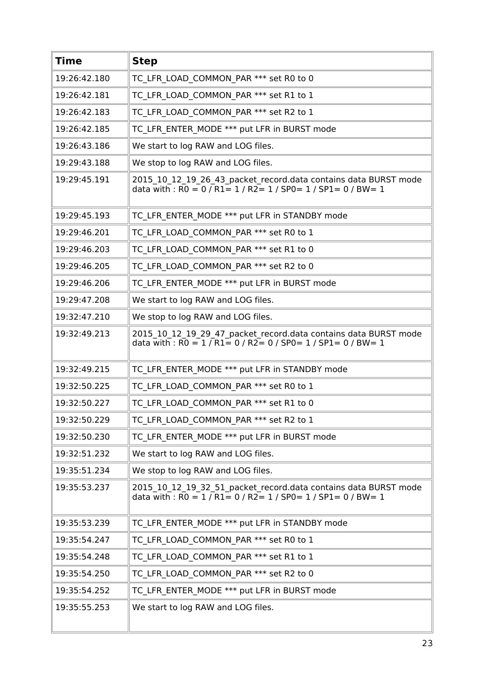| <b>Time</b>  | <b>Step</b>                                                                                                                                                                                              |
|--------------|----------------------------------------------------------------------------------------------------------------------------------------------------------------------------------------------------------|
| 19:26:42.180 | TC LFR LOAD COMMON PAR *** set R0 to 0                                                                                                                                                                   |
| 19:26:42.181 | TC LFR LOAD COMMON PAR *** set R1 to 1                                                                                                                                                                   |
| 19:26:42.183 | TC LFR LOAD COMMON PAR *** set R2 to 1                                                                                                                                                                   |
| 19:26:42.185 | TC LFR ENTER MODE *** put LFR in BURST mode                                                                                                                                                              |
| 19:26:43.186 | We start to log RAW and LOG files.                                                                                                                                                                       |
| 19:29:43.188 | We stop to log RAW and LOG files.                                                                                                                                                                        |
| 19:29:45.191 | 2015_10_12_19_26_43_packet_record.data contains data BURST mode<br>data with : $\overline{RO} = 0 / \overline{R1} = 1 / \overline{R2} = 1 / \overline{SPO} = 1 / \overline{SPI} = 0 / \overline{BW} = 1$ |
| 19:29:45.193 | TC LFR ENTER MODE *** put LFR in STANDBY mode                                                                                                                                                            |
| 19:29:46.201 | TC_LFR_LOAD_COMMON_PAR *** set R0 to 1                                                                                                                                                                   |
| 19:29:46.203 | TC_LFR_LOAD_COMMON_PAR *** set R1 to 0                                                                                                                                                                   |
| 19:29:46.205 | TC LFR LOAD COMMON PAR *** set R2 to 0                                                                                                                                                                   |
| 19:29:46.206 | TC LFR ENTER MODE *** put LFR in BURST mode                                                                                                                                                              |
| 19:29:47.208 | We start to log RAW and LOG files.                                                                                                                                                                       |
| 19:32:47.210 | We stop to log RAW and LOG files.                                                                                                                                                                        |
| 19:32:49.213 | 2015_10_12_19_29_47_packet_record.data contains data BURST mode<br>data with: $\overline{RO} = 1 / \overline{R1} = 0 / R2 = 0 / SPO = 1 / SPL = 0 / BW = 1$                                              |
| 19:32:49.215 | TC LFR ENTER MODE *** put LFR in STANDBY mode                                                                                                                                                            |
| 19:32:50.225 | TC LFR LOAD COMMON PAR *** set R0 to 1                                                                                                                                                                   |
| 19:32:50.227 | TC LFR LOAD COMMON PAR *** set R1 to 0                                                                                                                                                                   |
| 19:32:50.229 | TC LFR LOAD COMMON PAR *** set R2 to 1                                                                                                                                                                   |
| 19:32:50.230 | TC LFR ENTER MODE *** put LFR in BURST mode                                                                                                                                                              |
| 19:32:51.232 | We start to log RAW and LOG files.                                                                                                                                                                       |
| 19:35:51.234 | We stop to log RAW and LOG files.                                                                                                                                                                        |
| 19:35:53.237 | 2015_10_12_19_32_51_packet_record.data contains data BURST mode<br>data with: $\overline{RO} = 1 / \overline{R1} = 0 / R2 = 1 / SPO = 1 / SP1 = 0 / BW = 1$                                              |
| 19:35:53.239 | TC LFR ENTER MODE *** put LFR in STANDBY mode                                                                                                                                                            |
| 19:35:54.247 | TC LFR LOAD COMMON PAR *** set R0 to 1                                                                                                                                                                   |
| 19:35:54.248 | TC LFR LOAD COMMON PAR *** set R1 to 1                                                                                                                                                                   |
| 19:35:54.250 | TC LFR LOAD COMMON PAR *** set R2 to 0                                                                                                                                                                   |
| 19:35:54.252 | TC LFR ENTER MODE *** put LFR in BURST mode                                                                                                                                                              |
| 19:35:55.253 | We start to log RAW and LOG files.                                                                                                                                                                       |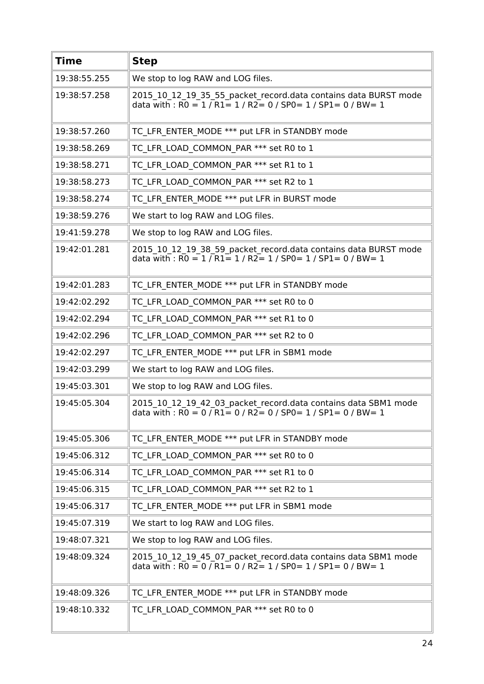| <b>Time</b>  | <b>Step</b>                                                                                                                                                                                             |
|--------------|---------------------------------------------------------------------------------------------------------------------------------------------------------------------------------------------------------|
| 19:38:55.255 | We stop to log RAW and LOG files.                                                                                                                                                                       |
| 19:38:57.258 | 2015 10 12 19 35 55 packet record.data contains data BURST mode<br>data with : $R0 = 1 / R1 = 1 / R2 = 0 / SPO = 1 / SPL = 0 / BW = 1$                                                                  |
| 19:38:57.260 | TC LFR ENTER MODE *** put LFR in STANDBY mode                                                                                                                                                           |
| 19:38:58.269 | TC LFR LOAD COMMON PAR *** set R0 to 1                                                                                                                                                                  |
| 19:38:58.271 | TC LFR LOAD COMMON PAR *** set R1 to 1                                                                                                                                                                  |
| 19:38:58.273 | TC LFR LOAD COMMON PAR *** set R2 to 1                                                                                                                                                                  |
| 19:38:58.274 | TC LFR ENTER MODE *** put LFR in BURST mode                                                                                                                                                             |
| 19:38:59.276 | We start to log RAW and LOG files.                                                                                                                                                                      |
| 19:41:59.278 | We stop to log RAW and LOG files.                                                                                                                                                                       |
| 19:42:01.281 | 2015_10_12_19_38_59_packet_record.data contains data BURST mode<br>data with: $R0 = 1 / R1 = 1 / R2 = 1 / SPO = 1 / SPL = 0 / BW = 1$                                                                   |
| 19:42:01.283 | TC LFR ENTER MODE *** put LFR in STANDBY mode                                                                                                                                                           |
| 19:42:02.292 | TC LFR LOAD COMMON PAR *** set R0 to 0                                                                                                                                                                  |
| 19:42:02.294 | TC LFR_LOAD_COMMON_PAR *** set R1 to 0                                                                                                                                                                  |
| 19:42:02.296 | TC LFR LOAD COMMON PAR *** set R2 to 0                                                                                                                                                                  |
| 19:42:02.297 | TC LFR ENTER MODE *** put LFR in SBM1 mode                                                                                                                                                              |
| 19:42:03.299 | We start to log RAW and LOG files.                                                                                                                                                                      |
| 19:45:03.301 | We stop to log RAW and LOG files.                                                                                                                                                                       |
| 19:45:05.304 | 2015_10_12_19_42_03_packet_record.data contains data SBM1 mode<br>data with : $R0 = 0$ / $R1 = 0$ / $R2 = 0$ / $SP0 = 1$ / $SP1 = 0$ / $BW = 1$                                                         |
| 19:45:05.306 | TC_LFR_ENTER_MODE *** put LFR in STANDBY mode                                                                                                                                                           |
| 19:45:06.312 | TC LFR LOAD COMMON PAR *** set R0 to 0                                                                                                                                                                  |
| 19:45:06.314 | TC LFR LOAD COMMON PAR *** set R1 to 0                                                                                                                                                                  |
| 19:45:06.315 | TC LFR_LOAD_COMMON_PAR *** set R2 to 1                                                                                                                                                                  |
| 19:45:06.317 | TC LFR ENTER MODE *** put LFR in SBM1 mode                                                                                                                                                              |
| 19:45:07.319 | We start to log RAW and LOG files.                                                                                                                                                                      |
| 19:48:07.321 | We stop to log RAW and LOG files.                                                                                                                                                                       |
| 19:48:09.324 | 2015_10_12_19_45_07_packet_record.data contains data SBM1 mode<br>data with : $\overline{RO} = 0 / \overline{R1} = 0 / \overline{R2} = 1 / \overline{SPO} = 1 / \overline{SPI} = 0 / \overline{BW} = 1$ |
| 19:48:09.326 | TC LFR ENTER MODE *** put LFR in STANDBY mode                                                                                                                                                           |
| 19:48:10.332 | TC LFR LOAD COMMON PAR *** set R0 to 0                                                                                                                                                                  |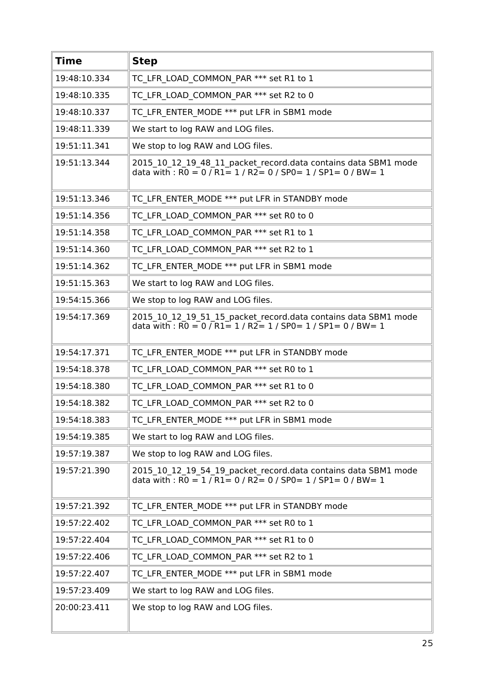| <b>Time</b>  | <b>Step</b>                                                                                                                                                                                             |
|--------------|---------------------------------------------------------------------------------------------------------------------------------------------------------------------------------------------------------|
| 19:48:10.334 | TC LFR LOAD COMMON PAR *** set R1 to 1                                                                                                                                                                  |
| 19:48:10.335 | TC LFR LOAD COMMON PAR *** set R2 to 0                                                                                                                                                                  |
| 19:48:10.337 | TC LFR ENTER MODE *** put LFR in SBM1 mode                                                                                                                                                              |
| 19:48:11.339 | We start to log RAW and LOG files.                                                                                                                                                                      |
| 19:51:11.341 | We stop to log RAW and LOG files.                                                                                                                                                                       |
| 19:51:13.344 | 2015 10 12 19 48 11 packet record.data contains data SBM1 mode<br>data with : $R0 = 0$ / $R1 = 1$ / $R2 = 0$ / SP0 = 1 / SP1 = 0 / BW = 1                                                               |
| 19:51:13.346 | TC LFR ENTER MODE *** put LFR in STANDBY mode                                                                                                                                                           |
| 19:51:14.356 | TC LFR LOAD COMMON PAR *** set R0 to 0                                                                                                                                                                  |
| 19:51:14.358 | TC LFR LOAD COMMON PAR *** set R1 to 1                                                                                                                                                                  |
| 19:51:14.360 | TC LFR LOAD COMMON PAR *** set R2 to 1                                                                                                                                                                  |
| 19:51:14.362 | TC LFR ENTER MODE *** put LFR in SBM1 mode                                                                                                                                                              |
| 19:51:15.363 | We start to log RAW and LOG files.                                                                                                                                                                      |
| 19:54:15.366 | We stop to log RAW and LOG files.                                                                                                                                                                       |
| 19:54:17.369 | 2015_10_12_19_51_15_packet_record.data contains data SBM1 mode<br>data with: $R0 = 0$ / $R1 = 1$ / $R2 = 1$ / $SP0 = 1$ / $SP1 = 0$ / $BW = 1$                                                          |
| 19:54:17.371 | TC LFR ENTER MODE *** put LFR in STANDBY mode                                                                                                                                                           |
| 19:54:18.378 | TC LFR LOAD COMMON PAR *** set R0 to 1                                                                                                                                                                  |
| 19:54:18.380 | TC LFR LOAD COMMON PAR *** set R1 to 0                                                                                                                                                                  |
| 19:54:18.382 | TC LFR LOAD COMMON PAR *** set R2 to 0                                                                                                                                                                  |
| 19:54:18.383 | TC LFR ENTER MODE *** put LFR in SBM1 mode                                                                                                                                                              |
| 19:54:19.385 | We start to log RAW and LOG files.                                                                                                                                                                      |
| 19:57:19.387 | We stop to log RAW and LOG files.                                                                                                                                                                       |
| 19:57:21.390 | 2015 10 12 19 54 19 packet record.data contains data SBM1 mode<br>data with : $\overline{RO} = 1 / \overline{R1} = 0 / \overline{R2} = 0 / \overline{SPO} = 1 / \overline{SPI} = 0 / \overline{BW} = 1$ |
| 19:57:21.392 | TC LFR ENTER MODE *** put LFR in STANDBY mode                                                                                                                                                           |
| 19:57:22.402 | TC LFR LOAD COMMON PAR *** set R0 to 1                                                                                                                                                                  |
| 19:57:22.404 | TC LFR LOAD COMMON PAR *** set R1 to 0                                                                                                                                                                  |
| 19:57:22.406 | TC LFR LOAD COMMON PAR *** set R2 to 1                                                                                                                                                                  |
| 19:57:22.407 | TC LFR ENTER MODE *** put LFR in SBM1 mode                                                                                                                                                              |
| 19:57:23.409 | We start to log RAW and LOG files.                                                                                                                                                                      |
| 20:00:23.411 | We stop to log RAW and LOG files.                                                                                                                                                                       |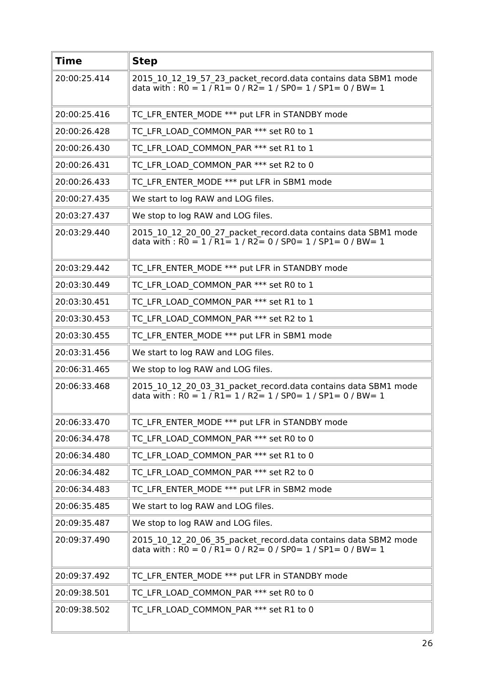| <b>Time</b>  | <b>Step</b>                                                                                                                                                                                             |
|--------------|---------------------------------------------------------------------------------------------------------------------------------------------------------------------------------------------------------|
| 20:00:25.414 | 2015 10 12 19 57 23 packet record.data contains data SBM1 mode<br>data with : $R0 = 1 / R1 = 0 / R2 = 1 / SPO = 1 / SPI = 0 / BW = 1$                                                                   |
| 20:00:25.416 | TC LFR ENTER MODE *** put LFR in STANDBY mode                                                                                                                                                           |
| 20:00:26.428 | TC LFR LOAD COMMON PAR *** set R0 to 1                                                                                                                                                                  |
| 20:00:26.430 | TC LFR LOAD COMMON PAR *** set R1 to 1                                                                                                                                                                  |
| 20:00:26.431 | TC LFR LOAD COMMON PAR *** set R2 to 0                                                                                                                                                                  |
| 20:00:26.433 | TC LFR ENTER MODE *** put LFR in SBM1 mode                                                                                                                                                              |
| 20:00:27.435 | We start to log RAW and LOG files.                                                                                                                                                                      |
| 20:03:27.437 | We stop to log RAW and LOG files.                                                                                                                                                                       |
| 20:03:29.440 | 2015_10_12_20_00_27_packet_record.data contains data SBM1 mode<br>data with : $R0 = 1 / R1 = 1 / R2 = 0 / SPO = 1 / SPL = 0 / BW = 1$                                                                   |
| 20:03:29.442 | TC LFR ENTER MODE *** put LFR in STANDBY mode                                                                                                                                                           |
| 20:03:30.449 | TC LFR LOAD COMMON PAR *** set R0 to 1                                                                                                                                                                  |
| 20:03:30.451 | TC LFR LOAD COMMON PAR *** set R1 to 1                                                                                                                                                                  |
| 20:03:30.453 | TC LFR LOAD COMMON PAR *** set R2 to 1                                                                                                                                                                  |
| 20:03:30.455 | TC LFR ENTER MODE *** put LFR in SBM1 mode                                                                                                                                                              |
| 20:03:31.456 | We start to log RAW and LOG files.                                                                                                                                                                      |
| 20:06:31.465 | We stop to log RAW and LOG files.                                                                                                                                                                       |
| 20:06:33.468 | 2015 10 12 20 03 31 packet record.data contains data SBM1 mode<br>data with : $\overline{RO} = 1 / \overline{R1} = 1 / \overline{R2} = 1 / \overline{SPO} = 1 / \overline{SPI} = 0 / \overline{BW} = 1$ |
| 20:06:33.470 | TC_LFR_ENTER_MODE *** put LFR in STANDBY mode                                                                                                                                                           |
| 20:06:34.478 | TC LFR LOAD COMMON PAR *** set R0 to 0                                                                                                                                                                  |
| 20:06:34.480 | TC LFR LOAD COMMON PAR *** set R1 to 0                                                                                                                                                                  |
| 20:06:34.482 | TC LFR LOAD COMMON PAR *** set R2 to 0                                                                                                                                                                  |
| 20:06:34.483 | TC LFR ENTER MODE *** put LFR in SBM2 mode                                                                                                                                                              |
| 20:06:35.485 | We start to log RAW and LOG files.                                                                                                                                                                      |
| 20:09:35.487 | We stop to log RAW and LOG files.                                                                                                                                                                       |
| 20:09:37.490 | 2015 10 12 20 06 35 packet record.data contains data SBM2 mode<br>data with : $\overline{RO} = 0 / \overline{R1} = 0 / \overline{R2} = 0 / \overline{SPO} = 1 / \overline{SPI} = 0 / \overline{BW} = 1$ |
| 20:09:37.492 | TC LFR ENTER MODE *** put LFR in STANDBY mode                                                                                                                                                           |
| 20:09:38.501 | TC LFR LOAD COMMON PAR *** set R0 to 0                                                                                                                                                                  |
| 20:09:38.502 | TC LFR LOAD COMMON PAR *** set R1 to 0                                                                                                                                                                  |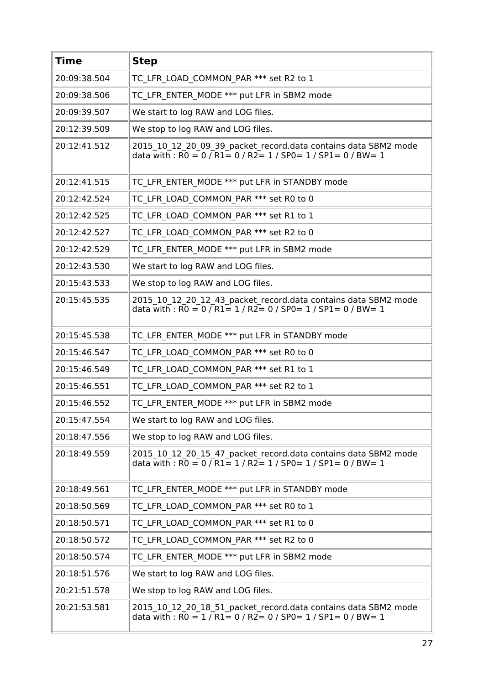| <b>Time</b>  | <b>Step</b>                                                                                                                                                                                             |
|--------------|---------------------------------------------------------------------------------------------------------------------------------------------------------------------------------------------------------|
| 20:09:38.504 | TC LFR LOAD COMMON PAR *** set R2 to 1                                                                                                                                                                  |
| 20:09:38.506 | TC LFR ENTER_MODE *** put LFR in SBM2 mode                                                                                                                                                              |
| 20:09:39.507 | We start to log RAW and LOG files.                                                                                                                                                                      |
| 20:12:39.509 | We stop to log RAW and LOG files.                                                                                                                                                                       |
| 20:12:41.512 | 2015 10 12 20 09 39 packet record.data contains data SBM2 mode<br>data with : $\overline{RO} = 0 / \overline{R1} = 0 / \overline{R2} = 1 / \overline{SPO} = 1 / \overline{SPI} = 0 / \overline{BW} = 1$ |
| 20:12:41.515 | TC LFR ENTER MODE *** put LFR in STANDBY mode                                                                                                                                                           |
| 20:12:42.524 | TC LFR LOAD COMMON PAR *** set R0 to 0                                                                                                                                                                  |
| 20:12:42.525 | TC LFR LOAD COMMON PAR *** set R1 to 1                                                                                                                                                                  |
| 20:12:42.527 | TC LFR LOAD COMMON PAR *** set R2 to 0                                                                                                                                                                  |
| 20:12:42.529 | TC LFR ENTER MODE *** put LFR in SBM2 mode                                                                                                                                                              |
| 20:12:43.530 | We start to log RAW and LOG files.                                                                                                                                                                      |
| 20:15:43.533 | We stop to log RAW and LOG files.                                                                                                                                                                       |
| 20:15:45.535 | 2015_10_12_20_12_43_packet_record.data contains data SBM2 mode<br>data with : R0 = 0 / R1 = 1 / R2 = 0 / SP0 = 1 / SP1 = 0 / BW = 1                                                                     |
| 20:15:45.538 | TC LFR ENTER MODE *** put LFR in STANDBY mode                                                                                                                                                           |
| 20:15:46.547 | TC LFR LOAD COMMON PAR *** set R0 to 0                                                                                                                                                                  |
| 20:15:46.549 | TC LFR LOAD COMMON PAR *** set R1 to 1                                                                                                                                                                  |
| 20:15:46.551 | TC LFR LOAD COMMON PAR *** set R2 to 1                                                                                                                                                                  |
| 20:15:46.552 | TC LFR ENTER MODE *** put LFR in SBM2 mode                                                                                                                                                              |
| 20:15:47.554 | We start to log RAW and LOG files.                                                                                                                                                                      |
| 20:18:47.556 | We stop to log RAW and LOG files.                                                                                                                                                                       |
| 20:18:49.559 | 2015 10 12 20 15 47 packet record.data contains data SBM2 mode<br>data with : $\overline{RO} = 0 / \overline{R1} = 1 / \overline{R2} = 1 / \overline{SPO} = 1 / \overline{SPI} = 0 / \overline{BW} = 1$ |
| 20:18:49.561 | TC LFR ENTER MODE *** put LFR in STANDBY mode                                                                                                                                                           |
| 20:18:50.569 | TC LFR LOAD COMMON PAR *** set R0 to 1                                                                                                                                                                  |
| 20:18:50.571 | TC LFR LOAD COMMON PAR *** set R1 to 0                                                                                                                                                                  |
| 20:18:50.572 | TC LFR LOAD COMMON PAR *** set R2 to 0                                                                                                                                                                  |
| 20:18:50.574 | TC LFR ENTER MODE *** put LFR in SBM2 mode                                                                                                                                                              |
| 20:18:51.576 | We start to log RAW and LOG files.                                                                                                                                                                      |
| 20:21:51.578 | We stop to log RAW and LOG files.                                                                                                                                                                       |
| 20:21:53.581 | 2015 10 12 20 18 51 packet record.data contains data SBM2 mode<br>data with : $R0 = 1 / R1 = 0 / R2 = 0 / SPO = 1 / SPI = 0 / BW = 1$                                                                   |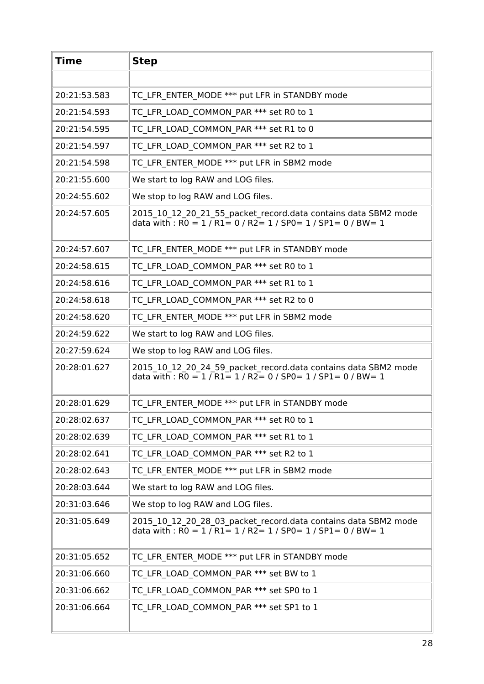| <b>Time</b>  | <b>Step</b>                                                                                                                                                                                             |
|--------------|---------------------------------------------------------------------------------------------------------------------------------------------------------------------------------------------------------|
|              |                                                                                                                                                                                                         |
| 20:21:53.583 | TC LFR ENTER MODE *** put LFR in STANDBY mode                                                                                                                                                           |
| 20:21:54.593 | TC LFR LOAD COMMON PAR *** set R0 to 1                                                                                                                                                                  |
| 20:21:54.595 | TC LFR LOAD COMMON_PAR *** set R1 to 0                                                                                                                                                                  |
| 20:21:54.597 | TC LFR LOAD COMMON PAR *** set R2 to 1                                                                                                                                                                  |
| 20:21:54.598 | TC LFR ENTER MODE *** put LFR in SBM2 mode                                                                                                                                                              |
| 20:21:55.600 | We start to log RAW and LOG files.                                                                                                                                                                      |
| 20:24:55.602 | We stop to log RAW and LOG files.                                                                                                                                                                       |
| 20:24:57.605 | 2015 10 12 20 21 55 packet record.data contains data SBM2 mode<br>data with : $R0 = 1/R1 = 0/R2 = 1/SP0 = 1/SP1 = 0/BW = 1$                                                                             |
| 20:24:57.607 | TC LFR ENTER MODE *** put LFR in STANDBY mode                                                                                                                                                           |
| 20:24:58.615 | TC LFR LOAD COMMON_PAR *** set R0 to 1                                                                                                                                                                  |
| 20:24:58.616 | TC LFR LOAD COMMON PAR *** set R1 to 1                                                                                                                                                                  |
| 20:24:58.618 | TC LFR LOAD COMMON PAR *** set R2 to 0                                                                                                                                                                  |
| 20:24:58.620 | TC LFR ENTER MODE *** put LFR in SBM2 mode                                                                                                                                                              |
| 20:24:59.622 | We start to log RAW and LOG files.                                                                                                                                                                      |
| 20:27:59.624 | We stop to log RAW and LOG files.                                                                                                                                                                       |
| 20:28:01.627 | 2015_10_12_20_24_59_packet_record.data contains data SBM2 mode<br>data with : $R0 = 1/R1 = 1/R2 = 0/SPO = 1/SP1 = 0/BW = 1$                                                                             |
| 20:28:01.629 | TC LFR ENTER MODE *** put LFR in STANDBY mode                                                                                                                                                           |
| 20:28:02.637 | TC LFR LOAD COMMON PAR *** set R0 to 1                                                                                                                                                                  |
| 20:28:02.639 | TC LFR LOAD COMMON PAR *** set R1 to 1                                                                                                                                                                  |
| 20:28:02.641 | TC LFR LOAD COMMON PAR *** set R2 to 1                                                                                                                                                                  |
| 20:28:02.643 | TC LFR ENTER MODE *** put LFR in SBM2 mode                                                                                                                                                              |
| 20:28:03.644 | We start to log RAW and LOG files.                                                                                                                                                                      |
| 20:31:03.646 | We stop to log RAW and LOG files.                                                                                                                                                                       |
| 20:31:05.649 | 2015_10_12_20_28_03_packet_record.data contains data SBM2 mode<br>data with : $\overline{RO} = 1 / \overline{R1} = 1 / \overline{R2} = 1 / \overline{SPO} = 1 / \overline{SPI} = 0 / \overline{BW} = 1$ |
| 20:31:05.652 | TC LFR ENTER MODE *** put LFR in STANDBY mode                                                                                                                                                           |
| 20:31:06.660 | TC LFR LOAD COMMON PAR *** set BW to 1                                                                                                                                                                  |
| 20:31:06.662 | TC LFR LOAD COMMON PAR *** set SP0 to 1                                                                                                                                                                 |
| 20:31:06.664 | TC_LFR_LOAD_COMMON_PAR *** set SP1 to 1                                                                                                                                                                 |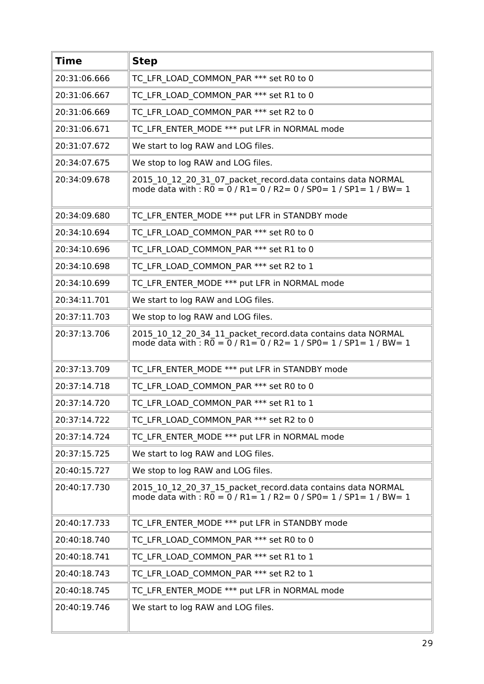| <b>Time</b>  | <b>Step</b>                                                                                                                                       |
|--------------|---------------------------------------------------------------------------------------------------------------------------------------------------|
| 20:31:06.666 | TC_LFR_LOAD_COMMON_PAR *** set R0 to 0                                                                                                            |
| 20:31:06.667 | TC LFR LOAD COMMON PAR *** set R1 to 0                                                                                                            |
| 20:31:06.669 | TC LFR LOAD COMMON PAR *** set R2 to 0                                                                                                            |
| 20:31:06.671 | TC LFR ENTER MODE *** put LFR in NORMAL mode                                                                                                      |
| 20:31:07.672 | We start to log RAW and LOG files.                                                                                                                |
| 20:34:07.675 | We stop to log RAW and LOG files.                                                                                                                 |
| 20:34:09.678 | 2015_10_12_20_31_07_packet_record.data contains data NORMAL<br>mode data with : $R0 = 0$ / $R1 = 0$ / $R2 = 0$ / $SP0 = 1$ / $SP1 = 1$ / $BW = 1$ |
| 20:34:09.680 | TC LFR ENTER MODE *** put LFR in STANDBY mode                                                                                                     |
| 20:34:10.694 | TC_LFR_LOAD_COMMON_PAR *** set R0 to 0                                                                                                            |
| 20:34:10.696 | TC LFR LOAD_COMMON_PAR *** set R1 to 0                                                                                                            |
| 20:34:10.698 | TC LFR LOAD COMMON PAR *** set R2 to 1                                                                                                            |
| 20:34:10.699 | TC LFR ENTER MODE *** put LFR in NORMAL mode                                                                                                      |
| 20:34:11.701 | We start to log RAW and LOG files.                                                                                                                |
| 20:37:11.703 | We stop to log RAW and LOG files.                                                                                                                 |
| 20:37:13.706 | 2015_10_12_20_34_11_packet_record.data contains data NORMAL<br>mode data with : $R0 = 0$ / $R1 = 0$ / $R2 = 1$ / $SP0 = 1$ / $SP1 = 1$ / $BW = 1$ |
| 20:37:13.709 | TC LFR ENTER MODE *** put LFR in STANDBY mode                                                                                                     |
| 20:37:14.718 | TC LFR LOAD COMMON PAR *** set R0 to 0                                                                                                            |
| 20:37:14.720 | TC_LFR_LOAD_COMMON_PAR *** set R1 to 1                                                                                                            |
| 20:37:14.722 | TC LFR LOAD COMMON PAR *** set R2 to 0                                                                                                            |
| 20:37:14.724 | TC LFR ENTER MODE *** put LFR in NORMAL mode                                                                                                      |
| 20:37:15.725 | We start to log RAW and LOG files.                                                                                                                |
| 20:40:15.727 | We stop to log RAW and LOG files.                                                                                                                 |
| 20:40:17.730 | 2015 10 12 20 37 15 packet record.data contains data NORMAL<br>mode data with : $R0 = 0$ / $R1 = 1$ / $R2 = 0$ / $SP0 = 1$ / $SP1 = 1$ / $BW = 1$ |
| 20:40:17.733 | TC LFR ENTER MODE *** put LFR in STANDBY mode                                                                                                     |
| 20:40:18.740 | TC LFR LOAD COMMON PAR *** set R0 to 0                                                                                                            |
| 20:40:18.741 | TC LFR LOAD COMMON PAR *** set R1 to 1                                                                                                            |
| 20:40:18.743 | TC LFR LOAD COMMON PAR *** set R2 to 1                                                                                                            |
| 20:40:18.745 | TC LFR ENTER MODE *** put LFR in NORMAL mode                                                                                                      |
| 20:40:19.746 | We start to log RAW and LOG files.                                                                                                                |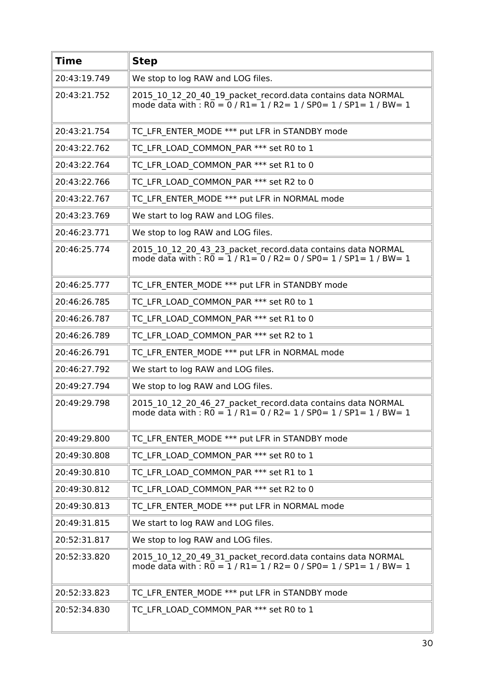| <b>Time</b>  | <b>Step</b>                                                                                                                                                                    |
|--------------|--------------------------------------------------------------------------------------------------------------------------------------------------------------------------------|
| 20:43:19.749 | We stop to log RAW and LOG files.                                                                                                                                              |
| 20:43:21.752 | 2015 10 12 20 40 19 packet record.data contains data NORMAL<br>mode data with : $R0 = 0$ / $R1 = 1$ / $R2 = 1$ / $SP0 = 1$ / $SP1 = 1$ / $BW = 1$                              |
| 20:43:21.754 | TC LFR ENTER MODE *** put LFR in STANDBY mode                                                                                                                                  |
| 20:43:22.762 | TC LFR LOAD COMMON PAR *** set R0 to 1                                                                                                                                         |
| 20:43:22.764 | TC LFR LOAD COMMON PAR *** set R1 to 0                                                                                                                                         |
| 20:43:22.766 | TC LFR LOAD COMMON PAR *** set R2 to 0                                                                                                                                         |
| 20:43:22.767 | TC LFR ENTER MODE *** put LFR in NORMAL mode                                                                                                                                   |
| 20:43:23.769 | We start to log RAW and LOG files.                                                                                                                                             |
| 20:46:23.771 | We stop to log RAW and LOG files.                                                                                                                                              |
| 20:46:25.774 | 2015_10_12_20_43_23_packet_record.data contains data NORMAL<br>mode data with : R0 = 1 / R1= 0 / R2= 0 / SP0= 1 / SP1= 1 / BW= 1                                               |
| 20:46:25.777 | TC LFR ENTER MODE *** put LFR in STANDBY mode                                                                                                                                  |
| 20:46:26.785 | TC LFR LOAD COMMON PAR *** set R0 to 1                                                                                                                                         |
| 20:46:26.787 | TC LFR LOAD_COMMON_PAR *** set R1 to 0                                                                                                                                         |
| 20:46:26.789 | TC LFR LOAD COMMON PAR *** set R2 to 1                                                                                                                                         |
| 20:46:26.791 | TC LFR ENTER MODE *** put LFR in NORMAL mode                                                                                                                                   |
| 20:46:27.792 | We start to log RAW and LOG files.                                                                                                                                             |
| 20:49:27.794 | We stop to log RAW and LOG files.                                                                                                                                              |
| 20:49:29.798 | 2015 10 12 20 46 27 packet record.data contains data NORMAL<br>mode data with : $R0 = 1 / R1 = 0 / R2 = 1 / SPO = 1 / SPI = 1 / BW = 1$                                        |
| 20:49:29.800 | TC LFR ENTER MODE *** put LFR in STANDBY mode                                                                                                                                  |
| 20:49:30.808 | TC LFR LOAD COMMON PAR *** set R0 to 1                                                                                                                                         |
| 20:49:30.810 | TC LFR LOAD COMMON PAR *** set R1 to 1                                                                                                                                         |
| 20:49:30.812 | TC_LFR_LOAD_COMMON_PAR *** set R2 to 0                                                                                                                                         |
| 20:49:30.813 | TC LFR ENTER MODE *** put LFR in NORMAL mode                                                                                                                                   |
| 20:49:31.815 | We start to log RAW and LOG files.                                                                                                                                             |
| 20:52:31.817 | We stop to log RAW and LOG files.                                                                                                                                              |
| 20:52:33.820 | 2015_10_12_20_49_31_packet_record.data contains data NORMAL<br>mode data with $\cdot$ : R $\overline{0} = \overline{1}$ / R1= $\overline{1}$ / R2= 0 / SP0= 1 / SP1= 1 / BW= 1 |
| 20:52:33.823 | TC LFR ENTER MODE *** put LFR in STANDBY mode                                                                                                                                  |
| 20:52:34.830 | TC LFR LOAD COMMON PAR *** set R0 to 1                                                                                                                                         |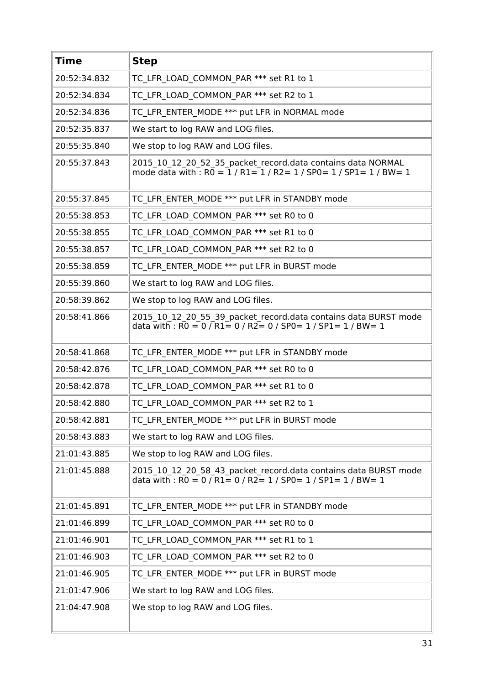| <b>Time</b>  | <b>Step</b>                                                                                                                                                                                              |
|--------------|----------------------------------------------------------------------------------------------------------------------------------------------------------------------------------------------------------|
| 20:52:34.832 | TC LFR LOAD COMMON PAR *** set R1 to 1                                                                                                                                                                   |
| 20:52:34.834 | TC LFR LOAD COMMON PAR *** set R2 to 1                                                                                                                                                                   |
| 20:52:34.836 | TC LFR ENTER MODE *** put LFR in NORMAL mode                                                                                                                                                             |
| 20:52:35.837 | We start to log RAW and LOG files.                                                                                                                                                                       |
| 20:55:35.840 | We stop to log RAW and LOG files.                                                                                                                                                                        |
| 20:55:37.843 | 2015 10 12 20 52 35 packet record.data contains data NORMAL<br>mode data with : R0 = $1/R1 = 1/R2 = 1/SPO = 1/SPI = 1/BW = 1$                                                                            |
| 20:55:37.845 | TC LFR ENTER MODE *** put LFR in STANDBY mode                                                                                                                                                            |
| 20:55:38.853 | TC LFR LOAD COMMON PAR *** set R0 to 0                                                                                                                                                                   |
| 20:55:38.855 | TC LFR LOAD COMMON PAR *** set R1 to 0                                                                                                                                                                   |
| 20:55:38.857 | TC_LFR_LOAD_COMMON_PAR *** set R2 to 0                                                                                                                                                                   |
| 20:55:38.859 | TC LFR ENTER MODE *** put LFR in BURST mode                                                                                                                                                              |
| 20:55:39.860 | We start to log RAW and LOG files.                                                                                                                                                                       |
| 20:58:39.862 | We stop to log RAW and LOG files.                                                                                                                                                                        |
| 20:58:41.866 | 2015 10 12 20 55 39 packet record.data contains data BURST mode<br>data with : $\overline{RO} = 0 / \overline{R1} = 0 / \overline{R2} = 0 / \overline{SPO} = 1 / \overline{SPI} = 1 / \overline{BW} = 1$ |
| 20:58:41.868 | TC LFR ENTER MODE *** put LFR in STANDBY mode                                                                                                                                                            |
| 20:58:42.876 | TC LFR LOAD COMMON PAR *** set R0 to 0                                                                                                                                                                   |
| 20:58:42.878 | TC LFR LOAD COMMON PAR *** set R1 to 0                                                                                                                                                                   |
| 20:58:42.880 | TC LFR LOAD COMMON PAR *** set R2 to 1                                                                                                                                                                   |
| 20:58:42.881 | TC LFR ENTER MODE *** put LFR in BURST mode                                                                                                                                                              |
| 20:58:43.883 | We start to log RAW and LOG files.                                                                                                                                                                       |
| 21:01:43.885 | We stop to log RAW and LOG files.                                                                                                                                                                        |
| 21:01:45.888 | 2015_10_12_20_58_43_packet_record.data contains data BURST mode<br>data with: $R0 = 0$ / $R1 = 0$ / $R2 = 1$ / SP0 = 1 / SP1 = 1 / BW = 1                                                                |
| 21:01:45.891 | TC LFR ENTER MODE *** put LFR in STANDBY mode                                                                                                                                                            |
| 21:01:46.899 | TC LFR LOAD_COMMON_PAR *** set R0 to 0                                                                                                                                                                   |
| 21:01:46.901 | TC LFR LOAD COMMON PAR *** set R1 to 1                                                                                                                                                                   |
| 21:01:46.903 | TC LFR LOAD COMMON PAR *** set R2 to 0                                                                                                                                                                   |
| 21:01:46.905 | TC LFR ENTER MODE *** put LFR in BURST mode                                                                                                                                                              |
| 21:01:47.906 | We start to log RAW and LOG files.                                                                                                                                                                       |
| 21:04:47.908 | We stop to log RAW and LOG files.                                                                                                                                                                        |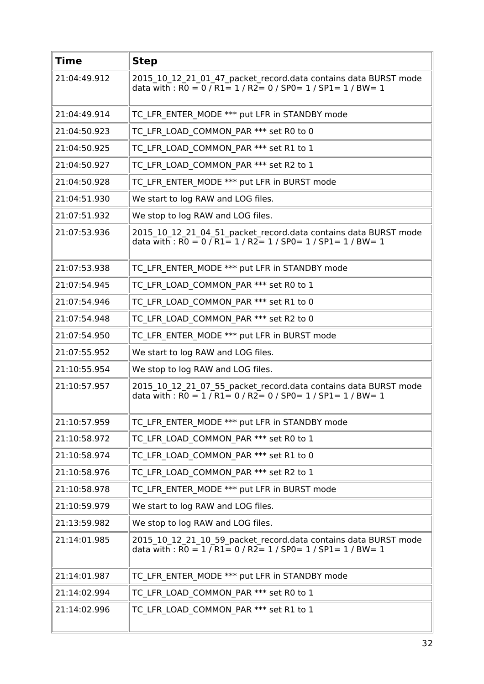| <b>Time</b>  | <b>Step</b>                                                                                                                                                                                              |
|--------------|----------------------------------------------------------------------------------------------------------------------------------------------------------------------------------------------------------|
| 21:04:49.912 | 2015 10 12 21 01 47 packet record.data contains data BURST mode<br>data with : $R0 = 0$ / $R1 = 1$ / $R2 = 0$ / $SP0 = 1$ / $SP1 = 1$ / $BW = 1$                                                         |
| 21:04:49.914 | TC LFR ENTER MODE *** put LFR in STANDBY mode                                                                                                                                                            |
| 21:04:50.923 | TC LFR LOAD COMMON PAR *** set R0 to 0                                                                                                                                                                   |
| 21:04:50.925 | TC LFR LOAD COMMON PAR *** set R1 to 1                                                                                                                                                                   |
| 21:04:50.927 | TC LFR LOAD COMMON PAR *** set R2 to 1                                                                                                                                                                   |
| 21:04:50.928 | TC LFR ENTER MODE *** put LFR in BURST mode                                                                                                                                                              |
| 21:04:51.930 | We start to log RAW and LOG files.                                                                                                                                                                       |
| 21:07:51.932 | We stop to log RAW and LOG files.                                                                                                                                                                        |
| 21:07:53.936 | 2015_10_12_21_04_51_packet_record.data contains data BURST mode<br>data with : $R0 = 0$ / $R1 = 1$ / $R2 = 1$ / $SP0 = 1$ / $SP1 = 1$ / $BW = 1$                                                         |
| 21:07:53.938 | TC LFR ENTER MODE *** put LFR in STANDBY mode                                                                                                                                                            |
| 21:07:54.945 | TC LFR LOAD COMMON PAR *** set R0 to 1                                                                                                                                                                   |
| 21:07:54.946 | TC_LFR_LOAD_COMMON_PAR *** set R1 to 0                                                                                                                                                                   |
| 21:07:54.948 | TC LFR LOAD COMMON PAR *** set R2 to 0                                                                                                                                                                   |
| 21:07:54.950 | TC LFR ENTER MODE *** put LFR in BURST mode                                                                                                                                                              |
| 21:07:55.952 | We start to log RAW and LOG files.                                                                                                                                                                       |
| 21:10:55.954 | We stop to log RAW and LOG files.                                                                                                                                                                        |
| 21:10:57.957 | 2015 10 12 21 07 55 packet record.data contains data BURST mode<br>data with : $\overline{RO} = 1 / \overline{R1} = 0 / R2 = 0 / SPO = 1 / SP1 = 1 / BW = 1$                                             |
| 21:10:57.959 | TC LFR ENTER MODE *** put LFR in STANDBY mode                                                                                                                                                            |
| 21:10:58.972 | TC LFR LOAD COMMON PAR *** set R0 to 1                                                                                                                                                                   |
| 21:10:58.974 | TC LFR LOAD COMMON PAR *** set R1 to 0                                                                                                                                                                   |
| 21:10:58.976 | TC LFR LOAD COMMON PAR *** set R2 to 1                                                                                                                                                                   |
| 21:10:58.978 | TC LFR ENTER MODE *** put LFR in BURST mode                                                                                                                                                              |
| 21:10:59.979 | We start to log RAW and LOG files.                                                                                                                                                                       |
| 21:13:59.982 | We stop to log RAW and LOG files.                                                                                                                                                                        |
| 21:14:01.985 | 2015 10 12 21 10 59 packet record.data contains data BURST mode<br>data with : $\overline{RO} = 1 / \overline{R1} = 0 / \overline{R2} = 1 / \overline{SPO} = 1 / \overline{SPI} = 1 / \overline{BW} = 1$ |
| 21:14:01.987 | TC LFR ENTER MODE *** put LFR in STANDBY mode                                                                                                                                                            |
| 21:14:02.994 | TC LFR LOAD COMMON PAR *** set R0 to 1                                                                                                                                                                   |
| 21:14:02.996 | TC LFR LOAD COMMON PAR *** set R1 to 1                                                                                                                                                                   |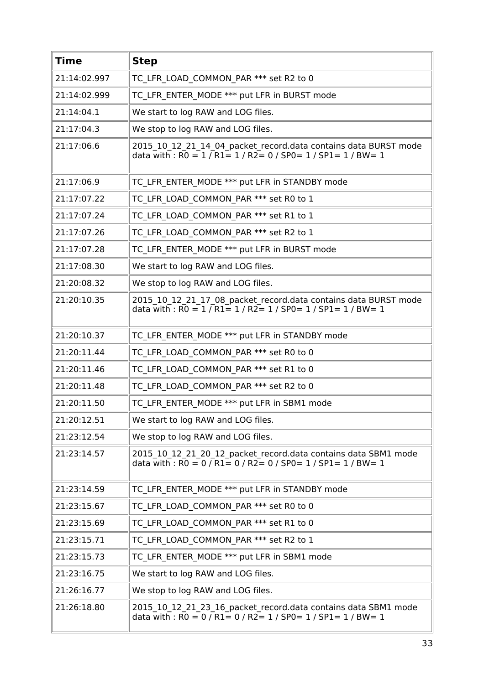| <b>Time</b>  | <b>Step</b>                                                                                                                                                                                             |
|--------------|---------------------------------------------------------------------------------------------------------------------------------------------------------------------------------------------------------|
| 21:14:02.997 | TC LFR LOAD COMMON PAR *** set R2 to 0                                                                                                                                                                  |
| 21:14:02.999 | TC LFR ENTER MODE *** put LFR in BURST mode                                                                                                                                                             |
| 21:14:04.1   | We start to log RAW and LOG files.                                                                                                                                                                      |
| 21:17:04.3   | We stop to log RAW and LOG files.                                                                                                                                                                       |
| 21:17:06.6   | 2015 10 12 21 14 04 packet record.data contains data BURST mode<br>data with: $R0 = 1 / R1 = 1 / R2 = 0 / SP0 = 1 / SP1 = 1 / BW = 1$                                                                   |
| 21:17:06.9   | TC LFR ENTER MODE *** put LFR in STANDBY mode                                                                                                                                                           |
| 21:17:07.22  | TC LFR LOAD COMMON PAR *** set R0 to 1                                                                                                                                                                  |
| 21:17:07.24  | TC LFR LOAD COMMON PAR *** set R1 to 1                                                                                                                                                                  |
| 21:17:07.26  | TC LFR LOAD COMMON PAR *** set R2 to 1                                                                                                                                                                  |
| 21:17:07.28  | TC LFR ENTER MODE *** put LFR in BURST mode                                                                                                                                                             |
| 21:17:08.30  | We start to log RAW and LOG files.                                                                                                                                                                      |
| 21:20:08.32  | We stop to log RAW and LOG files.                                                                                                                                                                       |
| 21:20:10.35  | 2015_10_12_21_17_08_packet_record.data contains data BURST mode<br>data with : $RO = 1 / R1 = 1 / R2 = 1 / SPO = 1 / SP1 = 1 / BW = 1$                                                                  |
| 21:20:10.37  | TC LFR ENTER MODE *** put LFR in STANDBY mode                                                                                                                                                           |
| 21:20:11.44  | TC LFR LOAD COMMON PAR *** set R0 to 0                                                                                                                                                                  |
| 21:20:11.46  | TC LFR LOAD COMMON PAR *** set R1 to 0                                                                                                                                                                  |
| 21:20:11.48  | TC LFR LOAD COMMON PAR *** set R2 to 0                                                                                                                                                                  |
| 21:20:11.50  | TC LFR ENTER MODE *** put LFR in SBM1 mode                                                                                                                                                              |
| 21:20:12.51  | We start to log RAW and LOG files.                                                                                                                                                                      |
| 21:23:12.54  | We stop to log RAW and LOG files.                                                                                                                                                                       |
| 21:23:14.57  | 2015 10 12 21 20 12 packet record.data contains data SBM1 mode<br>data with : $\overline{RO} = 0 / \overline{R1} = 0 / \overline{R2} = 0 / \overline{SPO} = 1 / \overline{SPI} = 1 / \overline{BW} = 1$ |
| 21:23:14.59  | TC LFR ENTER MODE *** put LFR in STANDBY mode                                                                                                                                                           |
| 21:23:15.67  | TC LFR LOAD COMMON PAR *** set R0 to 0                                                                                                                                                                  |
| 21:23:15.69  | TC LFR LOAD COMMON PAR *** set R1 to 0                                                                                                                                                                  |
| 21:23:15.71  | TC LFR LOAD COMMON PAR *** set R2 to 1                                                                                                                                                                  |
| 21:23:15.73  | TC LFR ENTER MODE *** put LFR in SBM1 mode                                                                                                                                                              |
| 21:23:16.75  | We start to log RAW and LOG files.                                                                                                                                                                      |
| 21:26:16.77  | We stop to log RAW and LOG files.                                                                                                                                                                       |
| 21:26:18.80  | 2015 10 12 21 23 16 packet record.data contains data SBM1 mode<br>data with : R0 = 0 / R1= 0 / R2= 1 / SP0= 1 / SP1= 1 / BW= 1                                                                          |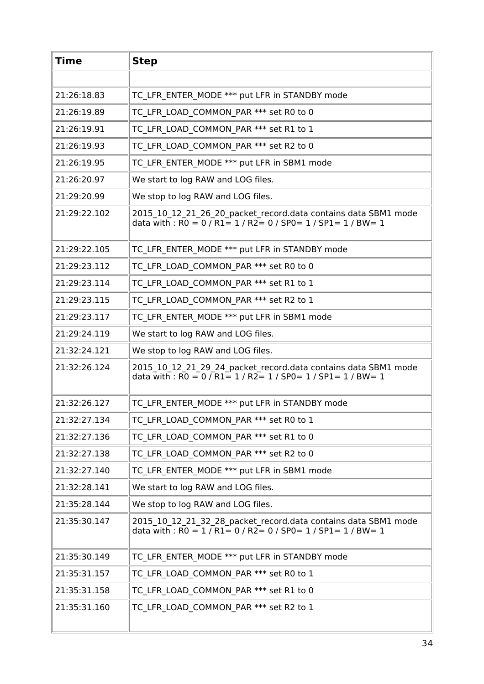| <b>Time</b>  | <b>Step</b>                                                                                                                                                                                             |
|--------------|---------------------------------------------------------------------------------------------------------------------------------------------------------------------------------------------------------|
|              |                                                                                                                                                                                                         |
| 21:26:18.83  | TC LFR ENTER MODE *** put LFR in STANDBY mode                                                                                                                                                           |
| 21:26:19.89  | TC LFR LOAD COMMON PAR *** set R0 to 0                                                                                                                                                                  |
| 21:26:19.91  | TC LFR LOAD COMMON PAR *** set R1 to 1                                                                                                                                                                  |
| 21:26:19.93  | TC LFR LOAD COMMON PAR *** set R2 to 0                                                                                                                                                                  |
| 21:26:19.95  | TC LFR ENTER MODE *** put LFR in SBM1 mode                                                                                                                                                              |
| 21:26:20.97  | We start to log RAW and LOG files.                                                                                                                                                                      |
| 21:29:20.99  | We stop to log RAW and LOG files.                                                                                                                                                                       |
| 21:29:22.102 | 2015 10 12 21 26 20 packet record.data contains data SBM1 mode<br>data with : $\overline{RO} = 0 / \overline{R1} = 1 / \overline{R2} = 0 / \overline{SPO} = 1 / \overline{SPI} = 1 / \overline{BW} = 1$ |
| 21:29:22.105 | TC LFR ENTER MODE *** put LFR in STANDBY mode                                                                                                                                                           |
| 21:29:23.112 | TC LFR LOAD COMMON PAR *** set R0 to 0                                                                                                                                                                  |
| 21:29:23.114 | TC LFR LOAD COMMON PAR *** set R1 to 1                                                                                                                                                                  |
| 21:29:23.115 | TC LFR LOAD COMMON PAR *** set R2 to 1                                                                                                                                                                  |
| 21:29:23.117 | TC LFR ENTER MODE *** put LFR in SBM1 mode                                                                                                                                                              |
| 21:29:24.119 | We start to log RAW and LOG files.                                                                                                                                                                      |
| 21:32:24.121 | We stop to log RAW and LOG files.                                                                                                                                                                       |
| 21:32:26.124 | 2015_10_12_21_29_24_packet_record.data contains data SBM1 mode<br>data with : $R0 = 0$ / $R1 = 1$ / $R2 = 1$ / $SP0 = 1$ / $SP1 = 1$ / $BW = 1$                                                         |
| 21:32:26.127 | TC LFR ENTER MODE *** put LFR in STANDBY mode                                                                                                                                                           |
| 21:32:27.134 | TC LFR LOAD COMMON PAR *** set R0 to 1                                                                                                                                                                  |
| 21:32:27.136 | TC LFR LOAD COMMON PAR *** set R1 to 0                                                                                                                                                                  |
| 21:32:27.138 | TC LFR LOAD COMMON PAR *** set R2 to 0                                                                                                                                                                  |
| 21:32:27.140 | TC LFR ENTER MODE *** put LFR in SBM1 mode                                                                                                                                                              |
| 21:32:28.141 | We start to log RAW and LOG files.                                                                                                                                                                      |
| 21:35:28.144 | We stop to log RAW and LOG files.                                                                                                                                                                       |
| 21:35:30.147 | 2015_10_12_21_32_28_packet_record.data contains data SBM1 mode<br>data with : $\overline{RO} = 1 / \overline{R1} = 0 / \overline{R2} = 0 / \overline{SPO} = 1 / \overline{SPI} = 1 / \overline{BW} = 1$ |
| 21:35:30.149 | TC LFR ENTER MODE *** put LFR in STANDBY mode                                                                                                                                                           |
| 21:35:31.157 | TC LFR LOAD COMMON PAR *** set R0 to 1                                                                                                                                                                  |
| 21:35:31.158 | TC LFR LOAD_COMMON_PAR *** set R1 to 0                                                                                                                                                                  |
| 21:35:31.160 | TC LFR LOAD COMMON PAR *** set R2 to 1                                                                                                                                                                  |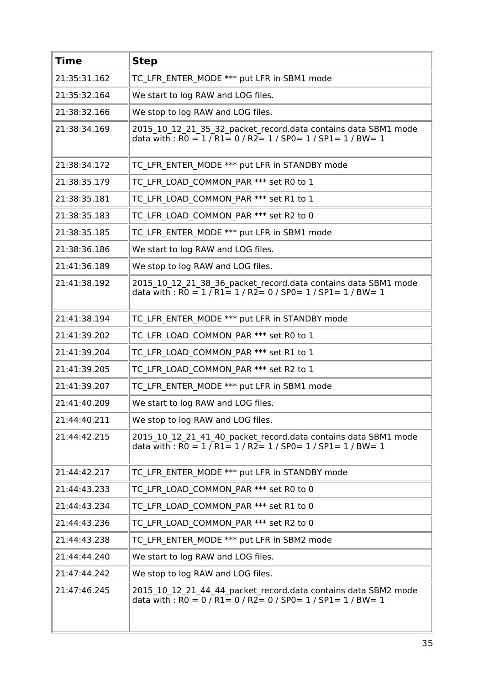| <b>Time</b>  | <b>Step</b>                                                                                                                                                                                             |
|--------------|---------------------------------------------------------------------------------------------------------------------------------------------------------------------------------------------------------|
| 21:35:31.162 | TC LFR ENTER MODE *** put LFR in SBM1 mode                                                                                                                                                              |
| 21:35:32.164 | We start to log RAW and LOG files.                                                                                                                                                                      |
| 21:38:32.166 | We stop to log RAW and LOG files.                                                                                                                                                                       |
| 21:38:34.169 | 2015_10_12_21_35_32_packet_record.data contains data SBM1 mode<br>data with : $R0 = 1/R1 = 0/R2 = 1/SP0 = 1/SP1 = 1/BW = 1$                                                                             |
| 21:38:34.172 | TC LFR ENTER MODE *** put LFR in STANDBY mode                                                                                                                                                           |
| 21:38:35.179 | TC LFR LOAD COMMON PAR *** set R0 to 1                                                                                                                                                                  |
| 21:38:35.181 | TC LFR LOAD COMMON PAR *** set R1 to 1                                                                                                                                                                  |
| 21:38:35.183 | TC LFR LOAD COMMON PAR *** set R2 to 0                                                                                                                                                                  |
| 21:38:35.185 | TC LFR ENTER MODE *** put LFR in SBM1 mode                                                                                                                                                              |
| 21:38:36.186 | We start to log RAW and LOG files.                                                                                                                                                                      |
| 21:41:36.189 | We stop to log RAW and LOG files.                                                                                                                                                                       |
| 21:41:38.192 | 2015_10_12_21_38_36_packet_record.data contains data SBM1 mode<br>data with : $\overline{RO} = 1 / \overline{R1} = 1 / \overline{R2} = 0 / \overline{SPO} = 1 / \overline{SPI} = 1 / \overline{BW} = 1$ |
| 21:41:38.194 | TC LFR ENTER_MODE *** put LFR in STANDBY mode                                                                                                                                                           |
| 21:41:39.202 | TC LFR LOAD COMMON PAR *** set R0 to 1                                                                                                                                                                  |
| 21:41:39.204 | TC LFR LOAD COMMON PAR *** set R1 to 1                                                                                                                                                                  |
| 21:41:39.205 | TC LFR LOAD COMMON PAR *** set R2 to 1                                                                                                                                                                  |
| 21:41:39.207 | TC LFR ENTER MODE *** put LFR in SBM1 mode                                                                                                                                                              |
| 21:41:40.209 | We start to log RAW and LOG files.                                                                                                                                                                      |
| 21:44:40.211 | We stop to log RAW and LOG files.                                                                                                                                                                       |
| 21:44:42.215 | 2015 10 12 21 41 40 packet record.data contains data SBM1 mode<br>data with : $R0 = 1/R1 = 1/R2 = 1/SP0 = 1/SP1 = 1/BW = 1$                                                                             |
| 21:44:42.217 | TC LFR ENTER MODE *** put LFR in STANDBY mode                                                                                                                                                           |
| 21:44:43.233 | TC LFR LOAD COMMON PAR *** set R0 to 0                                                                                                                                                                  |
| 21:44:43.234 | TC LFR LOAD COMMON PAR *** set R1 to 0                                                                                                                                                                  |
| 21:44:43.236 | TC LFR LOAD COMMON PAR *** set R2 to 0                                                                                                                                                                  |
| 21:44:43.238 | TC LFR ENTER MODE *** put LFR in SBM2 mode                                                                                                                                                              |
| 21:44:44.240 | We start to log RAW and LOG files.                                                                                                                                                                      |
| 21:47:44.242 | We stop to log RAW and LOG files.                                                                                                                                                                       |
| 21:47:46.245 | 2015 10 12 21 44 44 packet record.data contains data SBM2 mode<br>data with : $R0 = 0$ / $R1 = 0$ / $R2 = 0$ / $SP0 = 1$ / $SP1 = 1$ / $BW = 1$                                                         |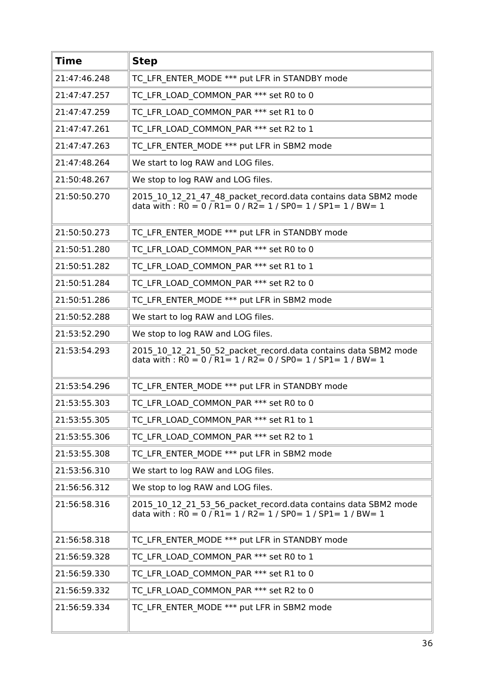| <b>Time</b>  | <b>Step</b>                                                                                                                                     |
|--------------|-------------------------------------------------------------------------------------------------------------------------------------------------|
| 21:47:46.248 | TC LFR ENTER MODE *** put LFR in STANDBY mode                                                                                                   |
| 21:47:47.257 | TC LFR LOAD COMMON PAR *** set R0 to 0                                                                                                          |
| 21:47:47.259 | TC LFR LOAD COMMON PAR *** set R1 to 0                                                                                                          |
| 21:47:47.261 | TC LFR LOAD COMMON PAR *** set R2 to 1                                                                                                          |
| 21:47:47.263 | TC LFR ENTER MODE *** put LFR in SBM2 mode                                                                                                      |
| 21:47:48.264 | We start to log RAW and LOG files.                                                                                                              |
| 21:50:48.267 | We stop to log RAW and LOG files.                                                                                                               |
| 21:50:50.270 | 2015_10_12_21_47_48_packet_record.data contains data SBM2 mode<br>data with : R0 = 0 / R1= 0 / R2= 1 / SP0= 1 / SP1= 1 / BW= 1                  |
| 21:50:50.273 | TC LFR ENTER MODE *** put LFR in STANDBY mode                                                                                                   |
| 21:50:51.280 | TC LFR LOAD COMMON PAR *** set R0 to 0                                                                                                          |
| 21:50:51.282 | TC LFR LOAD COMMON PAR *** set R1 to 1                                                                                                          |
| 21:50:51.284 | TC LFR LOAD COMMON PAR *** set R2 to 0                                                                                                          |
| 21:50:51.286 | TC LFR ENTER_MODE *** put LFR in SBM2 mode                                                                                                      |
| 21:50:52.288 | We start to log RAW and LOG files.                                                                                                              |
| 21:53:52.290 | We stop to log RAW and LOG files.                                                                                                               |
| 21:53:54.293 | 2015 10 12 21 50 52 packet record.data contains data SBM2 mode<br>data with : $RO = 0 / R1 = 1 / R2 = 0 / SPO = 1 / SPI = 1 / BW = 1$           |
| 21:53:54.296 | TC LFR ENTER MODE *** put LFR in STANDBY mode                                                                                                   |
| 21:53:55.303 | TC LFR LOAD COMMON_PAR *** set R0 to 0                                                                                                          |
| 21:53:55.305 | TC LFR LOAD COMMON_PAR *** set R1 to 1                                                                                                          |
| 21:53:55.306 | TC LFR LOAD COMMON PAR *** set R2 to 1                                                                                                          |
| 21:53:55.308 | TC LFR ENTER MODE *** put LFR in SBM2 mode                                                                                                      |
| 21:53:56.310 | We start to log RAW and LOG files.                                                                                                              |
| 21:56:56.312 | We stop to log RAW and LOG files.                                                                                                               |
| 21:56:58.316 | 2015_10_12_21_53_56_packet_record.data contains data SBM2 mode<br>data with : $R0 = 0$ / $R1 = 1$ / $R2 = 1$ / $SP0 = 1$ / $SP1 = 1$ / $BW = 1$ |
| 21:56:58.318 | TC LFR ENTER MODE *** put LFR in STANDBY mode                                                                                                   |
| 21:56:59.328 | TC LFR_LOAD_COMMON_PAR *** set R0 to 1                                                                                                          |
| 21:56:59.330 | TC LFR LOAD COMMON PAR *** set R1 to 0                                                                                                          |
| 21:56:59.332 | TC LFR LOAD COMMON PAR *** set R2 to 0                                                                                                          |
| 21:56:59.334 | TC LFR ENTER MODE *** put LFR in SBM2 mode                                                                                                      |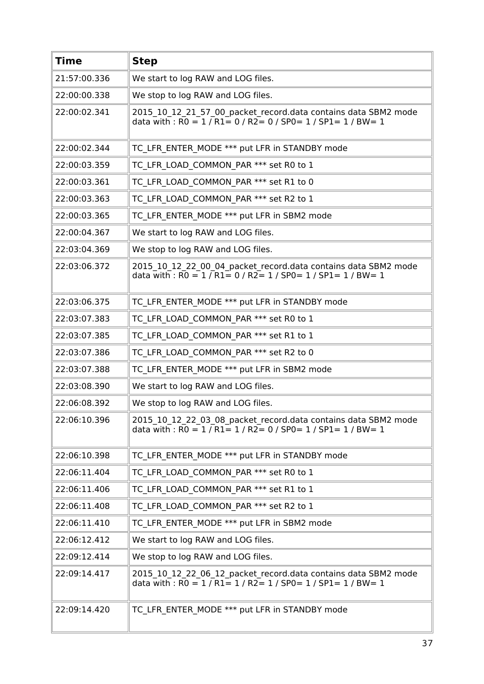| <b>Time</b>  | <b>Step</b>                                                                                                                                                                                             |
|--------------|---------------------------------------------------------------------------------------------------------------------------------------------------------------------------------------------------------|
| 21:57:00.336 | We start to log RAW and LOG files.                                                                                                                                                                      |
| 22:00:00.338 | We stop to log RAW and LOG files.                                                                                                                                                                       |
| 22:00:02.341 | 2015_10_12_21_57_00_packet_record.data contains data SBM2 mode<br>data with : $\overline{RO} = 1 / \overline{R1} = 0 / R2 = 0 / SPO = 1 / SP1 = 1 / BW = 1$                                             |
| 22:00:02.344 | TC LFR ENTER MODE *** put LFR in STANDBY mode                                                                                                                                                           |
| 22:00:03.359 | TC LFR LOAD COMMON PAR *** set R0 to 1                                                                                                                                                                  |
| 22:00:03.361 | TC LFR LOAD COMMON PAR *** set R1 to 0                                                                                                                                                                  |
| 22:00:03.363 | TC LFR LOAD COMMON PAR *** set R2 to 1                                                                                                                                                                  |
| 22:00:03.365 | TC LFR ENTER MODE *** put LFR in SBM2 mode                                                                                                                                                              |
| 22:00:04.367 | We start to log RAW and LOG files.                                                                                                                                                                      |
| 22:03:04.369 | We stop to log RAW and LOG files.                                                                                                                                                                       |
| 22:03:06.372 | 2015_10_12_22_00_04_packet_record.data contains data SBM2 mode<br>data with : $\overline{RO} = 1 / \overline{R1} = 0 / \overline{R2} = 1 / \overline{SPO} = 1 / \overline{SPI} = 1 / \overline{BW} = 1$ |
| 22:03:06.375 | TC LFR ENTER MODE *** put LFR in STANDBY mode                                                                                                                                                           |
| 22:03:07.383 | TC LFR LOAD COMMON PAR *** set R0 to 1                                                                                                                                                                  |
| 22:03:07.385 | TC LFR LOAD COMMON PAR *** set R1 to 1                                                                                                                                                                  |
| 22:03:07.386 | TC LFR LOAD COMMON PAR *** set R2 to 0                                                                                                                                                                  |
| 22:03:07.388 | TC LFR ENTER MODE *** put LFR in SBM2 mode                                                                                                                                                              |
| 22:03:08.390 | We start to log RAW and LOG files.                                                                                                                                                                      |
| 22:06:08.392 | We stop to log RAW and LOG files.                                                                                                                                                                       |
| 22:06:10.396 | 2015_10_12_22_03_08_packet_record.data contains data SBM2 mode<br>data with : $R0 = 1/R1 = 1/R2 = 0/SP0 = 1/SP1 = 1/BW = 1$                                                                             |
| 22:06:10.398 | TC LFR ENTER MODE *** put LFR in STANDBY mode                                                                                                                                                           |
| 22:06:11.404 | TC LFR LOAD COMMON PAR *** set R0 to 1                                                                                                                                                                  |
| 22:06:11.406 | TC LFR LOAD COMMON PAR *** set R1 to 1                                                                                                                                                                  |
| 22:06:11.408 | TC LFR LOAD COMMON PAR *** set R2 to 1                                                                                                                                                                  |
| 22:06:11.410 | TC LFR ENTER MODE *** put LFR in SBM2 mode                                                                                                                                                              |
| 22:06:12.412 | We start to log RAW and LOG files.                                                                                                                                                                      |
| 22:09:12.414 | We stop to log RAW and LOG files.                                                                                                                                                                       |
| 22:09:14.417 | 2015_10_12_22_06_12_packet_record.data contains data SBM2 mode<br>data with : $R0 = 1 / R1 = 1 / R2 = 1 / SPO = 1 / SPI = 1 / BW = 1$                                                                   |
| 22:09:14.420 | TC LFR ENTER MODE *** put LFR in STANDBY mode                                                                                                                                                           |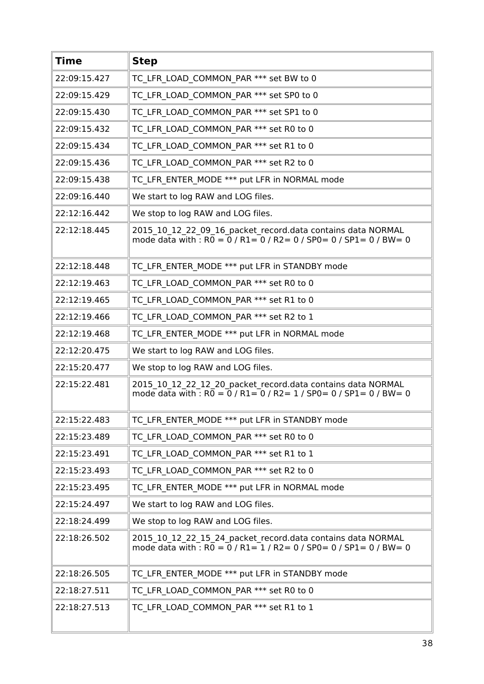| <b>Time</b>  | <b>Step</b>                                                                                                                                       |
|--------------|---------------------------------------------------------------------------------------------------------------------------------------------------|
| 22:09:15.427 | TC LFR LOAD COMMON PAR *** set BW to 0                                                                                                            |
| 22:09:15.429 | TC LFR LOAD COMMON PAR *** set SP0 to 0                                                                                                           |
| 22:09:15.430 | TC LFR LOAD COMMON PAR *** set SP1 to 0                                                                                                           |
| 22:09:15.432 | TC LFR LOAD COMMON PAR *** set R0 to 0                                                                                                            |
| 22:09:15.434 | TC LFR LOAD COMMON PAR *** set R1 to 0                                                                                                            |
| 22:09:15.436 | TC LFR LOAD COMMON PAR *** set R2 to 0                                                                                                            |
| 22:09:15.438 | TC LFR ENTER MODE *** put LFR in NORMAL mode                                                                                                      |
| 22:09:16.440 | We start to log RAW and LOG files.                                                                                                                |
| 22:12:16.442 | We stop to log RAW and LOG files.                                                                                                                 |
| 22:12:18.445 | 2015_10_12_22_09_16_packet_record.data contains data NORMAL<br>mode data with : $R0 = 0$ / $R1 = 0$ / $R2 = 0$ / $SP0 = 0$ / $SP1 = 0$ / $BW = 0$ |
| 22:12:18.448 | TC LFR ENTER MODE *** put LFR in STANDBY mode                                                                                                     |
| 22:12:19.463 | TC LFR LOAD COMMON PAR *** set R0 to 0                                                                                                            |
| 22:12:19.465 | TC LFR LOAD COMMON PAR *** set R1 to 0                                                                                                            |
| 22:12:19.466 | TC LFR LOAD COMMON PAR *** set R2 to 1                                                                                                            |
| 22:12:19.468 | TC LFR ENTER MODE *** put LFR in NORMAL mode                                                                                                      |
| 22:12:20.475 | We start to log RAW and LOG files.                                                                                                                |
| 22:15:20.477 | We stop to log RAW and LOG files.                                                                                                                 |
| 22:15:22.481 | 2015 10 12 22 12 20 packet record.data contains data NORMAL<br>mode data with : $R0 = 0$ / $R1 = 0$ / $R2 = 1$ / $SP0 = 0$ / $SP1 = 0$ / $BW = 0$ |
| 22:15:22.483 | TC LFR ENTER MODE *** put LFR in STANDBY mode                                                                                                     |
| 22:15:23.489 | TC LFR LOAD COMMON PAR *** set R0 to 0                                                                                                            |
| 22:15:23.491 | TC LFR LOAD COMMON PAR *** set R1 to 1                                                                                                            |
| 22:15:23.493 | TC LFR LOAD COMMON PAR *** set R2 to 0                                                                                                            |
| 22:15:23.495 | TC LFR ENTER MODE *** put LFR in NORMAL mode                                                                                                      |
| 22:15:24.497 | We start to log RAW and LOG files.                                                                                                                |
| 22:18:24.499 | We stop to log RAW and LOG files.                                                                                                                 |
| 22:18:26.502 | 2015_10_12_22_15_24_packet_record.data contains data NORMAL<br>mode data with : $R0 = 0$ / $R1 = 1$ / $R2 = 0$ / $SP0 = 0$ / $SP1 = 0$ / $BW = 0$ |
| 22:18:26.505 | TC LFR ENTER MODE *** put LFR in STANDBY mode                                                                                                     |
| 22:18:27.511 | TC LFR LOAD COMMON PAR *** set R0 to 0                                                                                                            |
| 22:18:27.513 | TC LFR LOAD COMMON PAR *** set R1 to 1                                                                                                            |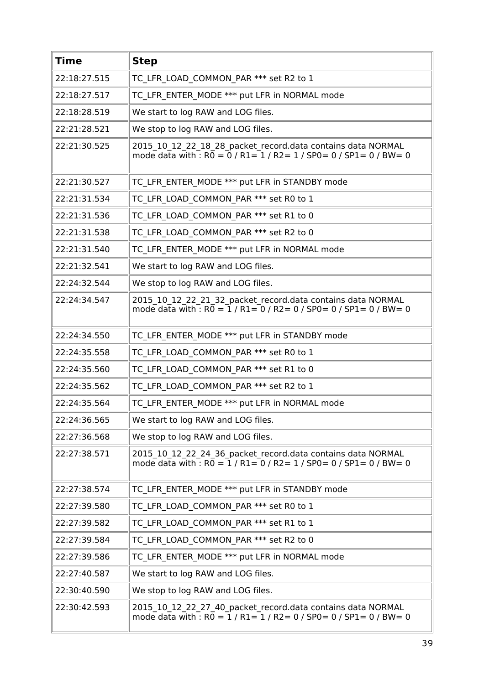| <b>Time</b>  | <b>Step</b>                                                                                                                                       |
|--------------|---------------------------------------------------------------------------------------------------------------------------------------------------|
| 22:18:27.515 | TC LFR LOAD COMMON PAR *** set R2 to 1                                                                                                            |
| 22:18:27.517 | TC LFR ENTER MODE *** put LFR in NORMAL mode                                                                                                      |
| 22:18:28.519 | We start to log RAW and LOG files.                                                                                                                |
| 22:21:28.521 | We stop to log RAW and LOG files.                                                                                                                 |
| 22:21:30.525 | 2015_10_12_22_18_28_packet_record.data contains data NORMAL<br>mode data with : $R0 = 0$ / $R1 = 1$ / $R2 = 1$ / $SP0 = 0$ / $SP1 = 0$ / $BW = 0$ |
| 22:21:30.527 | TC LFR ENTER MODE *** put LFR in STANDBY mode                                                                                                     |
| 22:21:31.534 | TC LFR LOAD COMMON PAR *** set R0 to 1                                                                                                            |
| 22:21:31.536 | TC LFR LOAD COMMON PAR *** set R1 to 0                                                                                                            |
| 22:21:31.538 | TC LFR LOAD COMMON PAR *** set R2 to 0                                                                                                            |
| 22:21:31.540 | TC LFR ENTER MODE *** put LFR in NORMAL mode                                                                                                      |
| 22:21:32.541 | We start to log RAW and LOG files.                                                                                                                |
| 22:24:32.544 | We stop to log RAW and LOG files.                                                                                                                 |
| 22:24:34.547 | 2015 10 12 22 21 32 packet record.data contains data NORMAL<br>mode data with : $R0 = 1 / R1 = 0 / R2 = 0 / SPO = 0 / SPI = 0 / BW = 0$           |
| 22:24:34.550 | TC LFR ENTER MODE *** put LFR in STANDBY mode                                                                                                     |
| 22:24:35.558 | TC LFR LOAD COMMON PAR *** set R0 to 1                                                                                                            |
| 22:24:35.560 | TC LFR LOAD COMMON PAR *** set R1 to 0                                                                                                            |
| 22:24:35.562 | TC LFR LOAD COMMON PAR *** set R2 to 1                                                                                                            |
| 22:24:35.564 | TC LFR ENTER MODE *** put LFR in NORMAL mode                                                                                                      |
| 22:24:36.565 | We start to log RAW and LOG files.                                                                                                                |
| 22:27:36.568 | We stop to log RAW and LOG files.                                                                                                                 |
| 22:27:38.571 | 2015 10 12 22 24 36 packet record.data contains data NORMAL<br>mode data with : $R\overline{0} = 1/R1 = 0/R2 = 1/SP0 = 0/SP1 = 0/BW = 0$          |
| 22:27:38.574 | TC LFR ENTER MODE *** put LFR in STANDBY mode                                                                                                     |
| 22:27:39.580 | TC LFR LOAD COMMON PAR *** set R0 to 1                                                                                                            |
| 22:27:39.582 | TC LFR LOAD COMMON PAR *** set R1 to 1                                                                                                            |
| 22:27:39.584 | TC LFR LOAD COMMON PAR *** set R2 to 0                                                                                                            |
| 22:27:39.586 | TC LFR ENTER MODE *** put LFR in NORMAL mode                                                                                                      |
| 22:27:40.587 | We start to log RAW and LOG files.                                                                                                                |
| 22:30:40.590 | We stop to log RAW and LOG files.                                                                                                                 |
| 22:30:42.593 | 2015 10 12 22 27 40 packet record.data contains data NORMAL<br>mode data with : $R0 = 1 / R1 = 1 / R2 = 0 / SPO = 0 / SPI = 0 / BW = 0$           |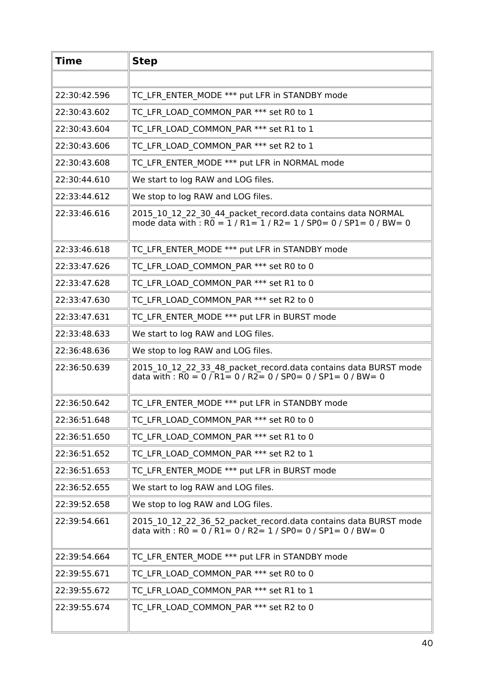| <b>Time</b>  | <b>Step</b>                                                                                                                                                                                              |
|--------------|----------------------------------------------------------------------------------------------------------------------------------------------------------------------------------------------------------|
|              |                                                                                                                                                                                                          |
| 22:30:42.596 | TC LFR ENTER MODE *** put LFR in STANDBY mode                                                                                                                                                            |
| 22:30:43.602 | TC LFR LOAD COMMON PAR *** set R0 to 1                                                                                                                                                                   |
| 22:30:43.604 | TC LFR LOAD COMMON PAR *** set R1 to 1                                                                                                                                                                   |
| 22:30:43.606 | TC LFR LOAD COMMON PAR *** set R2 to 1                                                                                                                                                                   |
| 22:30:43.608 | TC LFR ENTER MODE *** put LFR in NORMAL mode                                                                                                                                                             |
| 22:30:44.610 | We start to log RAW and LOG files.                                                                                                                                                                       |
| 22:33:44.612 | We stop to log RAW and LOG files.                                                                                                                                                                        |
| 22:33:46.616 | 2015_10_12_22_30_44_packet_record.data contains data NORMAL<br>mode data with : $R0 = 1/R1 = 1/R2 = 1/SPO = 0/SP1 = 0/BW = 0$                                                                            |
| 22:33:46.618 | TC LFR ENTER MODE *** put LFR in STANDBY mode                                                                                                                                                            |
| 22:33:47.626 | TC LFR LOAD COMMON_PAR *** set R0 to 0                                                                                                                                                                   |
| 22:33:47.628 | TC LFR LOAD COMMON PAR *** set R1 to 0                                                                                                                                                                   |
| 22:33:47.630 | TC LFR LOAD COMMON PAR *** set R2 to 0                                                                                                                                                                   |
| 22:33:47.631 | TC LFR ENTER MODE *** put LFR in BURST mode                                                                                                                                                              |
| 22:33:48.633 | We start to log RAW and LOG files.                                                                                                                                                                       |
| 22:36:48.636 | We stop to log RAW and LOG files.                                                                                                                                                                        |
| 22:36:50.639 | 2015_10_12_22_33_48_packet_record.data contains data BURST mode<br>data with : $R0 = 0$ / $R1 = 0$ / $R2 = 0$ / $SP0 = 0$ / $SP1 = 0$ / $BW = 0$                                                         |
| 22:36:50.642 | TC LFR ENTER MODE *** put LFR in STANDBY mode                                                                                                                                                            |
| 22:36:51.648 | TC LFR LOAD COMMON PAR *** set R0 to 0                                                                                                                                                                   |
| 22:36:51.650 | TC LFR LOAD COMMON PAR *** set R1 to 0                                                                                                                                                                   |
| 22:36:51.652 | TC LFR LOAD COMMON PAR *** set R2 to 1                                                                                                                                                                   |
| 22:36:51.653 | TC LFR ENTER MODE *** put LFR in BURST mode                                                                                                                                                              |
| 22:36:52.655 | We start to log RAW and LOG files.                                                                                                                                                                       |
| 22:39:52.658 | We stop to log RAW and LOG files.                                                                                                                                                                        |
| 22:39:54.661 | 2015_10_12_22_36_52_packet_record.data contains data BURST mode<br>data with : $\overline{RO} = 0 / \overline{R1} = 0 / \overline{R2} = 1 / \overline{SPO} = 0 / \overline{SPI} = 0 / \overline{BW} = 0$ |
| 22:39:54.664 | TC LFR ENTER MODE *** put LFR in STANDBY mode                                                                                                                                                            |
| 22:39:55.671 | TC LFR LOAD COMMON PAR *** set R0 to 0                                                                                                                                                                   |
| 22:39:55.672 | TC LFR LOAD COMMON PAR *** set R1 to 1                                                                                                                                                                   |
| 22:39:55.674 | TC LFR LOAD COMMON PAR *** set R2 to 0                                                                                                                                                                   |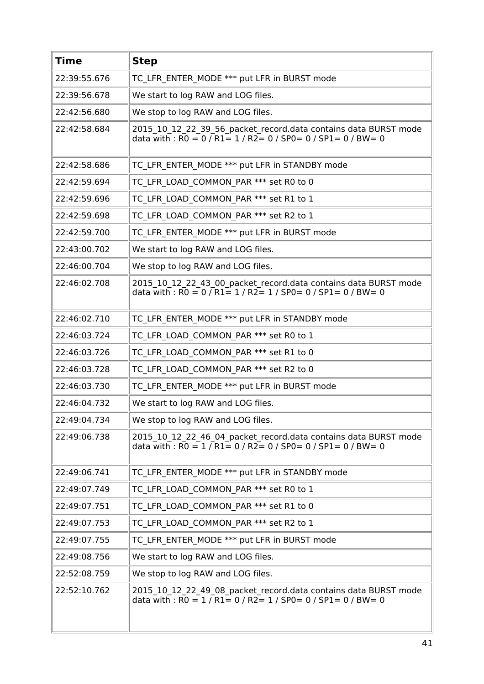| <b>Time</b>  | <b>Step</b>                                                                                                                                                                                                        |
|--------------|--------------------------------------------------------------------------------------------------------------------------------------------------------------------------------------------------------------------|
| 22:39:55.676 | TC LFR ENTER MODE *** put LFR in BURST mode                                                                                                                                                                        |
| 22:39:56.678 | We start to log RAW and LOG files.                                                                                                                                                                                 |
| 22:42:56.680 | We stop to log RAW and LOG files.                                                                                                                                                                                  |
| 22:42:58.684 | 2015_10_12_22_39_56_packet_record.data contains data BURST mode<br>data with : $RO = 0 / R1 = 1 / R2 = 0 / SPO = 0 / SPL = 0 / BW = 0$                                                                             |
| 22:42:58.686 | TC LFR ENTER MODE *** put LFR in STANDBY mode                                                                                                                                                                      |
| 22:42:59.694 | TC LFR_LOAD_COMMON_PAR *** set R0 to 0                                                                                                                                                                             |
| 22:42:59.696 | TC LFR LOAD COMMON PAR *** set R1 to 1                                                                                                                                                                             |
| 22:42:59.698 | TC LFR LOAD COMMON PAR *** set R2 to 1                                                                                                                                                                             |
| 22:42:59.700 | TC LFR ENTER MODE *** put LFR in BURST mode                                                                                                                                                                        |
| 22:43:00.702 | We start to log RAW and LOG files.                                                                                                                                                                                 |
| 22:46:00.704 | We stop to log RAW and LOG files.                                                                                                                                                                                  |
| 22:46:02.708 | 2015 10 12 22 43 00 packet record.data contains data BURST mode<br>data with : $\overline{RO} = 0$ / $\overline{RI} = 1$ / $\overline{R2} = 1$ / $\overline{SP0} = 0$ / $\overline{SP1} = 0$ / $\overline{BW} = 0$ |
| 22:46:02.710 | TC LFR ENTER MODE *** put LFR in STANDBY mode                                                                                                                                                                      |
| 22:46:03.724 | TC LFR LOAD COMMON PAR *** set R0 to 1                                                                                                                                                                             |
| 22:46:03.726 | TC LFR LOAD_COMMON_PAR *** set R1 to 0                                                                                                                                                                             |
| 22:46:03.728 | TC LFR_LOAD_COMMON_PAR *** set R2 to 0                                                                                                                                                                             |
| 22:46:03.730 | TC LFR ENTER MODE *** put LFR in BURST mode                                                                                                                                                                        |
| 22:46:04.732 | We start to log RAW and LOG files.                                                                                                                                                                                 |
| 22:49:04.734 | We stop to log RAW and LOG files.                                                                                                                                                                                  |
| 22:49:06.738 | 2015 10 12 22 46 04 packet record.data contains data BURST mode<br>data with : R0 = 1 / R1 = 0 / R2 = 0 / SP0 = 0 / SP1 = 0 / BW = 0                                                                               |
| 22:49:06.741 | TC LFR ENTER MODE *** put LFR in STANDBY mode                                                                                                                                                                      |
| 22:49:07.749 | TC LFR LOAD COMMON PAR *** set R0 to 1                                                                                                                                                                             |
| 22:49:07.751 | TC LFR LOAD COMMON PAR *** set R1 to 0                                                                                                                                                                             |
| 22:49:07.753 | TC LFR LOAD COMMON PAR *** set R2 to 1                                                                                                                                                                             |
| 22:49:07.755 | TC LFR ENTER MODE *** put LFR in BURST mode                                                                                                                                                                        |
| 22:49:08.756 | We start to log RAW and LOG files.                                                                                                                                                                                 |
| 22:52:08.759 | We stop to log RAW and LOG files.                                                                                                                                                                                  |
| 22:52:10.762 | 2015 10 12 22 49 08 packet record.data contains data BURST mode<br>data with : $RO = 1 / R1 = 0 / R2 = 1 / SPO = 0 / SP1 = 0 / BW = 0$                                                                             |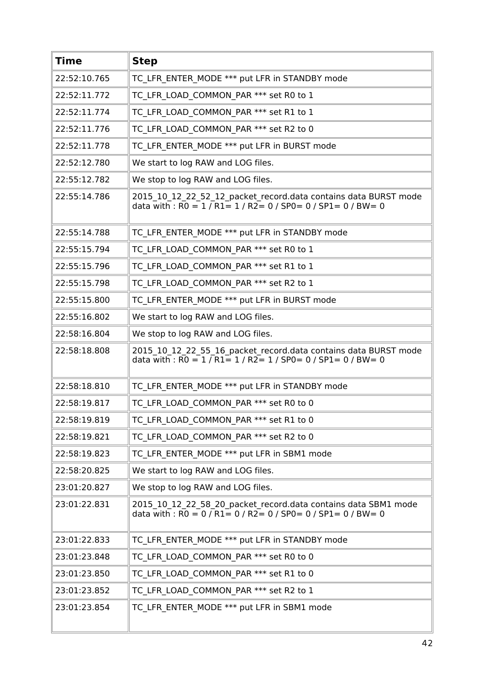| <b>Time</b>  | <b>Step</b>                                                                                                                            |
|--------------|----------------------------------------------------------------------------------------------------------------------------------------|
| 22:52:10.765 | TC LFR ENTER MODE *** put LFR in STANDBY mode                                                                                          |
| 22:52:11.772 | TC_LFR_LOAD_COMMON_PAR *** set R0 to 1                                                                                                 |
| 22:52:11.774 | TC LFR LOAD COMMON PAR *** set R1 to 1                                                                                                 |
| 22:52:11.776 | TC LFR LOAD COMMON PAR *** set R2 to 0                                                                                                 |
| 22:52:11.778 | TC LFR ENTER MODE *** put LFR in BURST mode                                                                                            |
| 22:52:12.780 | We start to log RAW and LOG files.                                                                                                     |
| 22:55:12.782 | We stop to log RAW and LOG files.                                                                                                      |
| 22:55:14.786 | 2015_10_12_22_52_12_packet_record.data contains data BURST mode<br>data with : $RO = 1 / R1 = 1 / R2 = 0 / SPO = 0 / SPI = 0 / BW = 0$ |
| 22:55:14.788 | TC LFR ENTER MODE *** put LFR in STANDBY mode                                                                                          |
| 22:55:15.794 | TC LFR LOAD COMMON PAR *** set R0 to 1                                                                                                 |
| 22:55:15.796 | TC LFR LOAD COMMON PAR *** set R1 to 1                                                                                                 |
| 22:55:15.798 | TC_LFR_LOAD_COMMON_PAR *** set R2 to 1                                                                                                 |
| 22:55:15.800 | TC LFR ENTER MODE *** put LFR in BURST mode                                                                                            |
| 22:55:16.802 | We start to log RAW and LOG files.                                                                                                     |
| 22:58:16.804 | We stop to log RAW and LOG files.                                                                                                      |
| 22:58:18.808 | 2015_10_12_22_55_16_packet_record.data contains data BURST mode<br>data with : $RO = 1 / R1 = 1 / R2 = 1 / SPO = 0 / SPI = 0 / BW = 0$ |
| 22:58:18.810 | TC LFR ENTER MODE *** put LFR in STANDBY mode                                                                                          |
| 22:58:19.817 | TC LFR LOAD COMMON PAR *** set R0 to 0                                                                                                 |
| 22:58:19.819 | TC LFR LOAD COMMON PAR *** set R1 to 0                                                                                                 |
| 22:58:19.821 | TC LFR LOAD COMMON PAR *** set R2 to 0                                                                                                 |
| 22:58:19.823 | TC LFR ENTER MODE *** put LFR in SBM1 mode                                                                                             |
| 22:58:20.825 | We start to log RAW and LOG files.                                                                                                     |
| 23:01:20.827 | We stop to log RAW and LOG files.                                                                                                      |
| 23:01:22.831 | 2015_10_12_22_58_20_packet_record.data contains data SBM1 mode<br>data with : $RO = 0 / R1 = 0 / R2 = 0 / SPO = 0 / SPI = 0 / BW = 0$  |
| 23:01:22.833 | TC LFR ENTER MODE *** put LFR in STANDBY mode                                                                                          |
| 23:01:23.848 | TC LFR LOAD COMMON PAR *** set R0 to 0                                                                                                 |
| 23:01:23.850 | TC LFR LOAD COMMON PAR *** set R1 to 0                                                                                                 |
| 23:01:23.852 | TC LFR LOAD_COMMON_PAR *** set R2 to 1                                                                                                 |
| 23:01:23.854 | TC LFR ENTER MODE *** put LFR in SBM1 mode                                                                                             |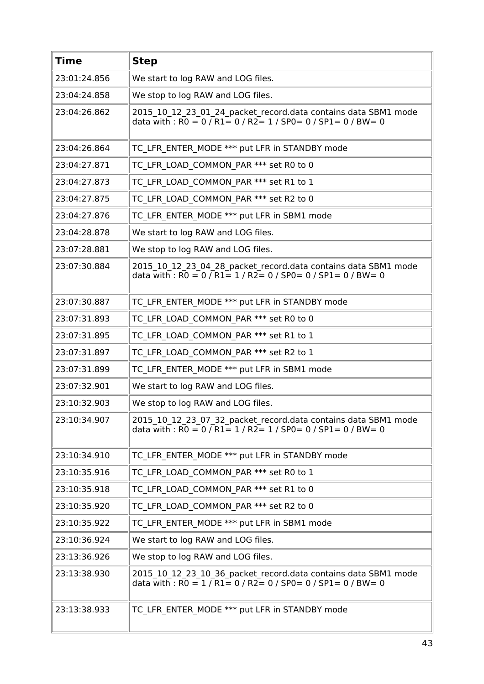| <b>Time</b>  | <b>Step</b>                                                                                                                                                                                                       |
|--------------|-------------------------------------------------------------------------------------------------------------------------------------------------------------------------------------------------------------------|
| 23:01:24.856 | We start to log RAW and LOG files.                                                                                                                                                                                |
| 23:04:24.858 | We stop to log RAW and LOG files.                                                                                                                                                                                 |
| 23:04:26.862 | 2015 10 12 23 01 24 packet record.data contains data SBM1 mode<br>data with : $\overline{RO} = 0$ / $\overline{R1} = 0$ / $\overline{R2} = 1$ / $\overline{SP0} = 0$ / $\overline{SP1} = 0$ / $\overline{BW} = 0$ |
| 23:04:26.864 | TC LFR ENTER MODE *** put LFR in STANDBY mode                                                                                                                                                                     |
| 23:04:27.871 | TC LFR LOAD COMMON PAR *** set R0 to 0                                                                                                                                                                            |
| 23:04:27.873 | TC LFR LOAD COMMON PAR *** set R1 to 1                                                                                                                                                                            |
| 23:04:27.875 | TC LFR LOAD COMMON PAR *** set R2 to 0                                                                                                                                                                            |
| 23:04:27.876 | TC LFR ENTER MODE *** put LFR in SBM1 mode                                                                                                                                                                        |
| 23:04:28.878 | We start to log RAW and LOG files.                                                                                                                                                                                |
| 23:07:28.881 | We stop to log RAW and LOG files.                                                                                                                                                                                 |
| 23:07:30.884 | 2015_10_12_23_04_28_packet_record.data contains data SBM1 mode<br>data with : $\overline{RO} = 0$ / $\overline{R1} = 1$ / $\overline{R2} = 0$ / SP0 = 0 / SP1 = 0 / BW = 0                                        |
| 23:07:30.887 | TC LFR ENTER MODE *** put LFR in STANDBY mode                                                                                                                                                                     |
| 23:07:31.893 | TC LFR LOAD COMMON PAR *** set R0 to 0                                                                                                                                                                            |
| 23:07:31.895 | TC LFR LOAD COMMON PAR *** set R1 to 1                                                                                                                                                                            |
| 23:07:31.897 | TC LFR LOAD COMMON_PAR *** set R2 to 1                                                                                                                                                                            |
| 23:07:31.899 | TC LFR ENTER MODE *** put LFR in SBM1 mode                                                                                                                                                                        |
| 23:07:32.901 | We start to log RAW and LOG files.                                                                                                                                                                                |
| 23:10:32.903 | We stop to log RAW and LOG files.                                                                                                                                                                                 |
| 23:10:34.907 | 2015_10_12_23_07_32_packet_record.data contains data SBM1 mode<br>data with : $\overline{RO} = 0 / \overline{R1} = 1 / \overline{R2} = 1 / \overline{SPO} = 0 / \overline{SPI} = 0 / \overline{BW} = 0$           |
| 23:10:34.910 | TC LFR ENTER MODE *** put LFR in STANDBY mode                                                                                                                                                                     |
| 23:10:35.916 | TC LFR LOAD COMMON PAR *** set R0 to 1                                                                                                                                                                            |
| 23:10:35.918 | TC LFR LOAD COMMON PAR *** set R1 to 0                                                                                                                                                                            |
| 23:10:35.920 | TC LFR LOAD COMMON PAR *** set R2 to 0                                                                                                                                                                            |
| 23:10:35.922 | TC LFR ENTER MODE *** put LFR in SBM1 mode                                                                                                                                                                        |
| 23:10:36.924 | We start to log RAW and LOG files.                                                                                                                                                                                |
| 23:13:36.926 | We stop to log RAW and LOG files.                                                                                                                                                                                 |
| 23:13:38.930 | 2015_10_12_23_10_36_packet_record.data contains data SBM1 mode<br>data with : $R0 = 1 / R1 = 0 / R2 = 0 / SPO = 0 / SPI = 0 / BW = 0$                                                                             |
| 23:13:38.933 | TC LFR ENTER MODE *** put LFR in STANDBY mode                                                                                                                                                                     |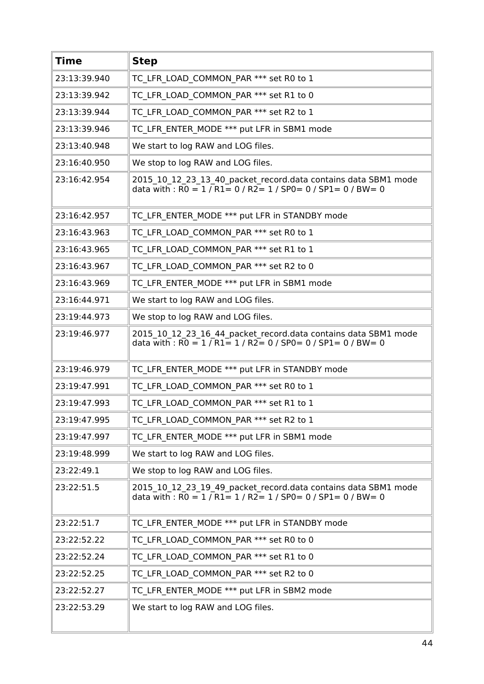| <b>Time</b>  | <b>Step</b>                                                                                                                                                                                             |
|--------------|---------------------------------------------------------------------------------------------------------------------------------------------------------------------------------------------------------|
| 23:13:39.940 | TC LFR LOAD COMMON PAR *** set R0 to 1                                                                                                                                                                  |
| 23:13:39.942 | TC LFR LOAD COMMON PAR *** set R1 to 0                                                                                                                                                                  |
| 23:13:39.944 | TC LFR LOAD COMMON PAR *** set R2 to 1                                                                                                                                                                  |
| 23:13:39.946 | TC LFR ENTER MODE *** put LFR in SBM1 mode                                                                                                                                                              |
| 23:13:40.948 | We start to log RAW and LOG files.                                                                                                                                                                      |
| 23:16:40.950 | We stop to log RAW and LOG files.                                                                                                                                                                       |
| 23:16:42.954 | 2015_10_12_23_13_40_packet_record.data contains data SBM1 mode<br>data with : $\overline{RO} = 1 / \overline{R1} = 0 / \overline{R2} = 1 / \overline{SPO} = 0 / \overline{SPI} = 0 / \overline{BW} = 0$ |
| 23:16:42.957 | TC LFR ENTER MODE *** put LFR in STANDBY mode                                                                                                                                                           |
| 23:16:43.963 | TC LFR LOAD COMMON PAR *** set R0 to 1                                                                                                                                                                  |
| 23:16:43.965 | TC LFR LOAD COMMON PAR *** set R1 to 1                                                                                                                                                                  |
| 23:16:43.967 | TC LFR LOAD COMMON PAR *** set R2 to 0                                                                                                                                                                  |
| 23:16:43.969 | TC LFR ENTER MODE *** put LFR in SBM1 mode                                                                                                                                                              |
| 23:16:44.971 | We start to log RAW and LOG files.                                                                                                                                                                      |
| 23:19:44.973 | We stop to log RAW and LOG files.                                                                                                                                                                       |
| 23:19:46.977 | 2015_10_12_23_16_44_packet_record.data contains data SBM1 mode<br>data with : $\overline{RO} = 1 / \overline{R1} = 1 / \overline{R2} = 0 / \overline{SPO} = 0 / \overline{SPI} = 0 / \overline{BW} = 0$ |
| 23:19:46.979 | TC LFR ENTER MODE *** put LFR in STANDBY mode                                                                                                                                                           |
| 23:19:47.991 | TC LFR LOAD COMMON PAR *** set R0 to 1                                                                                                                                                                  |
| 23:19:47.993 | TC LFR LOAD COMMON PAR *** set R1 to 1                                                                                                                                                                  |
| 23:19:47.995 | TC LFR LOAD COMMON PAR *** set R2 to 1                                                                                                                                                                  |
| 23:19:47.997 | TC LFR ENTER MODE *** put LFR in SBM1 mode                                                                                                                                                              |
| 23:19:48.999 | We start to log RAW and LOG files.                                                                                                                                                                      |
| 23:22:49.1   | We stop to log RAW and LOG files.                                                                                                                                                                       |
| 23:22:51.5   | 2015_10_12_23_19_49_packet_record.data contains data SBM1 mode<br>data with : $R0 = 1 / R1 = 1 / R2 = 1 / SPO = 0 / SP1 = 0 / BW = 0$                                                                   |
| 23:22:51.7   | TC LFR ENTER MODE *** put LFR in STANDBY mode                                                                                                                                                           |
| 23:22:52.22  | TC LFR LOAD COMMON PAR *** set R0 to 0                                                                                                                                                                  |
| 23:22:52.24  | TC LFR LOAD COMMON PAR *** set R1 to 0                                                                                                                                                                  |
| 23:22:52.25  | TC LFR LOAD COMMON PAR *** set R2 to 0                                                                                                                                                                  |
| 23:22:52.27  | TC LFR ENTER MODE *** put LFR in SBM2 mode                                                                                                                                                              |
| 23:22:53.29  | We start to log RAW and LOG files.                                                                                                                                                                      |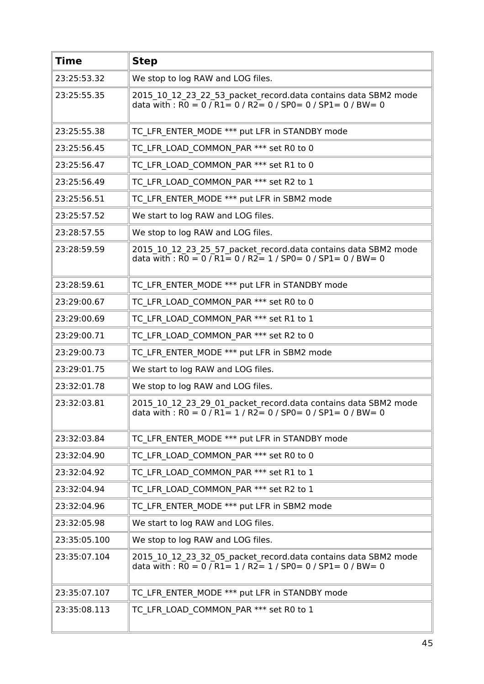| <b>Time</b>  | <b>Step</b>                                                                                                                                                                                             |
|--------------|---------------------------------------------------------------------------------------------------------------------------------------------------------------------------------------------------------|
| 23:25:53.32  | We stop to log RAW and LOG files.                                                                                                                                                                       |
| 23:25:55.35  | 2015 10 12 23 22 53 packet record.data contains data SBM2 mode<br>data with : $R0 = 0$ / $R1 = 0$ / $R2 = 0$ / $SP0 = 0$ / $SP1 = 0$ / $BW = 0$                                                         |
| 23:25:55.38  | TC LFR ENTER MODE *** put LFR in STANDBY mode                                                                                                                                                           |
| 23:25:56.45  | TC LFR LOAD COMMON PAR *** set R0 to 0                                                                                                                                                                  |
| 23:25:56.47  | TC LFR LOAD COMMON PAR *** set R1 to 0                                                                                                                                                                  |
| 23:25:56.49  | TC LFR LOAD COMMON PAR *** set R2 to 1                                                                                                                                                                  |
| 23:25:56.51  | TC LFR ENTER MODE *** put LFR in SBM2 mode                                                                                                                                                              |
| 23:25:57.52  | We start to log RAW and LOG files.                                                                                                                                                                      |
| 23:28:57.55  | We stop to log RAW and LOG files.                                                                                                                                                                       |
| 23:28:59.59  | 2015_10_12_23_25_57_packet_record.data contains data SBM2 mode<br>data with : $\overline{RO} = 0 / \overline{R1} = 0 / \overline{R2} = 1 / \overline{SPO} = 0 / \overline{SPI} = 0 / \overline{BW} = 0$ |
| 23:28:59.61  | TC LFR ENTER MODE *** put LFR in STANDBY mode                                                                                                                                                           |
| 23:29:00.67  | TC LFR LOAD COMMON PAR *** set R0 to 0                                                                                                                                                                  |
| 23:29:00.69  | TC LFR LOAD COMMON PAR *** set R1 to 1                                                                                                                                                                  |
| 23:29:00.71  | TC LFR LOAD COMMON PAR *** set R2 to 0                                                                                                                                                                  |
| 23:29:00.73  | TC LFR ENTER MODE *** put LFR in SBM2 mode                                                                                                                                                              |
| 23:29:01.75  | We start to log RAW and LOG files.                                                                                                                                                                      |
| 23:32:01.78  | We stop to log RAW and LOG files.                                                                                                                                                                       |
| 23:32:03.81  | 2015 10 12 23 29 01 packet record.data contains data SBM2 mode<br>data with : $RO = 0 / R1 = 1 / R2 = 0 / SPO = 0 / SPI = 0 / BW = 0$                                                                   |
| 23:32:03.84  | TC_LFR_ENTER_MODE *** put LFR in STANDBY mode                                                                                                                                                           |
| 23:32:04.90  | TC LFR LOAD COMMON PAR *** set R0 to 0                                                                                                                                                                  |
| 23:32:04.92  | TC LFR LOAD COMMON PAR *** set R1 to 1                                                                                                                                                                  |
| 23:32:04.94  | TC LFR LOAD COMMON PAR *** set R2 to 1                                                                                                                                                                  |
| 23:32:04.96  | TC LFR ENTER MODE *** put LFR in SBM2 mode                                                                                                                                                              |
| 23:32:05.98  | We start to log RAW and LOG files.                                                                                                                                                                      |
| 23:35:05.100 | We stop to log RAW and LOG files.                                                                                                                                                                       |
| 23:35:07.104 | 2015_10_12_23_32_05_packet_record.data contains data SBM2 mode<br>data with : $RO = 0 / R1 = 1 / R2 = 1 / SPO = 0 / SP1 = 0 / BW = 0$                                                                   |
| 23:35:07.107 | TC LFR ENTER MODE *** put LFR in STANDBY mode                                                                                                                                                           |
| 23:35:08.113 | TC LFR LOAD COMMON PAR *** set R0 to 1                                                                                                                                                                  |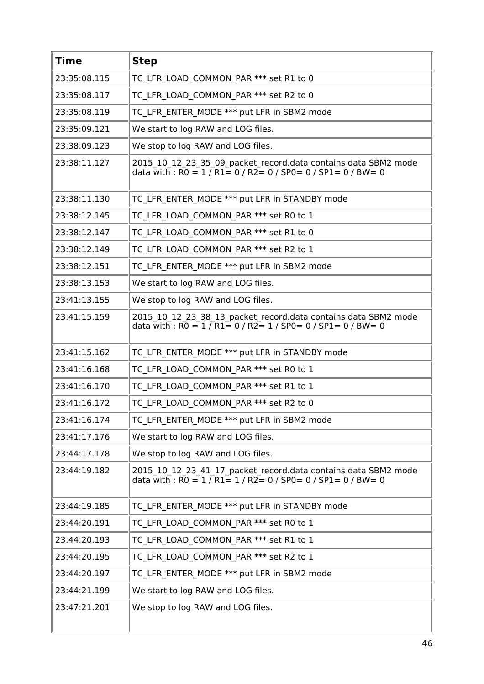| <b>Time</b>  | <b>Step</b>                                                                                                                                                                                             |
|--------------|---------------------------------------------------------------------------------------------------------------------------------------------------------------------------------------------------------|
| 23:35:08.115 | TC LFR LOAD COMMON PAR *** set R1 to 0                                                                                                                                                                  |
| 23:35:08.117 | TC LFR LOAD COMMON PAR *** set R2 to 0                                                                                                                                                                  |
| 23:35:08.119 | TC LFR ENTER MODE *** put LFR in SBM2 mode                                                                                                                                                              |
| 23:35:09.121 | We start to log RAW and LOG files.                                                                                                                                                                      |
| 23:38:09.123 | We stop to log RAW and LOG files.                                                                                                                                                                       |
| 23:38:11.127 | 2015_10_12_23_35_09_packet_record.data contains data SBM2 mode<br>data with : $RO = 1 / R1 = 0 / R2 = 0 / SPO = 0 / SPI = 0 / BW = 0$                                                                   |
| 23:38:11.130 | TC LFR ENTER MODE *** put LFR in STANDBY mode                                                                                                                                                           |
| 23:38:12.145 | TC LFR LOAD COMMON PAR *** set R0 to 1                                                                                                                                                                  |
| 23:38:12.147 | TC LFR LOAD COMMON PAR *** set R1 to 0                                                                                                                                                                  |
| 23:38:12.149 | TC LFR LOAD COMMON PAR *** set R2 to 1                                                                                                                                                                  |
| 23:38:12.151 | TC LFR ENTER MODE *** put LFR in SBM2 mode                                                                                                                                                              |
| 23:38:13.153 | We start to log RAW and LOG files.                                                                                                                                                                      |
| 23:41:13.155 | We stop to log RAW and LOG files.                                                                                                                                                                       |
| 23:41:15.159 | 2015_10_12_23_38_13_packet_record.data contains data SBM2 mode<br>data with: $R0 = 1 / R1 = 0 / R2 = 1 / SPO = 0 / SPL = 0 / BW = 0$                                                                    |
| 23:41:15.162 | TC LFR ENTER MODE *** put LFR in STANDBY mode                                                                                                                                                           |
| 23:41:16.168 | TC LFR LOAD COMMON PAR *** set R0 to 1                                                                                                                                                                  |
| 23:41:16.170 | TC LFR LOAD COMMON PAR *** set R1 to 1                                                                                                                                                                  |
| 23:41:16.172 | TC LFR LOAD COMMON PAR *** set R2 to 0                                                                                                                                                                  |
| 23:41:16.174 | TC LFR ENTER MODE *** put LFR in SBM2 mode                                                                                                                                                              |
| 23:41:17.176 | We start to log RAW and LOG files.                                                                                                                                                                      |
| 23:44:17.178 | We stop to log RAW and LOG files.                                                                                                                                                                       |
| 23:44:19.182 | 2015 10 12 23 41 17 packet record.data contains data SBM2 mode<br>data with : $\overline{RO} = 1 / \overline{R1} = 1 / \overline{R2} = 0 / \overline{SPO} = 0 / \overline{SPI} = 0 / \overline{BW} = 0$ |
| 23:44:19.185 | TC LFR ENTER MODE *** put LFR in STANDBY mode                                                                                                                                                           |
| 23:44:20.191 | TC LFR LOAD COMMON PAR *** set R0 to 1                                                                                                                                                                  |
| 23:44:20.193 | TC LFR LOAD COMMON PAR *** set R1 to 1                                                                                                                                                                  |
| 23:44:20.195 | TC LFR LOAD COMMON PAR *** set R2 to 1                                                                                                                                                                  |
| 23:44:20.197 | TC LFR ENTER MODE *** put LFR in SBM2 mode                                                                                                                                                              |
| 23:44:21.199 | We start to log RAW and LOG files.                                                                                                                                                                      |
| 23:47:21.201 | We stop to log RAW and LOG files.                                                                                                                                                                       |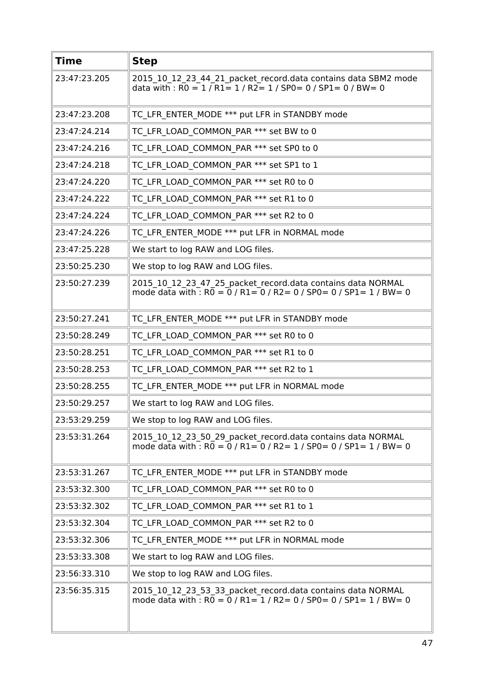| <b>Time</b>  | <b>Step</b>                                                                                                                                       |
|--------------|---------------------------------------------------------------------------------------------------------------------------------------------------|
| 23:47:23.205 | 2015 10 12 23 44 21 packet record.data contains data SBM2 mode<br>data with : $R0 = 1 / R1 = 1 / R2 = 1 / SPO = 0 / SP1 = 0 / BW = 0$             |
| 23:47:23.208 | TC LFR ENTER MODE *** put LFR in STANDBY mode                                                                                                     |
| 23:47:24.214 | TC LFR LOAD COMMON PAR *** set BW to 0                                                                                                            |
| 23:47:24.216 | TC LFR LOAD COMMON PAR *** set SP0 to 0                                                                                                           |
| 23:47:24.218 | TC LFR LOAD COMMON PAR *** set SP1 to 1                                                                                                           |
| 23:47:24.220 | TC LFR LOAD COMMON PAR *** set R0 to 0                                                                                                            |
| 23:47:24.222 | TC LFR LOAD COMMON PAR *** set R1 to 0                                                                                                            |
| 23:47:24.224 | TC LFR LOAD COMMON PAR *** set R2 to 0                                                                                                            |
| 23:47:24.226 | TC LFR ENTER MODE *** put LFR in NORMAL mode                                                                                                      |
| 23:47:25.228 | We start to log RAW and LOG files.                                                                                                                |
| 23:50:25.230 | We stop to log RAW and LOG files.                                                                                                                 |
| 23:50:27.239 | 2015_10_12_23_47_25_packet_record.data contains data NORMAL<br>mode data with : $R0 = 0$ / $R1 = 0$ / $R2 = 0$ / $SP0 = 0$ / $SP1 = 1$ / $BW = 0$ |
| 23:50:27.241 | TC LFR ENTER MODE *** put LFR in STANDBY mode                                                                                                     |
| 23:50:28.249 | TC LFR LOAD COMMON PAR *** set R0 to 0                                                                                                            |
| 23:50:28.251 | TC LFR LOAD COMMON PAR *** set R1 to 0                                                                                                            |
| 23:50:28.253 | TC LFR LOAD COMMON PAR *** set R2 to 1                                                                                                            |
| 23:50:28.255 | TC LFR ENTER MODE *** put LFR in NORMAL mode                                                                                                      |
| 23:50:29.257 | We start to log RAW and LOG files.                                                                                                                |
| 23:53:29.259 | We stop to log RAW and LOG files.                                                                                                                 |
| 23:53:31.264 | 2015 10 12 23 50 29 packet record.data contains data NORMAL<br>mode data with : $R0 = 0$ / $R1 = 0$ / $R2 = 1$ / $SP0 = 0$ / $SP1 = 1$ / $BW = 0$ |
| 23:53:31.267 | TC LFR ENTER MODE *** put LFR in STANDBY mode                                                                                                     |
| 23:53:32.300 | TC LFR LOAD COMMON PAR *** set R0 to 0                                                                                                            |
| 23:53:32.302 | TC LFR LOAD COMMON_PAR *** set R1 to 1                                                                                                            |
| 23:53:32.304 | TC LFR LOAD COMMON PAR *** set R2 to 0                                                                                                            |
| 23:53:32.306 | TC LFR ENTER MODE *** put LFR in NORMAL mode                                                                                                      |
| 23:53:33.308 | We start to log RAW and LOG files.                                                                                                                |
| 23:56:33.310 | We stop to log RAW and LOG files.                                                                                                                 |
| 23:56:35.315 | 2015_10_12_23_53_33_packet_record.data contains data NORMAL<br>mode data with : $R0 = 0$ / $R1 = 1$ / $R2 = 0$ / $SP0 = 0$ / $SP1 = 1$ / $BW = 0$ |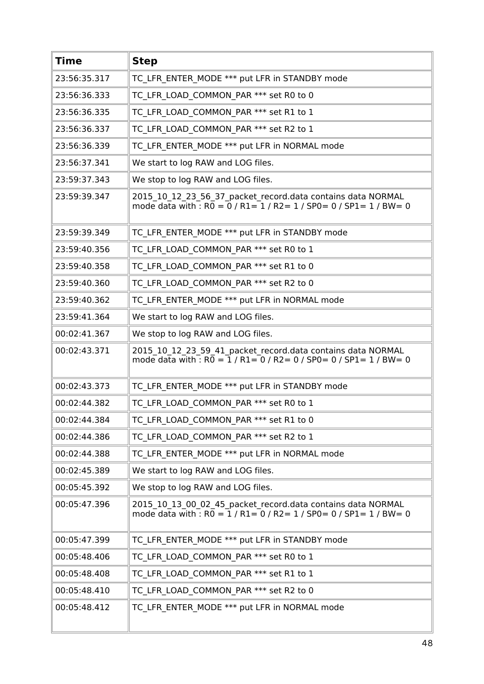| <b>Time</b>  | <b>Step</b>                                                                                                                                       |
|--------------|---------------------------------------------------------------------------------------------------------------------------------------------------|
| 23:56:35.317 | TC LFR ENTER MODE *** put LFR in STANDBY mode                                                                                                     |
| 23:56:36.333 | TC LFR LOAD COMMON PAR *** set R0 to 0                                                                                                            |
| 23:56:36.335 | TC LFR LOAD COMMON PAR *** set R1 to 1                                                                                                            |
| 23:56:36.337 | TC LFR LOAD COMMON PAR *** set R2 to 1                                                                                                            |
| 23:56:36.339 | TC LFR ENTER MODE *** put LFR in NORMAL mode                                                                                                      |
| 23:56:37.341 | We start to log RAW and LOG files.                                                                                                                |
| 23:59:37.343 | We stop to log RAW and LOG files.                                                                                                                 |
| 23:59:39.347 | 2015 10 12 23 56 37 packet record.data contains data NORMAL<br>mode data with : $R0 = 0$ / $R1 = 1$ / $R2 = 1$ / $SP0 = 0$ / $SP1 = 1$ / $BW = 0$ |
| 23:59:39.349 | TC LFR ENTER MODE *** put LFR in STANDBY mode                                                                                                     |
| 23:59:40.356 | TC LFR LOAD COMMON PAR *** set R0 to 1                                                                                                            |
| 23:59:40.358 | TC LFR LOAD COMMON PAR *** set R1 to 0                                                                                                            |
| 23:59:40.360 | TC LFR LOAD COMMON PAR *** set R2 to 0                                                                                                            |
| 23:59:40.362 | TC LFR ENTER MODE *** put LFR in NORMAL mode                                                                                                      |
| 23:59:41.364 | We start to log RAW and LOG files.                                                                                                                |
| 00:02:41.367 | We stop to log RAW and LOG files.                                                                                                                 |
| 00:02:43.371 | 2015 10 12 23 59 41 packet record.data contains data NORMAL<br>mode data with : $R0 = 1 / R1 = 0 / R2 = 0 / SPO = 0 / SPI = 1 / BW = 0$           |
| 00:02:43.373 | TC LFR ENTER MODE *** put LFR in STANDBY mode                                                                                                     |
| 00:02:44.382 | TC LFR LOAD COMMON PAR *** set R0 to 1                                                                                                            |
| 00:02:44.384 | TC LFR LOAD_COMMON_PAR *** set R1 to 0                                                                                                            |
| 00:02:44.386 | TC LFR LOAD COMMON PAR *** set R2 to 1                                                                                                            |
| 00:02:44.388 | TC LFR ENTER MODE *** put LFR in NORMAL mode                                                                                                      |
| 00:02:45.389 | We start to log RAW and LOG files.                                                                                                                |
| 00:05:45.392 | We stop to log RAW and LOG files.                                                                                                                 |
| 00:05:47.396 | 2015 10 13 00 02 45 packet record.data contains data NORMAL<br>mode data with : $R0 = 1 / R1 = 0 / R2 = 1 / SPO = 0 / SPI = 1 / BW = 0$           |
| 00:05:47.399 | TC LFR ENTER MODE *** put LFR in STANDBY mode                                                                                                     |
| 00:05:48.406 | TC LFR LOAD_COMMON_PAR *** set R0 to 1                                                                                                            |
| 00:05:48.408 | TC LFR LOAD COMMON PAR *** set R1 to 1                                                                                                            |
| 00:05:48.410 | TC LFR LOAD_COMMON_PAR *** set R2 to 0                                                                                                            |
| 00:05:48.412 | TC LFR ENTER MODE *** put LFR in NORMAL mode                                                                                                      |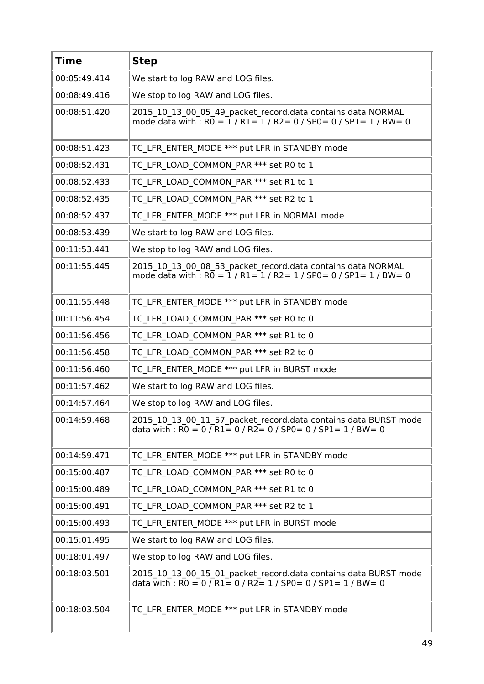| <b>Time</b>  | <b>Step</b>                                                                                                                                |
|--------------|--------------------------------------------------------------------------------------------------------------------------------------------|
| 00:05:49.414 | We start to log RAW and LOG files.                                                                                                         |
| 00:08:49.416 | We stop to log RAW and LOG files.                                                                                                          |
| 00:08:51.420 | 2015_10_13_00_05_49_packet_record.data contains data NORMAL<br>mode data with $\cdot$ RO = 1 / R1= 1 / R2 = 0 / SP0 = 0 / SP1 = 1 / BW = 0 |
| 00:08:51.423 | TC LFR ENTER MODE *** put LFR in STANDBY mode                                                                                              |
| 00:08:52.431 | TC LFR LOAD COMMON PAR *** set R0 to 1                                                                                                     |
| 00:08:52.433 | TC LFR LOAD COMMON PAR *** set R1 to 1                                                                                                     |
| 00:08:52.435 | TC LFR LOAD COMMON PAR *** set R2 to 1                                                                                                     |
| 00:08:52.437 | TC LFR ENTER MODE *** put LFR in NORMAL mode                                                                                               |
| 00:08:53.439 | We start to log RAW and LOG files.                                                                                                         |
| 00:11:53.441 | We stop to log RAW and LOG files.                                                                                                          |
| 00:11:55.445 | 2015_10_13_00_08_53_packet_record.data contains data NORMAL<br>mode data with $\cdot$ RO = 1 / R1= 1 / R2 = 1 / SP0 = 0 / SP1 = 1 / BW = 0 |
| 00:11:55.448 | TC LFR ENTER MODE *** put LFR in STANDBY mode                                                                                              |
| 00:11:56.454 | TC LFR LOAD COMMON PAR *** set R0 to 0                                                                                                     |
| 00:11:56.456 | TC LFR LOAD COMMON PAR *** set R1 to 0                                                                                                     |
| 00:11:56.458 | TC LFR LOAD COMMON PAR *** set R2 to 0                                                                                                     |
| 00:11:56.460 | TC LFR ENTER MODE *** put LFR in BURST mode                                                                                                |
| 00:11:57.462 | We start to log RAW and LOG files.                                                                                                         |
| 00:14:57.464 | We stop to log RAW and LOG files.                                                                                                          |
| 00:14:59.468 | 2015 10 13 00 11 57 packet record.data contains data BURST mode<br>data with : $R0 = 0$ / $R1 = 0$ / $R2 = 0$ / SP0 = 0 / SP1 = 1 / BW = 0 |
| 00:14:59.471 | TC LFR ENTER MODE *** put LFR in STANDBY mode                                                                                              |
| 00:15:00.487 | TC LFR LOAD COMMON PAR *** set R0 to 0                                                                                                     |
| 00:15:00.489 | TC LFR LOAD COMMON PAR *** set R1 to 0                                                                                                     |
| 00:15:00.491 | TC LFR LOAD COMMON PAR *** set R2 to 1                                                                                                     |
| 00:15:00.493 | TC LFR ENTER MODE *** put LFR in BURST mode                                                                                                |
| 00:15:01.495 | We start to log RAW and LOG files.                                                                                                         |
| 00:18:01.497 | We stop to log RAW and LOG files.                                                                                                          |
| 00:18:03.501 | 2015_10_13_00_15_01_packet_record.data contains data BURST mode<br>data with : R0 = 0 / R1 = 0 / R2 = 1 / SP0 = 0 / SP1 = 1 / BW = 0       |
| 00:18:03.504 | TC_LFR_ENTER_MODE *** put LFR in STANDBY mode                                                                                              |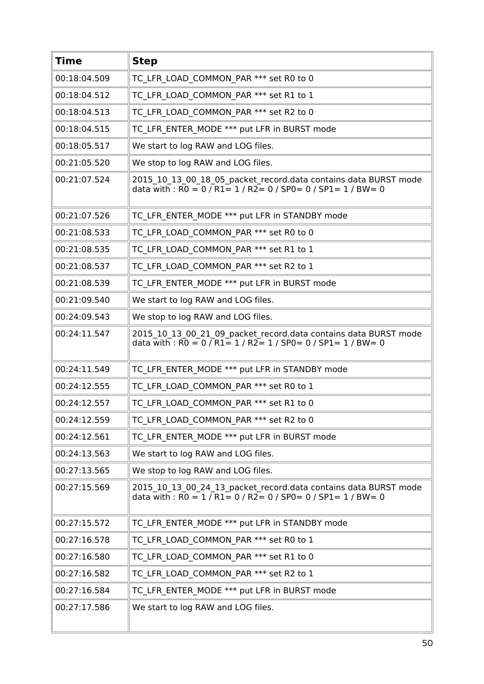| <b>Time</b>  | <b>Step</b>                                                                                                                                      |
|--------------|--------------------------------------------------------------------------------------------------------------------------------------------------|
| 00:18:04.509 | TC LFR LOAD COMMON PAR *** set R0 to 0                                                                                                           |
| 00:18:04.512 | TC LFR LOAD COMMON PAR *** set R1 to 1                                                                                                           |
| 00:18:04.513 | TC LFR LOAD COMMON PAR *** set R2 to 0                                                                                                           |
| 00:18:04.515 | TC LFR ENTER MODE *** put LFR in BURST mode                                                                                                      |
| 00:18:05.517 | We start to log RAW and LOG files.                                                                                                               |
| 00:21:05.520 | We stop to log RAW and LOG files.                                                                                                                |
| 00:21:07.524 | 2015_10_13_00_18_05_packet_record.data contains data BURST mode<br>data with: $\overline{RO} = 0 / R1 = 1 / R2 = 0 / SPO = 0 / SPL = 1 / BW = 0$ |
| 00:21:07.526 | TC LFR ENTER MODE *** put LFR in STANDBY mode                                                                                                    |
| 00:21:08.533 | TC LFR LOAD COMMON PAR *** set R0 to 0                                                                                                           |
| 00:21:08.535 | TC LFR LOAD COMMON PAR *** set R1 to 1                                                                                                           |
| 00:21:08.537 | TC LFR LOAD COMMON PAR *** set R2 to 1                                                                                                           |
| 00:21:08.539 | TC LFR ENTER MODE *** put LFR in BURST mode                                                                                                      |
| 00:21:09.540 | We start to log RAW and LOG files.                                                                                                               |
| 00:24:09.543 | We stop to log RAW and LOG files.                                                                                                                |
| 00:24:11.547 | 2015_10_13_00_21_09_packet_record.data contains data BURST mode<br>data with : $RO = 0 / R1 = 1 / R2 = 1 / SPO = 0 / SPI = 1 / BW = 0$           |
| 00:24:11.549 | TC LFR ENTER MODE *** put LFR in STANDBY mode                                                                                                    |
| 00:24:12.555 | TC LFR LOAD COMMON PAR *** set R0 to 1                                                                                                           |
| 00:24:12.557 | TC LFR LOAD COMMON PAR *** set R1 to 0                                                                                                           |
| 00:24:12.559 | TC LFR LOAD COMMON PAR *** set R2 to 0                                                                                                           |
| 00:24:12.561 | TC LFR ENTER MODE *** put LFR in BURST mode                                                                                                      |
| 00:24:13.563 | We start to log RAW and LOG files.                                                                                                               |
| 00:27:13.565 | We stop to log RAW and LOG files.                                                                                                                |
| 00:27:15.569 | 2015_10_13_00_24_13_packet_record.data contains data BURST mode<br>data with : $RO = 1 / R1 = 0 / R2 = 0 / SPO = 0 / SPI = 1 / BW = 0$           |
| 00:27:15.572 | TC LFR ENTER MODE *** put LFR in STANDBY mode                                                                                                    |
| 00:27:16.578 | TC LFR LOAD COMMON PAR *** set R0 to 1                                                                                                           |
| 00:27:16.580 | TC LFR LOAD COMMON PAR *** set R1 to 0                                                                                                           |
| 00:27:16.582 | TC LFR LOAD COMMON PAR *** set R2 to 1                                                                                                           |
| 00:27:16.584 | TC LFR ENTER MODE *** put LFR in BURST mode                                                                                                      |
| 00:27:17.586 | We start to log RAW and LOG files.                                                                                                               |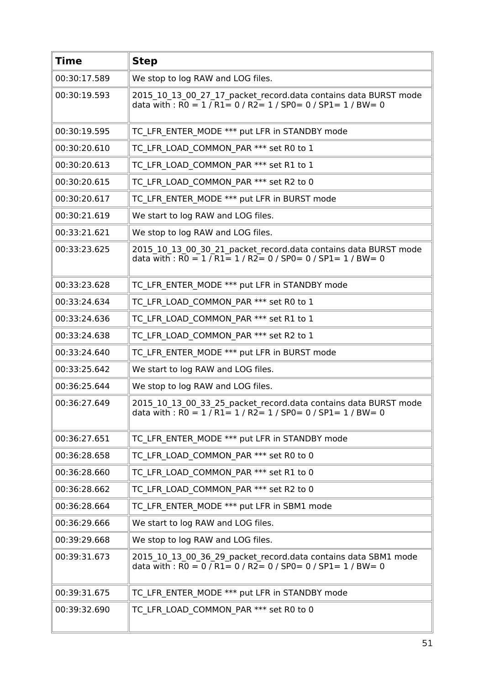| <b>Time</b>  | <b>Step</b>                                                                                                                                                                                              |
|--------------|----------------------------------------------------------------------------------------------------------------------------------------------------------------------------------------------------------|
| 00:30:17.589 | We stop to log RAW and LOG files.                                                                                                                                                                        |
| 00:30:19.593 | 2015 10 13 00 27 17 packet record.data contains data BURST mode<br>data with : $\overline{RO} = 1 / \overline{R1} = 0 / \overline{R2} = 1 / \overline{SPO} = 0 / \overline{SPI} = 1 / \overline{BW} = 0$ |
| 00:30:19.595 | TC LFR ENTER MODE *** put LFR in STANDBY mode                                                                                                                                                            |
| 00:30:20.610 | TC LFR LOAD COMMON PAR *** set R0 to 1                                                                                                                                                                   |
| 00:30:20.613 | TC LFR LOAD COMMON PAR *** set R1 to 1                                                                                                                                                                   |
| 00:30:20.615 | TC LFR LOAD COMMON PAR *** set R2 to 0                                                                                                                                                                   |
| 00:30:20.617 | TC LFR ENTER MODE *** put LFR in BURST mode                                                                                                                                                              |
| 00:30:21.619 | We start to log RAW and LOG files.                                                                                                                                                                       |
| 00:33:21.621 | We stop to log RAW and LOG files.                                                                                                                                                                        |
| 00:33:23.625 | 2015_10_13_00_30_21_packet_record.data contains data BURST mode<br>data with : $\overline{RO} = 1 / \overline{R1} = 1 / \overline{R2} = 0 / \overline{SPO} = 0 / \overline{SPI} = 1 / \overline{BW} = 0$ |
| 00:33:23.628 | TC LFR ENTER MODE *** put LFR in STANDBY mode                                                                                                                                                            |
| 00:33:24.634 | TC LFR LOAD COMMON PAR *** set R0 to 1                                                                                                                                                                   |
| 00:33:24.636 | TC LFR_LOAD_COMMON_PAR *** set R1 to 1                                                                                                                                                                   |
| 00:33:24.638 | TC LFR LOAD COMMON PAR *** set R2 to 1                                                                                                                                                                   |
| 00:33:24.640 | TC LFR ENTER MODE *** put LFR in BURST mode                                                                                                                                                              |
| 00:33:25.642 | We start to log RAW and LOG files.                                                                                                                                                                       |
| 00:36:25.644 | We stop to log RAW and LOG files.                                                                                                                                                                        |
| 00:36:27.649 | 2015_10_13_00_33_25_packet_record.data contains data BURST mode<br>data with : $RO = 1 / R1 = 1 / R2 = 1 / SPO = 0 / SPI = 1 / BW = 0$                                                                   |
| 00:36:27.651 | TC LFR ENTER MODE *** put LFR in STANDBY mode                                                                                                                                                            |
| 00:36:28.658 | TC LFR LOAD COMMON PAR *** set R0 to 0                                                                                                                                                                   |
| 00:36:28.660 | TC LFR LOAD COMMON PAR *** set R1 to 0                                                                                                                                                                   |
| 00:36:28.662 | TC LFR LOAD COMMON PAR *** set R2 to 0                                                                                                                                                                   |
| 00:36:28.664 | TC LFR ENTER MODE *** put LFR in SBM1 mode                                                                                                                                                               |
| 00:36:29.666 | We start to log RAW and LOG files.                                                                                                                                                                       |
| 00:39:29.668 | We stop to log RAW and LOG files.                                                                                                                                                                        |
| 00:39:31.673 | 2015_10_13_00_36_29_packet_record.data contains data SBM1 mode<br>data with : $\overline{RO} = 0 / \overline{R1} = 0 / \overline{R2} = 0 / \overline{SPO} = 0 / \overline{SPI} = 1 / \overline{BW} = 0$  |
| 00:39:31.675 | TC LFR ENTER MODE *** put LFR in STANDBY mode                                                                                                                                                            |
| 00:39:32.690 | TC LFR LOAD COMMON PAR *** set R0 to 0                                                                                                                                                                   |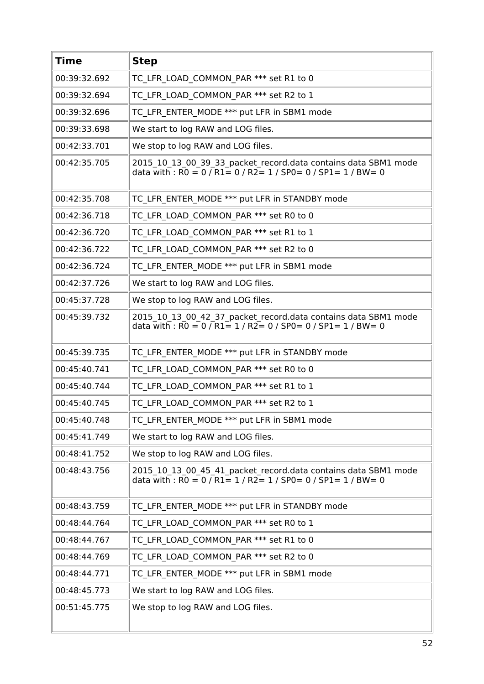| <b>Time</b>  | <b>Step</b>                                                                                                                                                                                                       |
|--------------|-------------------------------------------------------------------------------------------------------------------------------------------------------------------------------------------------------------------|
| 00:39:32.692 | TC LFR LOAD COMMON PAR *** set R1 to 0                                                                                                                                                                            |
| 00:39:32.694 | TC LFR LOAD COMMON PAR *** set R2 to 1                                                                                                                                                                            |
| 00:39:32.696 | TC LFR ENTER MODE *** put LFR in SBM1 mode                                                                                                                                                                        |
| 00:39:33.698 | We start to log RAW and LOG files.                                                                                                                                                                                |
| 00:42:33.701 | We stop to log RAW and LOG files.                                                                                                                                                                                 |
| 00:42:35.705 | 2015_10_13_00_39_33_packet_record.data contains data SBM1 mode<br>data with : R0 = 0 / R1 = 0 / R2 = 1 / SP0 = 0 / SP1 = 1 / BW = 0                                                                               |
| 00:42:35.708 | TC LFR ENTER MODE *** put LFR in STANDBY mode                                                                                                                                                                     |
| 00:42:36.718 | TC LFR LOAD COMMON PAR *** set R0 to 0                                                                                                                                                                            |
| 00:42:36.720 | TC LFR LOAD COMMON PAR *** set R1 to 1                                                                                                                                                                            |
| 00:42:36.722 | TC LFR LOAD COMMON PAR *** set R2 to 0                                                                                                                                                                            |
| 00:42:36.724 | TC LFR ENTER MODE *** put LFR in SBM1 mode                                                                                                                                                                        |
| 00:42:37.726 | We start to log RAW and LOG files.                                                                                                                                                                                |
| 00:45:37.728 | We stop to log RAW and LOG files.                                                                                                                                                                                 |
| 00:45:39.732 | 2015_10_13_00_42_37_packet_record.data contains data SBM1 mode<br>data with : $\overline{RO} = 0$ / $\overline{R1} = 1$ / $\overline{R2} = 0$ / $\overline{SP0} = 0$ / $\overline{SP1} = 1$ / $\overline{BW} = 0$ |
| 00:45:39.735 | TC LFR ENTER MODE *** put LFR in STANDBY mode                                                                                                                                                                     |
| 00:45:40.741 | TC LFR LOAD COMMON PAR *** set R0 to 0                                                                                                                                                                            |
| 00:45:40.744 | TC LFR LOAD COMMON PAR *** set R1 to 1                                                                                                                                                                            |
| 00:45:40.745 | TC LFR LOAD COMMON PAR *** set R2 to 1                                                                                                                                                                            |
| 00:45:40.748 | TC LFR ENTER MODE *** put LFR in SBM1 mode                                                                                                                                                                        |
| 00:45:41.749 | We start to log RAW and LOG files.                                                                                                                                                                                |
| 00:48:41.752 | We stop to log RAW and LOG files.                                                                                                                                                                                 |
| 00:48:43.756 | 2015 10 13 00 45 41 packet record.data contains data SBM1 mode<br>data with : $\overline{RO} = 0$ / $\overline{R1} = 1$ / $\overline{R2} = 1$ / $\overline{SP0} = 0$ / $\overline{SP1} = 1$ / $\overline{BW} = 0$ |
| 00:48:43.759 | TC LFR ENTER MODE *** put LFR in STANDBY mode                                                                                                                                                                     |
| 00:48:44.764 | TC LFR LOAD COMMON PAR *** set R0 to 1                                                                                                                                                                            |
| 00:48:44.767 | TC LFR LOAD COMMON PAR *** set R1 to 0                                                                                                                                                                            |
| 00:48:44.769 | TC LFR LOAD COMMON PAR *** set R2 to 0                                                                                                                                                                            |
| 00:48:44.771 | TC LFR ENTER MODE *** put LFR in SBM1 mode                                                                                                                                                                        |
| 00:48:45.773 | We start to log RAW and LOG files.                                                                                                                                                                                |
| 00:51:45.775 | We stop to log RAW and LOG files.                                                                                                                                                                                 |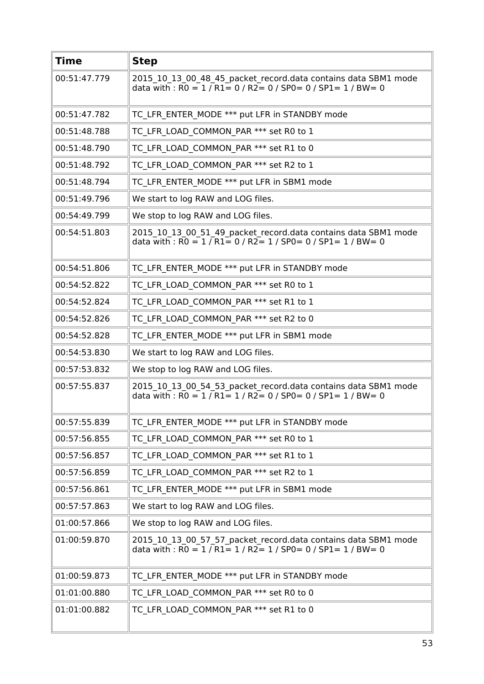| <b>Time</b>  | <b>Step</b>                                                                                                                                                                                             |
|--------------|---------------------------------------------------------------------------------------------------------------------------------------------------------------------------------------------------------|
| 00:51:47.779 | 2015_10_13_00_48_45_packet_record.data contains data SBM1 mode<br>data with : $R0 = 1 / R1 = 0 / R2 = 0 / SPO = 0 / SPI = 1 / BW = 0$                                                                   |
| 00:51:47.782 | TC LFR ENTER MODE *** put LFR in STANDBY mode                                                                                                                                                           |
| 00:51:48.788 | TC LFR LOAD COMMON PAR *** set R0 to 1                                                                                                                                                                  |
| 00:51:48.790 | TC LFR LOAD COMMON PAR *** set R1 to 0                                                                                                                                                                  |
| 00:51:48.792 | TC LFR LOAD COMMON PAR *** set R2 to 1                                                                                                                                                                  |
| 00:51:48.794 | TC LFR ENTER MODE *** put LFR in SBM1 mode                                                                                                                                                              |
| 00:51:49.796 | We start to log RAW and LOG files.                                                                                                                                                                      |
| 00:54:49.799 | We stop to log RAW and LOG files.                                                                                                                                                                       |
| 00:54:51.803 | 2015 10 13 00 51 49 packet record.data contains data SBM1 mode<br>data with : $\overline{RO} = 1 / \overline{R1} = 0 / \overline{R2} = 1 / \overline{SPO} = 0 / \overline{SPI} = 1 / \overline{BW} = 0$ |
| 00:54:51.806 | TC LFR ENTER MODE *** put LFR in STANDBY mode                                                                                                                                                           |
| 00:54:52.822 | TC LFR LOAD COMMON PAR *** set R0 to 1                                                                                                                                                                  |
| 00:54:52.824 | TC LFR LOAD COMMON PAR *** set R1 to 1                                                                                                                                                                  |
| 00:54:52.826 | TC LFR LOAD COMMON PAR *** set R2 to 0                                                                                                                                                                  |
| 00:54:52.828 | TC LFR ENTER MODE *** put LFR in SBM1 mode                                                                                                                                                              |
| 00:54:53.830 | We start to log RAW and LOG files.                                                                                                                                                                      |
| 00:57:53.832 | We stop to log RAW and LOG files.                                                                                                                                                                       |
| 00:57:55.837 | 2015 10 13 00 54 53 packet record.data contains data SBM1 mode<br>data with : $\overline{RO} = 1 / \overline{R1} = 1 / \overline{R2} = 0 / \overline{SPO} = 0 / \overline{SPI} = 1 / \overline{BW} = 0$ |
| 00:57:55.839 | TC_LFR_ENTER_MODE *** put LFR in STANDBY mode                                                                                                                                                           |
| 00:57:56.855 | TC LFR LOAD COMMON PAR *** set R0 to 1                                                                                                                                                                  |
| 00:57:56.857 | TC LFR LOAD COMMON PAR *** set R1 to 1                                                                                                                                                                  |
| 00:57:56.859 | TC LFR LOAD COMMON PAR *** set R2 to 1                                                                                                                                                                  |
| 00:57:56.861 | TC LFR ENTER MODE *** put LFR in SBM1 mode                                                                                                                                                              |
| 00:57:57.863 | We start to log RAW and LOG files.                                                                                                                                                                      |
| 01:00:57.866 | We stop to log RAW and LOG files.                                                                                                                                                                       |
| 01:00:59.870 | 2015 10 13 00 57 57 packet record.data contains data SBM1 mode<br>data with : $R0 = 1 / R1 = 1 / R2 = 1 / SPO = 0 / SPL = 1 / BW = 0$                                                                   |
| 01:00:59.873 | TC LFR ENTER MODE *** put LFR in STANDBY mode                                                                                                                                                           |
| 01:01:00.880 | TC LFR LOAD COMMON PAR *** set R0 to 0                                                                                                                                                                  |
| 01:01:00.882 | TC LFR LOAD COMMON PAR *** set R1 to 0                                                                                                                                                                  |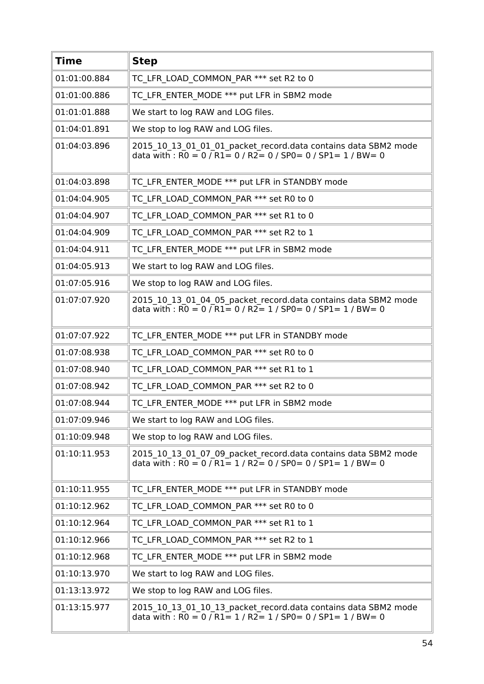| <b>Time</b>  | <b>Step</b>                                                                                                                                                                                                       |
|--------------|-------------------------------------------------------------------------------------------------------------------------------------------------------------------------------------------------------------------|
| 01:01:00.884 | TC LFR LOAD COMMON PAR *** set R2 to 0                                                                                                                                                                            |
| 01:01:00.886 | TC LFR ENTER MODE *** put LFR in SBM2 mode                                                                                                                                                                        |
| 01:01:01.888 | We start to log RAW and LOG files.                                                                                                                                                                                |
| 01:04:01.891 | We stop to log RAW and LOG files.                                                                                                                                                                                 |
| 01:04:03.896 | 2015 10 13 01 01 01 packet record.data contains data SBM2 mode<br>data with : $\overline{RO} = 0 / R1 = 0 / R2 = 0 / SPO = 0 / SP1 = 1 / BW = 0$                                                                  |
| 01:04:03.898 | TC LFR ENTER MODE *** put LFR in STANDBY mode                                                                                                                                                                     |
| 01:04:04.905 | TC LFR LOAD COMMON PAR *** set R0 to 0                                                                                                                                                                            |
| 01:04:04.907 | TC LFR LOAD COMMON PAR *** set R1 to 0                                                                                                                                                                            |
| 01:04:04.909 | TC LFR LOAD COMMON PAR *** set R2 to 1                                                                                                                                                                            |
| 01:04:04.911 | TC LFR ENTER MODE *** put LFR in SBM2 mode                                                                                                                                                                        |
| 01:04:05.913 | We start to log RAW and LOG files.                                                                                                                                                                                |
| 01:07:05.916 | We stop to log RAW and LOG files.                                                                                                                                                                                 |
| 01:07:07.920 | 2015_10_13_01_04_05_packet_record.data contains data SBM2 mode<br>data with : $R0 = 0$ / $R1 = 0$ / $R2 = 1$ / $SP0 = 0$ / $SP1 = 1$ / $BW = 0$                                                                   |
| 01:07:07.922 | TC LFR ENTER MODE *** put LFR in STANDBY mode                                                                                                                                                                     |
| 01:07:08.938 | TC LFR LOAD COMMON PAR *** set R0 to 0                                                                                                                                                                            |
| 01:07:08.940 | TC LFR LOAD COMMON PAR *** set R1 to 1                                                                                                                                                                            |
| 01:07:08.942 | TC LFR LOAD COMMON PAR *** set R2 to 0                                                                                                                                                                            |
| 01:07:08.944 | TC LFR ENTER MODE *** put LFR in SBM2 mode                                                                                                                                                                        |
| 01:07:09.946 | We start to log RAW and LOG files.                                                                                                                                                                                |
| 01:10:09.948 | We stop to log RAW and LOG files.                                                                                                                                                                                 |
| 01:10:11.953 | 2015 10 13 01 07 09 packet record.data contains data SBM2 mode<br>data with : $\overline{RO} = 0 / \overline{R1} = 1 / \overline{R2} = 0 / \overline{SPO} = 0 / \overline{SPI} = 1 / \overline{BW} = 0$           |
| 01:10:11.955 | TC LFR ENTER MODE *** put LFR in STANDBY mode                                                                                                                                                                     |
| 01:10:12.962 | TC LFR LOAD COMMON PAR *** set R0 to 0                                                                                                                                                                            |
| 01:10:12.964 | TC LFR LOAD COMMON PAR *** set R1 to 1                                                                                                                                                                            |
| 01:10:12.966 | TC LFR LOAD COMMON PAR *** set R2 to 1                                                                                                                                                                            |
| 01:10:12.968 | TC LFR ENTER MODE *** put LFR in SBM2 mode                                                                                                                                                                        |
| 01:10:13.970 | We start to log RAW and LOG files.                                                                                                                                                                                |
| 01:13:13.972 | We stop to log RAW and LOG files.                                                                                                                                                                                 |
| 01:13:15.977 | 2015 10 13 01 10 13 packet record.data contains data SBM2 mode<br>data with : $\overline{RO} = 0$ / $\overline{R1} = 1$ / $\overline{R2} = 1$ / $\overline{SP0} = 0$ / $\overline{SP1} = 1$ / $\overline{BW} = 0$ |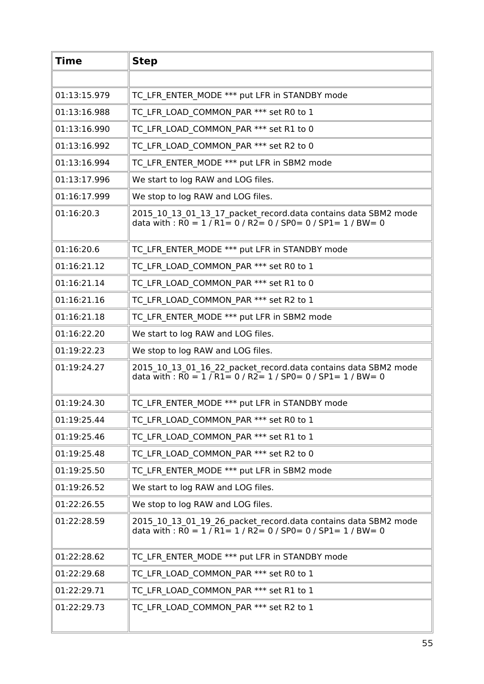| <b>Time</b>  | <b>Step</b>                                                                                                                                                                                             |
|--------------|---------------------------------------------------------------------------------------------------------------------------------------------------------------------------------------------------------|
|              |                                                                                                                                                                                                         |
| 01:13:15.979 | TC LFR ENTER MODE *** put LFR in STANDBY mode                                                                                                                                                           |
| 01:13:16.988 | TC LFR LOAD COMMON PAR *** set R0 to 1                                                                                                                                                                  |
| 01:13:16.990 | TC LFR LOAD COMMON PAR *** set R1 to 0                                                                                                                                                                  |
| 01:13:16.992 | TC LFR LOAD COMMON PAR *** set R2 to 0                                                                                                                                                                  |
| 01:13:16.994 | TC LFR ENTER MODE *** put LFR in SBM2 mode                                                                                                                                                              |
| 01:13:17.996 | We start to log RAW and LOG files.                                                                                                                                                                      |
| 01:16:17.999 | We stop to log RAW and LOG files.                                                                                                                                                                       |
| 01:16:20.3   | 2015 10 13 01 13 17 packet record.data contains data SBM2 mode<br>data with : $\overline{RO} = 1 / \overline{R1} = 0 / \overline{R2} = 0 / \overline{SPO} = 0 / \overline{SPI} = 1 / \overline{BW} = 0$ |
| 01:16:20.6   | TC LFR ENTER MODE *** put LFR in STANDBY mode                                                                                                                                                           |
| 01:16:21.12  | TC LFR LOAD COMMON PAR *** set R0 to 1                                                                                                                                                                  |
| 01:16:21.14  | TC LFR LOAD COMMON_PAR *** set R1 to 0                                                                                                                                                                  |
| 01:16:21.16  | TC LFR LOAD COMMON PAR *** set R2 to 1                                                                                                                                                                  |
| 01:16:21.18  | TC LFR ENTER MODE *** put LFR in SBM2 mode                                                                                                                                                              |
| 01:16:22.20  | We start to log RAW and LOG files.                                                                                                                                                                      |
| 01:19:22.23  | We stop to log RAW and LOG files.                                                                                                                                                                       |
| 01:19:24.27  | 2015_10_13_01_16_22_packet_record.data contains data SBM2 mode<br>data with : $R0 = 1/R1 = 0/R2 = 1/SP0 = 0/SP1 = 1/BW = 0$                                                                             |
| 01:19:24.30  | TC LFR ENTER MODE *** put LFR in STANDBY mode                                                                                                                                                           |
| 01:19:25.44  | TC LFR LOAD COMMON PAR *** set R0 to 1                                                                                                                                                                  |
| 01:19:25.46  | TC LFR LOAD COMMON PAR *** set R1 to 1                                                                                                                                                                  |
| 01:19:25.48  | TC LFR LOAD COMMON PAR *** set R2 to 0                                                                                                                                                                  |
| 01:19:25.50  | TC LFR ENTER MODE *** put LFR in SBM2 mode                                                                                                                                                              |
| 01:19:26.52  | We start to log RAW and LOG files.                                                                                                                                                                      |
| 01:22:26.55  | We stop to log RAW and LOG files.                                                                                                                                                                       |
| 01:22:28.59  | 2015_10_13_01_19_26_packet_record.data contains data SBM2 mode<br>data with : $\overline{RO} = 1 / \overline{R1} = 1 / \overline{R2} = 0 / \overline{SPO} = 0 / \overline{SPI} = 1 / \overline{BW} = 0$ |
| 01:22:28.62  | TC LFR ENTER MODE *** put LFR in STANDBY mode                                                                                                                                                           |
| 01:22:29.68  | TC LFR LOAD COMMON PAR *** set R0 to 1                                                                                                                                                                  |
| 01:22:29.71  | TC LFR LOAD COMMON PAR *** set R1 to 1                                                                                                                                                                  |
| 01:22:29.73  | TC LFR LOAD COMMON PAR *** set R2 to 1                                                                                                                                                                  |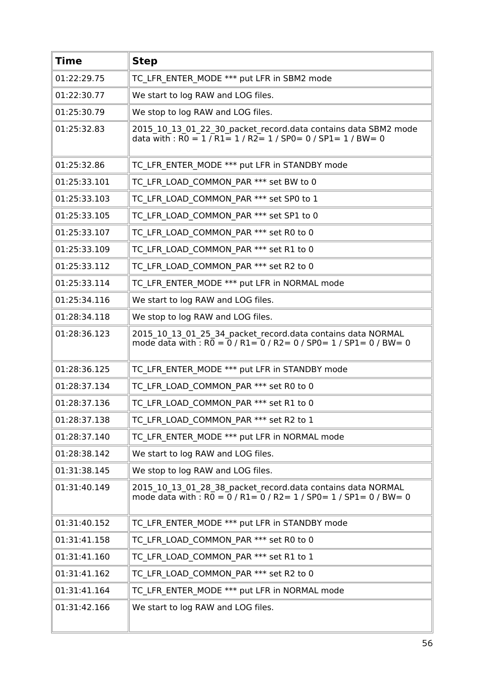| <b>Time</b>  | <b>Step</b>                                                                                                                                       |
|--------------|---------------------------------------------------------------------------------------------------------------------------------------------------|
| 01:22:29.75  | TC LFR ENTER MODE *** put LFR in SBM2 mode                                                                                                        |
| 01:22:30.77  | We start to log RAW and LOG files.                                                                                                                |
| 01:25:30.79  | We stop to log RAW and LOG files.                                                                                                                 |
| 01:25:32.83  | 2015 10 13 01 22 30 packet record.data contains data SBM2 mode<br>data with : $R0 = 1/R1 = 1/R2 = 1/SPO = 0/SPL = 1/BW = 0$                       |
| 01:25:32.86  | TC LFR ENTER MODE *** put LFR in STANDBY mode                                                                                                     |
| 01:25:33.101 | TC LFR LOAD COMMON PAR *** set BW to 0                                                                                                            |
| 01:25:33.103 | TC LFR LOAD COMMON PAR *** set SP0 to 1                                                                                                           |
| 01:25:33.105 | TC LFR LOAD COMMON PAR *** set SP1 to 0                                                                                                           |
| 01:25:33.107 | TC_LFR_LOAD_COMMON_PAR *** set R0 to 0                                                                                                            |
| 01:25:33.109 | TC LFR_LOAD_COMMON_PAR *** set R1 to 0                                                                                                            |
| 01:25:33.112 | TC LFR LOAD COMMON PAR *** set R2 to 0                                                                                                            |
| 01:25:33.114 | TC LFR ENTER MODE *** put LFR in NORMAL mode                                                                                                      |
| 01:25:34.116 | We start to log RAW and LOG files.                                                                                                                |
| 01:28:34.118 | We stop to log RAW and LOG files.                                                                                                                 |
| 01:28:36.123 | 2015_10_13_01_25_34_packet_record.data contains data NORMAL<br>mode data with : $R0 = 0$ / $R1 = 0$ / $R2 = 0$ / $SP0 = 1$ / $SP1 = 0$ / $BW = 0$ |
| 01:28:36.125 | TC LFR ENTER MODE *** put LFR in STANDBY mode                                                                                                     |
| 01:28:37.134 | TC LFR LOAD COMMON PAR *** set R0 to 0                                                                                                            |
| 01:28:37.136 | TC LFR LOAD COMMON PAR *** set R1 to 0                                                                                                            |
| 01:28:37.138 | TC LFR LOAD COMMON PAR *** set R2 to 1                                                                                                            |
| 01:28:37.140 | TC LFR ENTER MODE *** put LFR in NORMAL mode                                                                                                      |
| 01:28:38.142 | We start to log RAW and LOG files.                                                                                                                |
| 01:31:38.145 | We stop to log RAW and LOG files.                                                                                                                 |
| 01:31:40.149 | 2015_10_13_01_28_38_packet_record.data contains data NORMAL<br>mode data with : $R0 = 0$ / $R1 = 0$ / $R2 = 1$ / $SP0 = 1$ / $SP1 = 0$ / $BW = 0$ |
| 01:31:40.152 | TC LFR ENTER MODE *** put LFR in STANDBY mode                                                                                                     |
| 01:31:41.158 | TC LFR LOAD COMMON PAR *** set R0 to 0                                                                                                            |
| 01:31:41.160 | TC LFR LOAD COMMON PAR *** set R1 to 1                                                                                                            |
| 01:31:41.162 | TC LFR LOAD COMMON PAR *** set R2 to 0                                                                                                            |
| 01:31:41.164 | TC LFR ENTER MODE *** put LFR in NORMAL mode                                                                                                      |
| 01:31:42.166 | We start to log RAW and LOG files.                                                                                                                |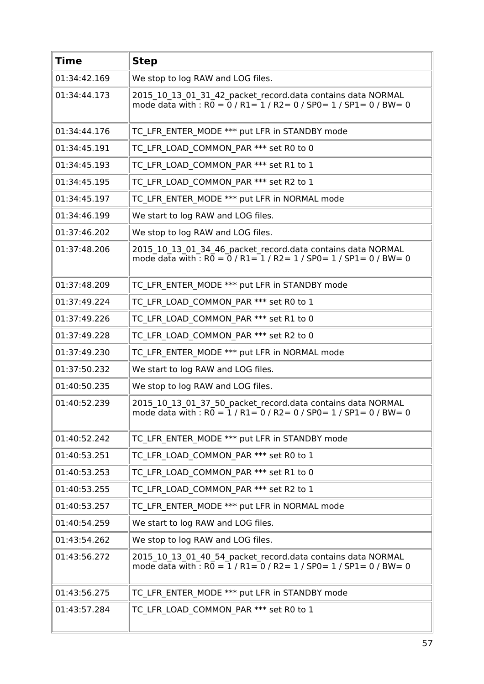| <b>Time</b>  | <b>Step</b>                                                                                                                                                             |
|--------------|-------------------------------------------------------------------------------------------------------------------------------------------------------------------------|
| 01:34:42.169 | We stop to log RAW and LOG files.                                                                                                                                       |
| 01:34:44.173 | 2015 10 13 01 31 42 packet record.data contains data NORMAL<br>mode data with : $R0 = 0$ / $R1 = 1$ / $R2 = 0$ / $SP0 = 1$ / $SP1 = 0$ / $BW = 0$                       |
| 01:34:44.176 | TC LFR ENTER MODE *** put LFR in STANDBY mode                                                                                                                           |
| 01:34:45.191 | TC LFR LOAD COMMON PAR *** set R0 to 0                                                                                                                                  |
| 01:34:45.193 | TC LFR LOAD COMMON PAR *** set R1 to 1                                                                                                                                  |
| 01:34:45.195 | TC LFR LOAD COMMON PAR *** set R2 to 1                                                                                                                                  |
| 01:34:45.197 | TC LFR ENTER MODE *** put LFR in NORMAL mode                                                                                                                            |
| 01:34:46.199 | We start to log RAW and LOG files.                                                                                                                                      |
| 01:37:46.202 | We stop to log RAW and LOG files.                                                                                                                                       |
| 01:37:48.206 | 2015_10_13_01_34_46_packet_record.data contains data NORMAL<br>mode data with : $R\overline{0} = \overline{0}$ / $R1 = 1$ / $R2 = 1$ / $SP0 = 1$ / $SP1 = 0$ / $BW = 0$ |
| 01:37:48.209 | TC LFR ENTER MODE *** put LFR in STANDBY mode                                                                                                                           |
| 01:37:49.224 | TC LFR LOAD COMMON PAR *** set R0 to 1                                                                                                                                  |
| 01:37:49.226 | TC LFR LOAD COMMON PAR *** set R1 to 0                                                                                                                                  |
| 01:37:49.228 | TC LFR LOAD COMMON PAR *** set R2 to 0                                                                                                                                  |
| 01:37:49.230 | TC LFR ENTER MODE *** put LFR in NORMAL mode                                                                                                                            |
| 01:37:50.232 | We start to log RAW and LOG files.                                                                                                                                      |
| 01:40:50.235 | We stop to log RAW and LOG files.                                                                                                                                       |
| 01:40:52.239 | 2015 10 13 01 37 50 packet record.data contains data NORMAL<br>mode data with : $R0 = 1 / R1 = 0 / R2 = 0 / SPO = 1 / SPL = 0 / BW = 0$                                 |
| 01:40:52.242 | TC LFR ENTER MODE *** put LFR in STANDBY mode                                                                                                                           |
| 01:40:53.251 | TC LFR LOAD COMMON PAR *** set R0 to 1                                                                                                                                  |
| 01:40:53.253 | TC LFR LOAD COMMON PAR *** set R1 to 0                                                                                                                                  |
| 01:40:53.255 | TC LFR LOAD_COMMON_PAR *** set R2 to 1                                                                                                                                  |
| 01:40:53.257 | TC LFR ENTER MODE *** put LFR in NORMAL mode                                                                                                                            |
| 01:40:54.259 | We start to log RAW and LOG files.                                                                                                                                      |
| 01:43:54.262 | We stop to log RAW and LOG files.                                                                                                                                       |
| 01:43:56.272 | 2015_10_13_01_40_54_packet_record.data contains data NORMAL<br>mode data with : $R0 = 1 / R1 = 0 / R2 = 1 / SPO = 1 / SPI = 0 / BW = 0$                                 |
| 01:43:56.275 | TC LFR ENTER MODE *** put LFR in STANDBY mode                                                                                                                           |
| 01:43:57.284 | TC LFR LOAD COMMON PAR *** set R0 to 1                                                                                                                                  |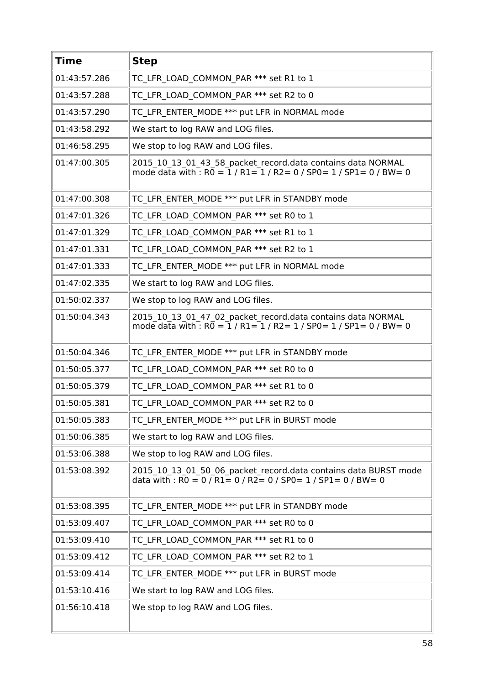| <b>Time</b>  | <b>Step</b>                                                                                                                                                                                              |
|--------------|----------------------------------------------------------------------------------------------------------------------------------------------------------------------------------------------------------|
| 01:43:57.286 | TC LFR LOAD COMMON PAR *** set R1 to 1                                                                                                                                                                   |
| 01:43:57.288 | TC LFR LOAD COMMON PAR *** set R2 to 0                                                                                                                                                                   |
| 01:43:57.290 | TC LFR ENTER MODE *** put LFR in NORMAL mode                                                                                                                                                             |
| 01:43:58.292 | We start to log RAW and LOG files.                                                                                                                                                                       |
| 01:46:58.295 | We stop to log RAW and LOG files.                                                                                                                                                                        |
| 01:47:00.305 | 2015_10_13_01_43_58_packet_record.data contains data NORMAL<br>mode data with : $R0 = 1 / R1 = 1 / R2 = 0 / SPO = 1 / SPI = 0 / BW = 0$                                                                  |
| 01:47:00.308 | TC LFR ENTER MODE *** put LFR in STANDBY mode                                                                                                                                                            |
| 01:47:01.326 | TC LFR LOAD COMMON PAR *** set R0 to 1                                                                                                                                                                   |
| 01:47:01.329 | TC LFR LOAD COMMON PAR *** set R1 to 1                                                                                                                                                                   |
| 01:47:01.331 | TC LFR LOAD COMMON PAR *** set R2 to 1                                                                                                                                                                   |
| 01:47:01.333 | TC LFR ENTER MODE *** put LFR in NORMAL mode                                                                                                                                                             |
| 01:47:02.335 | We start to log RAW and LOG files.                                                                                                                                                                       |
| 01:50:02.337 | We stop to log RAW and LOG files.                                                                                                                                                                        |
| 01:50:04.343 | 2015 10 13 01 47 02 packet record.data contains data NORMAL<br>mode data with : $R\overline{0} = 1/R1 = 1/R2 = 1/SP0 = 1/SP1 = 0/BW = 0$                                                                 |
| 01:50:04.346 | TC LFR ENTER MODE *** put LFR in STANDBY mode                                                                                                                                                            |
| 01:50:05.377 | TC LFR LOAD COMMON PAR *** set R0 to 0                                                                                                                                                                   |
| 01:50:05.379 | TC LFR LOAD COMMON PAR *** set R1 to 0                                                                                                                                                                   |
| 01:50:05.381 | TC LFR LOAD COMMON PAR *** set R2 to 0                                                                                                                                                                   |
| 01:50:05.383 | TC LFR ENTER MODE *** put LFR in BURST mode                                                                                                                                                              |
| 01:50:06.385 | We start to log RAW and LOG files.                                                                                                                                                                       |
| 01:53:06.388 | We stop to log RAW and LOG files.                                                                                                                                                                        |
| 01:53:08.392 | 2015 10 13 01 50 06 packet record.data contains data BURST mode<br>data with : $\overline{RO} = 0 / \overline{R1} = 0 / \overline{R2} = 0 / \overline{SPO} = 1 / \overline{SPI} = 0 / \overline{BW} = 0$ |
| 01:53:08.395 | TC LFR ENTER MODE *** put LFR in STANDBY mode                                                                                                                                                            |
| 01:53:09.407 | TC LFR LOAD COMMON PAR *** set R0 to 0                                                                                                                                                                   |
| 01:53:09.410 | TC LFR LOAD COMMON PAR *** set R1 to 0                                                                                                                                                                   |
| 01:53:09.412 | TC LFR LOAD COMMON PAR *** set R2 to 1                                                                                                                                                                   |
| 01:53:09.414 | TC LFR ENTER MODE *** put LFR in BURST mode                                                                                                                                                              |
| 01:53:10.416 | We start to log RAW and LOG files.                                                                                                                                                                       |
| 01:56:10.418 | We stop to log RAW and LOG files.                                                                                                                                                                        |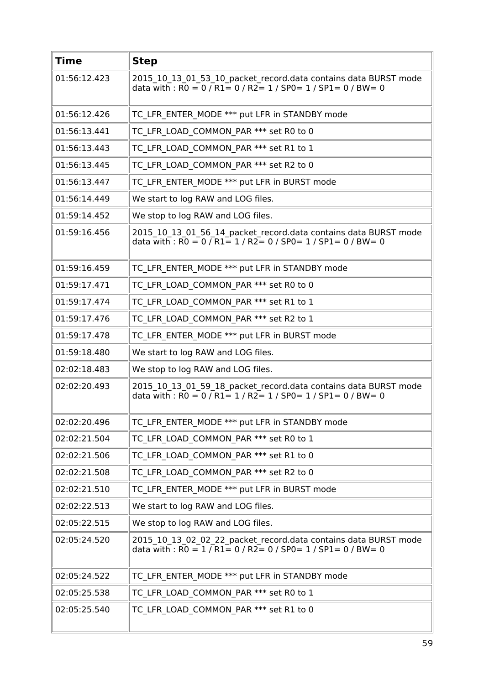| <b>Time</b>  | <b>Step</b>                                                                                                                                                                                              |
|--------------|----------------------------------------------------------------------------------------------------------------------------------------------------------------------------------------------------------|
| 01:56:12.423 | 2015_10_13_01_53_10_packet_record.data contains data BURST mode<br>data with : R0 = 0 / R1= 0 / R2= 1 / SP0= 1 / SP1= 0 / BW= 0                                                                          |
| 01:56:12.426 | TC LFR ENTER MODE *** put LFR in STANDBY mode                                                                                                                                                            |
| 01:56:13.441 | TC LFR LOAD COMMON PAR *** set R0 to 0                                                                                                                                                                   |
| 01:56:13.443 | TC LFR LOAD COMMON PAR *** set R1 to 1                                                                                                                                                                   |
| 01:56:13.445 | TC LFR LOAD COMMON PAR *** set R2 to 0                                                                                                                                                                   |
| 01:56:13.447 | TC LFR ENTER MODE *** put LFR in BURST mode                                                                                                                                                              |
| 01:56:14.449 | We start to log RAW and LOG files.                                                                                                                                                                       |
| 01:59:14.452 | We stop to log RAW and LOG files.                                                                                                                                                                        |
| 01:59:16.456 | 2015_10_13_01_56_14_packet_record.data contains data BURST mode<br>data with : $\overline{RO} = 0 / \overline{R1} = 1 / \overline{R2} = 0 / \overline{SPO} = 1 / \overline{SPI} = 0 / \overline{BW} = 0$ |
| 01:59:16.459 | TC LFR ENTER MODE *** put LFR in STANDBY mode                                                                                                                                                            |
| 01:59:17.471 | TC LFR LOAD COMMON PAR *** set R0 to 0                                                                                                                                                                   |
| 01:59:17.474 | TC LFR_LOAD_COMMON_PAR *** set R1 to 1                                                                                                                                                                   |
| 01:59:17.476 | TC LFR LOAD COMMON PAR *** set R2 to 1                                                                                                                                                                   |
| 01:59:17.478 | TC LFR ENTER MODE *** put LFR in BURST mode                                                                                                                                                              |
| 01:59:18.480 | We start to log RAW and LOG files.                                                                                                                                                                       |
| 02:02:18.483 | We stop to log RAW and LOG files.                                                                                                                                                                        |
| 02:02:20.493 | 2015 10 13 01 59 18 packet record.data contains data BURST mode<br>data with : $\overline{RO} = 0 / \overline{R1} = 1 / \overline{R2} = 1 / \overline{SPO} = 1 / \overline{SPI} = 0 / \overline{BW} = 0$ |
| 02:02:20.496 | TC LFR ENTER MODE *** put LFR in STANDBY mode                                                                                                                                                            |
| 02:02:21.504 | TC LFR LOAD COMMON PAR *** set R0 to 1                                                                                                                                                                   |
| 02:02:21.506 | TC LFR LOAD COMMON PAR *** set R1 to 0                                                                                                                                                                   |
| 02:02:21.508 | TC LFR LOAD COMMON PAR *** set R2 to 0                                                                                                                                                                   |
| 02:02:21.510 | TC LFR ENTER MODE *** put LFR in BURST mode                                                                                                                                                              |
| 02:02:22.513 | We start to log RAW and LOG files.                                                                                                                                                                       |
| 02:05:22.515 | We stop to log RAW and LOG files.                                                                                                                                                                        |
| 02:05:24.520 | 2015_10_13_02_02_22_packet_record.data contains data BURST mode<br>data with: $R0 = 1 / R1 = 0 / R2 = 0 / SPO = 1 / SPL = 0 / BW = 0$                                                                    |
| 02:05:24.522 | TC LFR ENTER MODE *** put LFR in STANDBY mode                                                                                                                                                            |
| 02:05:25.538 | TC LFR LOAD COMMON PAR *** set R0 to 1                                                                                                                                                                   |
| 02:05:25.540 | TC LFR LOAD COMMON PAR *** set R1 to 0                                                                                                                                                                   |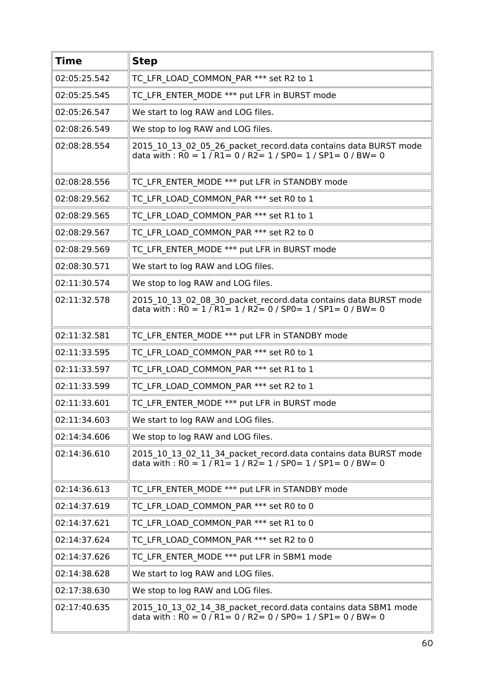| <b>Time</b>  | <b>Step</b>                                                                                                                                                                                              |
|--------------|----------------------------------------------------------------------------------------------------------------------------------------------------------------------------------------------------------|
| 02:05:25.542 | TC LFR LOAD COMMON PAR *** set R2 to 1                                                                                                                                                                   |
| 02:05:25.545 | TC LFR ENTER MODE *** put LFR in BURST mode                                                                                                                                                              |
| 02:05:26.547 | We start to log RAW and LOG files.                                                                                                                                                                       |
| 02:08:26.549 | We stop to log RAW and LOG files.                                                                                                                                                                        |
| 02:08:28.554 | 2015_10_13_02_05_26_packet_record.data contains data BURST mode<br>data with : $\overline{RO} = 1 / \overline{R1} = 0 / \overline{R2} = 1 / \overline{SPO} = 1 / \overline{SPI} = 0 / \overline{BW} = 0$ |
| 02:08:28.556 | TC LFR ENTER MODE *** put LFR in STANDBY mode                                                                                                                                                            |
| 02:08:29.562 | TC LFR_LOAD_COMMON_PAR *** set R0 to 1                                                                                                                                                                   |
| 02:08:29.565 | TC LFR LOAD COMMON PAR *** set R1 to 1                                                                                                                                                                   |
| 02:08:29.567 | TC LFR LOAD COMMON PAR *** set R2 to 0                                                                                                                                                                   |
| 02:08:29.569 | TC LFR ENTER MODE *** put LFR in BURST mode                                                                                                                                                              |
| 02:08:30.571 | We start to log RAW and LOG files.                                                                                                                                                                       |
| 02:11:30.574 | We stop to log RAW and LOG files.                                                                                                                                                                        |
| 02:11:32.578 | 2015_10_13_02_08_30_packet_record.data contains data BURST mode<br>data with : R0 = $1/R1 = 1/R2 = 0/SPO = 1/SP1 = 0/BW = 0$                                                                             |
| 02:11:32.581 | TC LFR ENTER MODE *** put LFR in STANDBY mode                                                                                                                                                            |
| 02:11:33.595 | TC LFR LOAD COMMON PAR *** set R0 to 1                                                                                                                                                                   |
| 02:11:33.597 | TC LFR LOAD COMMON PAR *** set R1 to 1                                                                                                                                                                   |
| 02:11:33.599 | TC LFR LOAD COMMON PAR *** set R2 to 1                                                                                                                                                                   |
| 02:11:33.601 | TC LFR ENTER MODE *** put LFR in BURST mode                                                                                                                                                              |
| 02:11:34.603 | We start to log RAW and LOG files.                                                                                                                                                                       |
| 02:14:34.606 | We stop to log RAW and LOG files.                                                                                                                                                                        |
| 02:14:36.610 | 2015 10 13 02 11 34 packet record.data contains data BURST mode<br>data with : $R0 = 1 / R1 = 1 / R2 = 1 / SPO = 1 / SP1 = 0 / BW = 0$                                                                   |
| 02:14:36.613 | TC LFR ENTER_MODE *** put LFR in STANDBY mode                                                                                                                                                            |
| 02:14:37.619 | TC LFR LOAD COMMON PAR *** set R0 to 0                                                                                                                                                                   |
| 02:14:37.621 | TC LFR LOAD COMMON PAR *** set R1 to 0                                                                                                                                                                   |
| 02:14:37.624 | TC LFR LOAD COMMON PAR *** set R2 to 0                                                                                                                                                                   |
| 02:14:37.626 | TC LFR ENTER MODE *** put LFR in SBM1 mode                                                                                                                                                               |
| 02:14:38.628 | We start to log RAW and LOG files.                                                                                                                                                                       |
| 02:17:38.630 | We stop to log RAW and LOG files.                                                                                                                                                                        |
| 02:17:40.635 | 2015_10_13_02_14_38_packet_record.data contains data SBM1 mode<br>data with : $R0 = 0$ / $R1 = 0$ / $R2 = 0$ / SP0 = 1 / SP1 = 0 / BW = 0                                                                |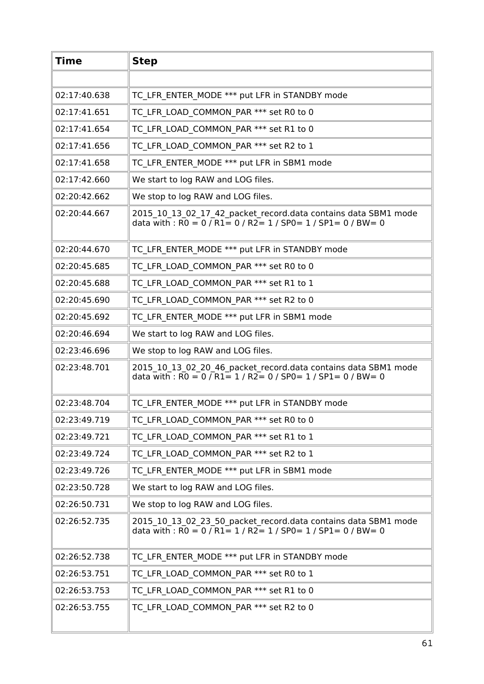| <b>Time</b>  | <b>Step</b>                                                                                                                                                                                             |
|--------------|---------------------------------------------------------------------------------------------------------------------------------------------------------------------------------------------------------|
|              |                                                                                                                                                                                                         |
| 02:17:40.638 | TC LFR ENTER MODE *** put LFR in STANDBY mode                                                                                                                                                           |
| 02:17:41.651 | TC LFR LOAD COMMON PAR *** set R0 to 0                                                                                                                                                                  |
| 02:17:41.654 | TC LFR LOAD COMMON PAR *** set R1 to 0                                                                                                                                                                  |
| 02:17:41.656 | TC LFR LOAD COMMON PAR *** set R2 to 1                                                                                                                                                                  |
| 02:17:41.658 | TC LFR ENTER MODE *** put LFR in SBM1 mode                                                                                                                                                              |
| 02:17:42.660 | We start to log RAW and LOG files.                                                                                                                                                                      |
| 02:20:42.662 | We stop to log RAW and LOG files.                                                                                                                                                                       |
| 02:20:44.667 | 2015 10 13 02 17 42 packet record.data contains data SBM1 mode<br>data with : $\overline{RO} = 0 / \overline{R1} = 0 / \overline{R2} = 1 / \overline{SPO} = 1 / \overline{SPI} = 0 / \overline{BW} = 0$ |
| 02:20:44.670 | TC LFR ENTER MODE *** put LFR in STANDBY mode                                                                                                                                                           |
| 02:20:45.685 | TC LFR LOAD COMMON_PAR *** set R0 to 0                                                                                                                                                                  |
| 02:20:45.688 | TC LFR LOAD COMMON_PAR *** set R1 to 1                                                                                                                                                                  |
| 02:20:45.690 | TC LFR LOAD COMMON PAR *** set R2 to 0                                                                                                                                                                  |
| 02:20:45.692 | TC LFR ENTER MODE *** put LFR in SBM1 mode                                                                                                                                                              |
| 02:20:46.694 | We start to log RAW and LOG files.                                                                                                                                                                      |
| 02:23:46.696 | We stop to log RAW and LOG files.                                                                                                                                                                       |
| 02:23:48.701 | 2015_10_13_02_20_46_packet_record.data contains data SBM1 mode<br>data with : R0 = 0 / R1 = 1 / R2 = 0 / SP0 = 1 / SP1 = 0 / BW = 0                                                                     |
| 02:23:48.704 | TC LFR ENTER MODE *** put LFR in STANDBY mode                                                                                                                                                           |
| 02:23:49.719 | TC LFR LOAD COMMON PAR *** set R0 to 0                                                                                                                                                                  |
| 02:23:49.721 | TC LFR LOAD COMMON PAR *** set R1 to 1                                                                                                                                                                  |
| 02:23:49.724 | TC LFR LOAD COMMON PAR *** set R2 to 1                                                                                                                                                                  |
| 02:23:49.726 | TC LFR ENTER MODE *** put LFR in SBM1 mode                                                                                                                                                              |
| 02:23:50.728 | We start to log RAW and LOG files.                                                                                                                                                                      |
| 02:26:50.731 | We stop to log RAW and LOG files.                                                                                                                                                                       |
| 02:26:52.735 | 2015_10_13_02_23_50_packet_record.data contains data SBM1 mode<br>data with : $\overline{RO} = 0 / \overline{R1} = 1 / \overline{R2} = 1 / \overline{SPO} = 1 / \overline{SPI} = 0 / \overline{BW} = 0$ |
| 02:26:52.738 | TC LFR ENTER MODE *** put LFR in STANDBY mode                                                                                                                                                           |
| 02:26:53.751 | TC LFR LOAD COMMON PAR *** set R0 to 1                                                                                                                                                                  |
| 02:26:53.753 | TC LFR LOAD_COMMON_PAR *** set R1 to 0                                                                                                                                                                  |
| 02:26:53.755 | TC LFR LOAD COMMON PAR *** set R2 to 0                                                                                                                                                                  |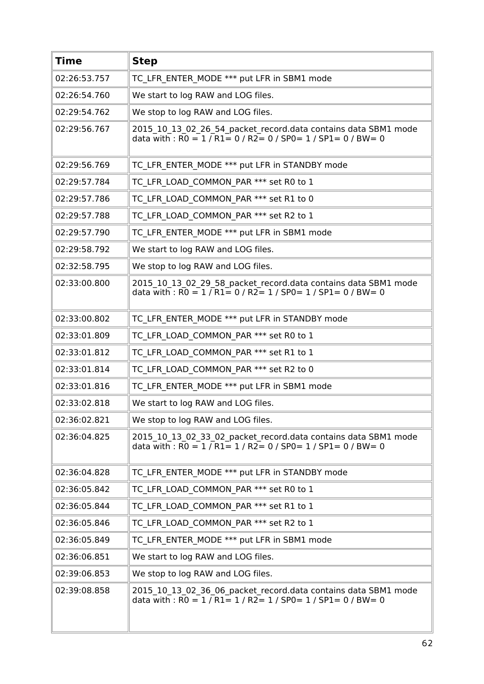| <b>Time</b>  | <b>Step</b>                                                                                                                                                                                             |
|--------------|---------------------------------------------------------------------------------------------------------------------------------------------------------------------------------------------------------|
| 02:26:53.757 | TC LFR ENTER MODE *** put LFR in SBM1 mode                                                                                                                                                              |
| 02:26:54.760 | We start to log RAW and LOG files.                                                                                                                                                                      |
| 02:29:54.762 | We stop to log RAW and LOG files.                                                                                                                                                                       |
| 02:29:56.767 | 2015_10_13_02_26_54_packet_record.data contains data SBM1 mode<br>data with : $R0 = 1 / R1 = 0 / R2 = 0 / SPO = 1 / SPI = 0 / BW = 0$                                                                   |
| 02:29:56.769 | TC LFR ENTER MODE *** put LFR in STANDBY mode                                                                                                                                                           |
| 02:29:57.784 | TC LFR LOAD COMMON PAR *** set R0 to 1                                                                                                                                                                  |
| 02:29:57.786 | TC LFR LOAD COMMON PAR *** set R1 to 0                                                                                                                                                                  |
| 02:29:57.788 | TC LFR LOAD COMMON_PAR *** set R2 to 1                                                                                                                                                                  |
| 02:29:57.790 | TC LFR ENTER MODE *** put LFR in SBM1 mode                                                                                                                                                              |
| 02:29:58.792 | We start to log RAW and LOG files.                                                                                                                                                                      |
| 02:32:58.795 | We stop to log RAW and LOG files.                                                                                                                                                                       |
| 02:33:00.800 | 2015 10 13 02 29 58 packet record.data contains data SBM1 mode<br>data with : $\overline{RO} = 1 / \overline{R1} = 0 / \overline{R2} = 1 / \overline{SPO} = 1 / \overline{SPI} = 0 / \overline{BW} = 0$ |
| 02:33:00.802 | TC LFR ENTER MODE *** put LFR in STANDBY mode                                                                                                                                                           |
| 02:33:01.809 | TC LFR LOAD COMMON PAR *** set R0 to 1                                                                                                                                                                  |
| 02:33:01.812 | TC LFR LOAD COMMON_PAR *** set R1 to 1                                                                                                                                                                  |
| 02:33:01.814 | TC LFR LOAD COMMON PAR *** set R2 to 0                                                                                                                                                                  |
| 02:33:01.816 | TC LFR ENTER MODE *** put LFR in SBM1 mode                                                                                                                                                              |
| 02:33:02.818 | We start to log RAW and LOG files.                                                                                                                                                                      |
| 02:36:02.821 | We stop to log RAW and LOG files.                                                                                                                                                                       |
| 02:36:04.825 | 2015 10 13 02 33 02 packet record.data contains data SBM1 mode<br>data with : $R0 = 1 / R1 = 1 / R2 = 0 / SPO = 1 / SPI = 0 / BW = 0$                                                                   |
| 02:36:04.828 | TC LFR ENTER MODE *** put LFR in STANDBY mode                                                                                                                                                           |
| 02:36:05.842 | TC LFR LOAD COMMON PAR *** set R0 to 1                                                                                                                                                                  |
| 02:36:05.844 | TC LFR LOAD COMMON PAR *** set R1 to 1                                                                                                                                                                  |
| 02:36:05.846 | TC LFR LOAD COMMON PAR *** set R2 to 1                                                                                                                                                                  |
| 02:36:05.849 | TC LFR ENTER MODE *** put LFR in SBM1 mode                                                                                                                                                              |
| 02:36:06.851 | We start to log RAW and LOG files.                                                                                                                                                                      |
| 02:39:06.853 | We stop to log RAW and LOG files.                                                                                                                                                                       |
| 02:39:08.858 | 2015_10_13_02_36_06_packet_record.data contains data SBM1 mode<br>data with: $\overline{RO} = 1 / R1 = 1 / R2 = 1 / SPO = 1 / SPL = 0 / BW = 0$                                                         |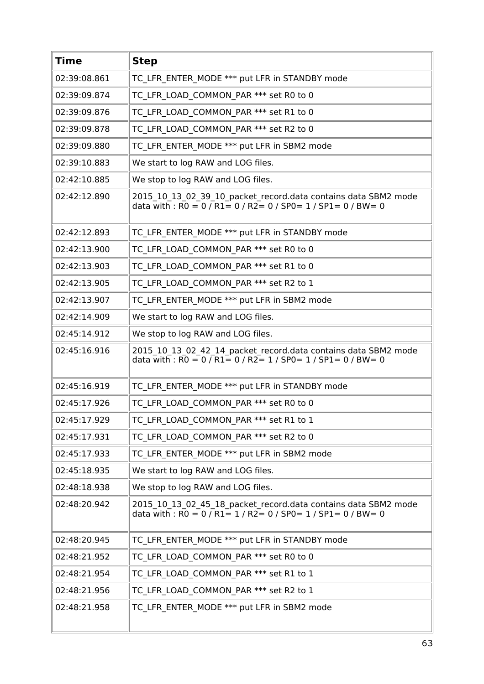| <b>Time</b>  | <b>Step</b>                                                                                                                           |
|--------------|---------------------------------------------------------------------------------------------------------------------------------------|
| 02:39:08.861 | TC LFR ENTER MODE *** put LFR in STANDBY mode                                                                                         |
| 02:39:09.874 | TC LFR LOAD COMMON PAR *** set R0 to 0                                                                                                |
| 02:39:09.876 | TC LFR LOAD COMMON PAR *** set R1 to 0                                                                                                |
| 02:39:09.878 | TC LFR LOAD COMMON PAR *** set R2 to 0                                                                                                |
| 02:39:09.880 | TC LFR ENTER MODE *** put LFR in SBM2 mode                                                                                            |
| 02:39:10.883 | We start to log RAW and LOG files.                                                                                                    |
| 02:42:10.885 | We stop to log RAW and LOG files.                                                                                                     |
| 02:42:12.890 | 2015 10 13 02 39 10 packet record.data contains data SBM2 mode<br>data with : $RO = 0 / R1 = 0 / R2 = 0 / SPO = 1 / SPI = 0 / BW = 0$ |
| 02:42:12.893 | TC LFR ENTER MODE *** put LFR in STANDBY mode                                                                                         |
| 02:42:13.900 | TC LFR LOAD COMMON PAR *** set R0 to 0                                                                                                |
| 02:42:13.903 | TC LFR LOAD COMMON PAR *** set R1 to 0                                                                                                |
| 02:42:13.905 | TC LFR LOAD COMMON PAR *** set R2 to 1                                                                                                |
| 02:42:13.907 | TC LFR ENTER_MODE *** put LFR in SBM2 mode                                                                                            |
| 02:42:14.909 | We start to log RAW and LOG files.                                                                                                    |
| 02:45:14.912 | We stop to log RAW and LOG files.                                                                                                     |
| 02:45:16.916 | 2015 10 13 02 42 14 packet record.data contains data SBM2 mode<br>data with : $RO = 0 / R1 = 0 / R2 = 1 / SPO = 1 / SPL = 0 / BW = 0$ |
| 02:45:16.919 | TC_LFR_ENTER_MODE *** put LFR in STANDBY mode                                                                                         |
| 02:45:17.926 | TC LFR LOAD COMMON PAR *** set R0 to 0                                                                                                |
| 02:45:17.929 | TC LFR LOAD_COMMON_PAR *** set R1 to 1                                                                                                |
| 02:45:17.931 | TC LFR LOAD COMMON PAR *** set R2 to 0                                                                                                |
| 02:45:17.933 | TC LFR ENTER MODE *** put LFR in SBM2 mode                                                                                            |
| 02:45:18.935 | We start to log RAW and LOG files.                                                                                                    |
| 02:48:18.938 | We stop to log RAW and LOG files.                                                                                                     |
| 02:48:20.942 | 2015_10_13_02_45_18_packet_record.data contains data SBM2 mode<br>data with : $RO = 0 / R1 = 1 / R2 = 0 / SPO = 1 / SPL = 0 / BW = 0$ |
| 02:48:20.945 | TC LFR ENTER MODE *** put LFR in STANDBY mode                                                                                         |
| 02:48:21.952 | TC_LFR_LOAD_COMMON_PAR *** set R0 to 0                                                                                                |
| 02:48:21.954 | TC LFR LOAD COMMON_PAR *** set R1 to 1                                                                                                |
| 02:48:21.956 | TC LFR LOAD COMMON PAR *** set R2 to 1                                                                                                |
| 02:48:21.958 | TC LFR ENTER MODE *** put LFR in SBM2 mode                                                                                            |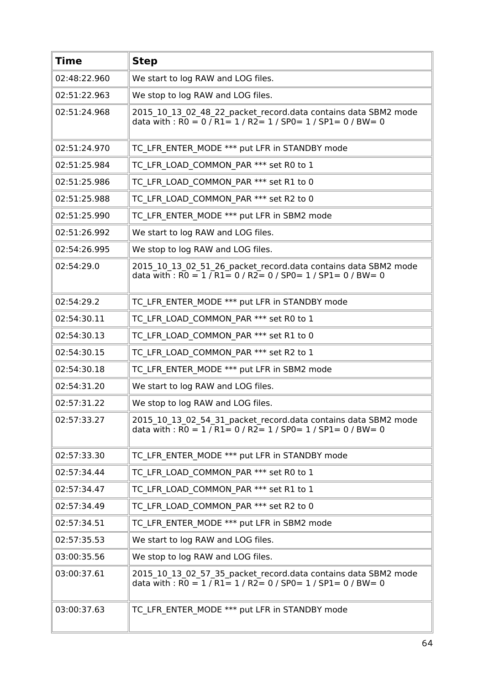| <b>Time</b>  | <b>Step</b>                                                                                                                                                                                                       |
|--------------|-------------------------------------------------------------------------------------------------------------------------------------------------------------------------------------------------------------------|
| 02:48:22.960 | We start to log RAW and LOG files.                                                                                                                                                                                |
| 02:51:22.963 | We stop to log RAW and LOG files.                                                                                                                                                                                 |
| 02:51:24.968 | 2015_10_13_02_48_22_packet_record.data contains data SBM2 mode<br>data with : $\overline{RO} = 0$ / $\overline{R1} = 1$ / $\overline{R2} = 1$ / $\overline{SP0} = 1$ / $\overline{SP1} = 0$ / $\overline{BW} = 0$ |
| 02:51:24.970 | TC LFR ENTER MODE *** put LFR in STANDBY mode                                                                                                                                                                     |
| 02:51:25.984 | TC LFR LOAD COMMON PAR *** set R0 to 1                                                                                                                                                                            |
| 02:51:25.986 | TC LFR LOAD COMMON PAR *** set R1 to 0                                                                                                                                                                            |
| 02:51:25.988 | TC LFR LOAD COMMON PAR *** set R2 to 0                                                                                                                                                                            |
| 02:51:25.990 | TC LFR ENTER MODE *** put LFR in SBM2 mode                                                                                                                                                                        |
| 02:51:26.992 | We start to log RAW and LOG files.                                                                                                                                                                                |
| 02:54:26.995 | We stop to log RAW and LOG files.                                                                                                                                                                                 |
| 02:54:29.0   | 2015_10_13_02_51_26_packet_record.data contains data SBM2 mode<br>data with : $\overline{RO} = 1 / \overline{R1} = 0 / \overline{R2} = 0 / \overline{SPO} = 1 / \overline{SPI} = 0 / \overline{BW} = 0$           |
| 02:54:29.2   | TC LFR ENTER MODE *** put LFR in STANDBY mode                                                                                                                                                                     |
| 02:54:30.11  | TC LFR LOAD COMMON PAR *** set R0 to 1                                                                                                                                                                            |
| 02:54:30.13  | TC LFR LOAD COMMON PAR *** set R1 to 0                                                                                                                                                                            |
| 02:54:30.15  | TC LFR LOAD COMMON PAR *** set R2 to 1                                                                                                                                                                            |
| 02:54:30.18  | TC LFR ENTER MODE *** put LFR in SBM2 mode                                                                                                                                                                        |
| 02:54:31.20  | We start to log RAW and LOG files.                                                                                                                                                                                |
| 02:57:31.22  | We stop to log RAW and LOG files.                                                                                                                                                                                 |
| 02:57:33.27  | 2015 10 13 02 54 31 packet record.data contains data SBM2 mode<br>data with : $\overline{RO} = 1 / \overline{R1} = 0 / \overline{R2} = 1 / \overline{SPO} = 1 / \overline{SPI} = 0 / \overline{BW} = 0$           |
| 02:57:33.30  | TC LFR ENTER MODE *** put LFR in STANDBY mode                                                                                                                                                                     |
| 02:57:34.44  | TC LFR LOAD COMMON PAR *** set R0 to 1                                                                                                                                                                            |
| 02:57:34.47  | TC LFR LOAD COMMON PAR *** set R1 to 1                                                                                                                                                                            |
| 02:57:34.49  | TC LFR LOAD COMMON PAR *** set R2 to 0                                                                                                                                                                            |
| 02:57:34.51  | TC LFR ENTER MODE *** put LFR in SBM2 mode                                                                                                                                                                        |
| 02:57:35.53  | We start to log RAW and LOG files.                                                                                                                                                                                |
| 03:00:35.56  | We stop to log RAW and LOG files.                                                                                                                                                                                 |
| 03:00:37.61  | 2015_10_13_02_57_35_packet_record.data contains data SBM2 mode<br>data with : R0 = 1 / R1 = 1 / R2 = 0 / SP0 = 1 / SP1 = 0 / BW = 0                                                                               |
| 03:00:37.63  | TC LFR ENTER MODE *** put LFR in STANDBY mode                                                                                                                                                                     |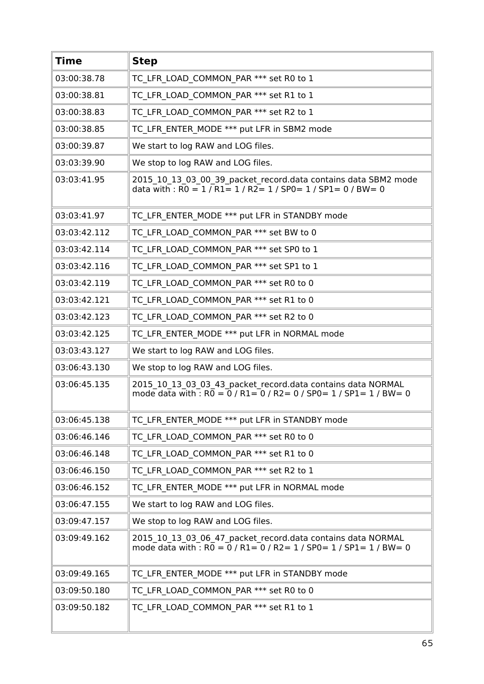| <b>Time</b>  | <b>Step</b>                                                                                                                                                  |
|--------------|--------------------------------------------------------------------------------------------------------------------------------------------------------------|
| 03:00:38.78  | TC_LFR_LOAD_COMMON_PAR *** set R0 to 1                                                                                                                       |
| 03:00:38.81  | TC LFR LOAD COMMON PAR *** set R1 to 1                                                                                                                       |
| 03:00:38.83  | TC LFR LOAD COMMON PAR *** set R2 to 1                                                                                                                       |
| 03:00:38.85  | TC LFR ENTER MODE *** put LFR in SBM2 mode                                                                                                                   |
| 03:00:39.87  | We start to log RAW and LOG files.                                                                                                                           |
| 03:03:39.90  | We stop to log RAW and LOG files.                                                                                                                            |
| 03:03:41.95  | 2015_10_13_03_00_39_packet_record.data contains data SBM2 mode<br>data with : $RO = 1 / R1 = 1 / R2 = 1 / SPO = 1 / SP1 = 0 / BW = 0$                        |
| 03:03:41.97  | TC LFR ENTER MODE *** put LFR in STANDBY mode                                                                                                                |
| 03:03:42.112 | TC LFR LOAD COMMON PAR *** set BW to 0                                                                                                                       |
| 03:03:42.114 | TC LFR_LOAD_COMMON_PAR *** set SP0 to 1                                                                                                                      |
| 03:03:42.116 | TC LFR LOAD COMMON PAR *** set SP1 to 1                                                                                                                      |
| 03:03:42.119 | TC LFR LOAD COMMON PAR *** set R0 to 0                                                                                                                       |
| 03:03:42.121 | TC LFR LOAD COMMON PAR *** set R1 to 0                                                                                                                       |
| 03:03:42.123 | TC LFR LOAD COMMON PAR *** set R2 to 0                                                                                                                       |
| 03:03:42.125 | TC LFR ENTER MODE *** put LFR in NORMAL mode                                                                                                                 |
| 03:03:43.127 | We start to log RAW and LOG files.                                                                                                                           |
| 03:06:43.130 | We stop to log RAW and LOG files.                                                                                                                            |
| 03:06:45.135 | 2015 10 13 03 03 43 packet record.data contains data NORMAL<br>mode data with : $R0 = 0$ / $R1 = 0$ / $R2 = 0$ / $SP0 = 1$ / $SP1 = 1$ / $BW = 0$            |
| 03:06:45.138 | TC LFR ENTER MODE *** put LFR in STANDBY mode                                                                                                                |
| 03:06:46.146 | TC LFR LOAD COMMON PAR *** set R0 to 0                                                                                                                       |
| 03:06:46.148 | TC LFR LOAD COMMON PAR *** set R1 to 0                                                                                                                       |
| 03:06:46.150 | TC LFR LOAD COMMON PAR *** set R2 to 1                                                                                                                       |
| 03:06:46.152 | TC LFR ENTER MODE *** put LFR in NORMAL mode                                                                                                                 |
| 03:06:47.155 | We start to log RAW and LOG files.                                                                                                                           |
| 03:09:47.157 | We stop to log RAW and LOG files.                                                                                                                            |
| 03:09:49.162 | 2015_10_13_03_06_47_packet_record.data contains data NORMAL<br>mode data with : $R\overline{0} = 0$ / $R1 = 0$ / $R2 = 1$ / $SP0 = 1$ / $SP1 = 1$ / $BW = 0$ |
| 03:09:49.165 | TC LFR ENTER MODE *** put LFR in STANDBY mode                                                                                                                |
| 03:09:50.180 | TC LFR LOAD COMMON PAR *** set R0 to 0                                                                                                                       |
| 03:09:50.182 | TC LFR LOAD COMMON PAR *** set R1 to 1                                                                                                                       |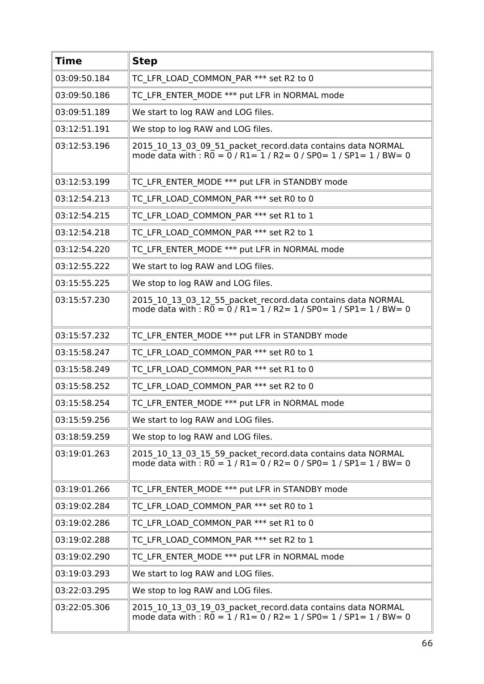| <b>Time</b>  | <b>Step</b>                                                                                                                                       |
|--------------|---------------------------------------------------------------------------------------------------------------------------------------------------|
| 03:09:50.184 | TC LFR LOAD COMMON PAR *** set R2 to 0                                                                                                            |
| 03:09:50.186 | TC LFR ENTER_MODE *** put LFR in NORMAL mode                                                                                                      |
| 03:09:51.189 | We start to log RAW and LOG files.                                                                                                                |
| 03:12:51.191 | We stop to log RAW and LOG files.                                                                                                                 |
| 03:12:53.196 | 2015 10 13 03 09 51 packet record.data contains data NORMAL<br>mode data with : $R0 = 0$ / $R1 = 1$ / $R2 = 0$ / $SP0 = 1$ / $SP1 = 1$ / $BW = 0$ |
| 03:12:53.199 | TC LFR ENTER MODE *** put LFR in STANDBY mode                                                                                                     |
| 03:12:54.213 | TC LFR LOAD COMMON PAR *** set R0 to 0                                                                                                            |
| 03:12:54.215 | TC LFR LOAD COMMON PAR *** set R1 to 1                                                                                                            |
| 03:12:54.218 | TC LFR LOAD COMMON PAR *** set R2 to 1                                                                                                            |
| 03:12:54.220 | TC LFR ENTER MODE *** put LFR in NORMAL mode                                                                                                      |
| 03:12:55.222 | We start to log RAW and LOG files.                                                                                                                |
| 03:15:55.225 | We stop to log RAW and LOG files.                                                                                                                 |
| 03:15:57.230 | 2015_10_13_03_12_55_packet_record.data contains data NORMAL<br>mode data with : $R0 = 0$ / $R1 = 1$ / $R2 = 1$ / $SP0 = 1$ / $SP1 = 1$ / $BW = 0$ |
| 03:15:57.232 | TC LFR ENTER MODE *** put LFR in STANDBY mode                                                                                                     |
| 03:15:58.247 | TC LFR LOAD COMMON PAR *** set R0 to 1                                                                                                            |
| 03:15:58.249 | TC LFR LOAD COMMON PAR *** set R1 to 0                                                                                                            |
| 03:15:58.252 | TC LFR LOAD COMMON PAR *** set R2 to 0                                                                                                            |
| 03:15:58.254 | TC LFR ENTER MODE *** put LFR in NORMAL mode                                                                                                      |
| 03:15:59.256 | We start to log RAW and LOG files.                                                                                                                |
| 03:18:59.259 | We stop to log RAW and LOG files.                                                                                                                 |
| 03:19:01.263 | 2015 10 13 03 15 59 packet record.data contains data NORMAL<br>mode data with : $R0 = 1/R1 = 0/R2 = 0/SPO = 1/SP1 = 1/BW = 0$                     |
| 03:19:01.266 | TC LFR ENTER MODE *** put LFR in STANDBY mode                                                                                                     |
| 03:19:02.284 | TC LFR LOAD COMMON PAR *** set R0 to 1                                                                                                            |
| 03:19:02.286 | TC LFR LOAD COMMON PAR *** set R1 to 0                                                                                                            |
| 03:19:02.288 | TC LFR LOAD COMMON PAR *** set R2 to 1                                                                                                            |
| 03:19:02.290 | TC LFR ENTER MODE *** put LFR in NORMAL mode                                                                                                      |
| 03:19:03.293 | We start to log RAW and LOG files.                                                                                                                |
| 03:22:03.295 | We stop to log RAW and LOG files.                                                                                                                 |
| 03:22:05.306 | 2015 10 13 03 19 03 packet record.data contains data NORMAL<br>mode data with : $R\overline{0} = 1/R1 = 0/R2 = 1/SP0 = 1/SP1 = 1/BW = 0$          |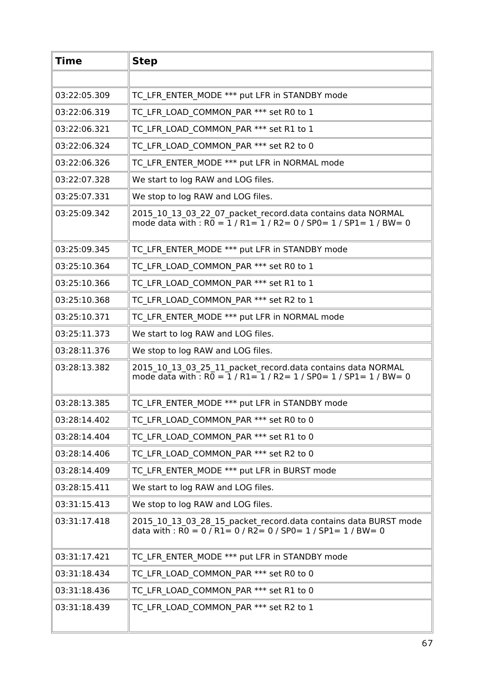| <b>Time</b>  | <b>Step</b>                                                                                                                                                                                              |
|--------------|----------------------------------------------------------------------------------------------------------------------------------------------------------------------------------------------------------|
|              |                                                                                                                                                                                                          |
| 03:22:05.309 | TC LFR ENTER MODE *** put LFR in STANDBY mode                                                                                                                                                            |
| 03:22:06.319 | TC LFR LOAD COMMON PAR *** set R0 to 1                                                                                                                                                                   |
| 03:22:06.321 | TC LFR LOAD COMMON PAR *** set R1 to 1                                                                                                                                                                   |
| 03:22:06.324 | TC LFR LOAD COMMON PAR *** set R2 to 0                                                                                                                                                                   |
| 03:22:06.326 | TC LFR ENTER MODE *** put LFR in NORMAL mode                                                                                                                                                             |
| 03:22:07.328 | We start to log RAW and LOG files.                                                                                                                                                                       |
| 03:25:07.331 | We stop to log RAW and LOG files.                                                                                                                                                                        |
| 03:25:09.342 | 2015 10 13 03 22 07 packet record.data contains data NORMAL<br>mode data with : $R0 = 1/R1 = 1/R2 = 0/SPO = 1/SP1 = 1/BW = 0$                                                                            |
| 03:25:09.345 | TC LFR ENTER MODE *** put LFR in STANDBY mode                                                                                                                                                            |
| 03:25:10.364 | TC LFR LOAD COMMON_PAR *** set R0 to 1                                                                                                                                                                   |
| 03:25:10.366 | TC LFR LOAD COMMON PAR *** set R1 to 1                                                                                                                                                                   |
| 03:25:10.368 | TC LFR LOAD COMMON PAR *** set R2 to 1                                                                                                                                                                   |
| 03:25:10.371 | TC LFR ENTER MODE *** put LFR in NORMAL mode                                                                                                                                                             |
| 03:25:11.373 | We start to log RAW and LOG files.                                                                                                                                                                       |
| 03:28:11.376 | We stop to log RAW and LOG files.                                                                                                                                                                        |
| 03:28:13.382 | 2015_10_13_03_25_11_packet_record.data contains data NORMAL<br>mode data with $\cdot$ RO = 1 / R1= 1 / R2 = 1 / SP0 = 1 / SP1 = 1 / BW = 0                                                               |
| 03:28:13.385 | TC LFR ENTER MODE *** put LFR in STANDBY mode                                                                                                                                                            |
| 03:28:14.402 | TC LFR LOAD COMMON PAR *** set R0 to 0                                                                                                                                                                   |
| 03:28:14.404 | TC LFR LOAD COMMON PAR *** set R1 to 0                                                                                                                                                                   |
| 03:28:14.406 | TC LFR LOAD COMMON PAR *** set R2 to 0                                                                                                                                                                   |
| 03:28:14.409 | TC LFR ENTER MODE *** put LFR in BURST mode                                                                                                                                                              |
| 03:28:15.411 | We start to log RAW and LOG files.                                                                                                                                                                       |
| 03:31:15.413 | We stop to log RAW and LOG files.                                                                                                                                                                        |
| 03:31:17.418 | 2015_10_13_03_28_15_packet_record.data contains data BURST mode<br>data with : $\overline{RO} = 0 / \overline{R1} = 0 / \overline{R2} = 0 / \overline{SPO} = 1 / \overline{SPI} = 1 / \overline{BW} = 0$ |
| 03:31:17.421 | TC LFR ENTER MODE *** put LFR in STANDBY mode                                                                                                                                                            |
| 03:31:18.434 | TC LFR LOAD COMMON PAR *** set R0 to 0                                                                                                                                                                   |
| 03:31:18.436 | TC LFR LOAD COMMON PAR *** set R1 to 0                                                                                                                                                                   |
| 03:31:18.439 | TC LFR LOAD COMMON PAR *** set R2 to 1                                                                                                                                                                   |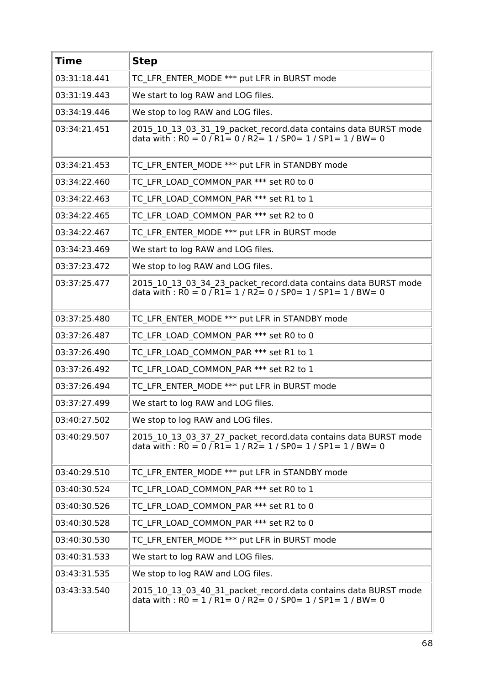| <b>Time</b>  | <b>Step</b>                                                                                                                                                                                              |
|--------------|----------------------------------------------------------------------------------------------------------------------------------------------------------------------------------------------------------|
| 03:31:18.441 | TC LFR ENTER MODE *** put LFR in BURST mode                                                                                                                                                              |
| 03:31:19.443 | We start to log RAW and LOG files.                                                                                                                                                                       |
| 03:34:19.446 | We stop to log RAW and LOG files.                                                                                                                                                                        |
| 03:34:21.451 | 2015_10_13_03_31_19_packet_record.data contains data BURST mode<br>data with : $R0 = 0$ / $R1 = 0$ / $R2 = 1$ / $SP0 = 1$ / $SP1 = 1$ / $BW = 0$                                                         |
| 03:34:21.453 | TC LFR ENTER MODE *** put LFR in STANDBY mode                                                                                                                                                            |
| 03:34:22.460 | TC LFR LOAD COMMON PAR *** set R0 to 0                                                                                                                                                                   |
| 03:34:22.463 | TC LFR LOAD COMMON PAR *** set R1 to 1                                                                                                                                                                   |
| 03:34:22.465 | TC LFR LOAD COMMON PAR *** set R2 to 0                                                                                                                                                                   |
| 03:34:22.467 | TC LFR ENTER MODE *** put LFR in BURST mode                                                                                                                                                              |
| 03:34:23.469 | We start to log RAW and LOG files.                                                                                                                                                                       |
| 03:37:23.472 | We stop to log RAW and LOG files.                                                                                                                                                                        |
| 03:37:25.477 | 2015_10_13_03_34_23_packet_record.data contains data BURST mode<br>data with: $R0 = 0$ / $R1 = 1$ / $R2 = 0$ / SP0 = 1 / SP1 = 1 / BW = 0                                                                |
| 03:37:25.480 | TC LFR ENTER MODE *** put LFR in STANDBY mode                                                                                                                                                            |
| 03:37:26.487 | TC LFR LOAD COMMON PAR *** set R0 to 0                                                                                                                                                                   |
| 03:37:26.490 | TC LFR LOAD COMMON PAR *** set R1 to 1                                                                                                                                                                   |
| 03:37:26.492 | TC LFR LOAD COMMON PAR *** set R2 to 1                                                                                                                                                                   |
| 03:37:26.494 | TC_LFR_ENTER_MODE *** put LFR in BURST mode                                                                                                                                                              |
| 03:37:27.499 | We start to log RAW and LOG files.                                                                                                                                                                       |
| 03:40:27.502 | We stop to log RAW and LOG files.                                                                                                                                                                        |
| 03:40:29.507 | 2015_10_13_03_37_27_packet_record.data contains data BURST mode<br>data with : R0 = 0 / R1 = 1 / R2 = 1 / SP0 = 1 / SP1 = 1 / BW = 0                                                                     |
| 03:40:29.510 | TC LFR ENTER MODE *** put LFR in STANDBY mode                                                                                                                                                            |
| 03:40:30.524 | TC LFR LOAD COMMON PAR *** set R0 to 1                                                                                                                                                                   |
| 03:40:30.526 | TC LFR LOAD COMMON PAR *** set R1 to 0                                                                                                                                                                   |
| 03:40:30.528 | TC LFR LOAD COMMON PAR *** set R2 to 0                                                                                                                                                                   |
| 03:40:30.530 | TC LFR ENTER MODE *** put LFR in BURST mode                                                                                                                                                              |
| 03:40:31.533 | We start to log RAW and LOG files.                                                                                                                                                                       |
| 03:43:31.535 | We stop to log RAW and LOG files.                                                                                                                                                                        |
| 03:43:33.540 | 2015 10 13 03 40 31 packet record.data contains data BURST mode<br>data with : $\overline{RO} = 1 / \overline{R1} = 0 / \overline{R2} = 0 / \overline{SPO} = 1 / \overline{SPI} = 1 / \overline{BW} = 0$ |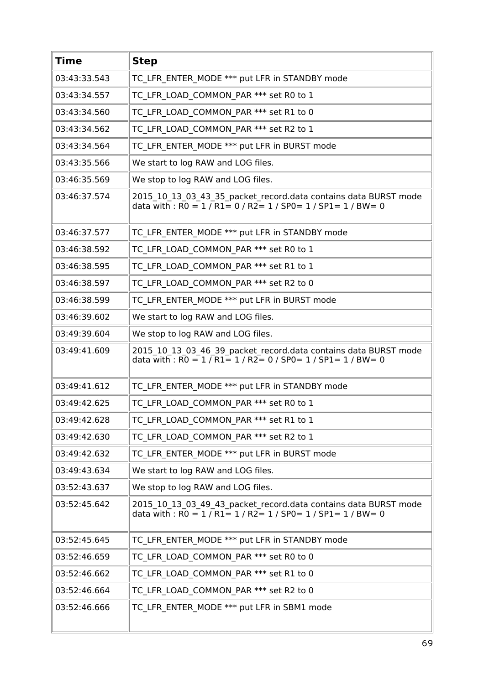| <b>Time</b>  | <b>Step</b>                                                                                                                                                                                              |
|--------------|----------------------------------------------------------------------------------------------------------------------------------------------------------------------------------------------------------|
| 03:43:33.543 | TC LFR ENTER MODE *** put LFR in STANDBY mode                                                                                                                                                            |
| 03:43:34.557 | TC_LFR_LOAD_COMMON_PAR *** set R0 to 1                                                                                                                                                                   |
| 03:43:34.560 | TC LFR LOAD COMMON PAR *** set R1 to 0                                                                                                                                                                   |
| 03:43:34.562 | TC LFR LOAD COMMON PAR *** set R2 to 1                                                                                                                                                                   |
| 03:43:34.564 | TC LFR ENTER MODE *** put LFR in BURST mode                                                                                                                                                              |
| 03:43:35.566 | We start to log RAW and LOG files.                                                                                                                                                                       |
| 03:46:35.569 | We stop to log RAW and LOG files.                                                                                                                                                                        |
| 03:46:37.574 | 2015_10_13_03_43_35_packet_record.data contains data BURST mode<br>data with : $R0 = 1 / R1 = 0 / R2 = 1 / SPO = 1 / SPI = 1 / BW = 0$                                                                   |
| 03:46:37.577 | TC LFR ENTER MODE *** put LFR in STANDBY mode                                                                                                                                                            |
| 03:46:38.592 | TC LFR LOAD COMMON PAR *** set R0 to 1                                                                                                                                                                   |
| 03:46:38.595 | TC LFR LOAD COMMON PAR *** set R1 to 1                                                                                                                                                                   |
| 03:46:38.597 | TC LFR LOAD COMMON PAR *** set R2 to 0                                                                                                                                                                   |
| 03:46:38.599 | TC LFR ENTER MODE *** put LFR in BURST mode                                                                                                                                                              |
| 03:46:39.602 | We start to log RAW and LOG files.                                                                                                                                                                       |
| 03:49:39.604 | We stop to log RAW and LOG files.                                                                                                                                                                        |
| 03:49:41.609 | 2015_10_13_03_46_39_packet_record.data contains data BURST mode<br>data with : $RO = 1 / R1 = 1 / R2 = 0 / SPO = 1 / SPI = 1 / BW = 0$                                                                   |
| 03:49:41.612 | TC LFR ENTER MODE *** put LFR in STANDBY mode                                                                                                                                                            |
| 03:49:42.625 | TC LFR LOAD COMMON PAR *** set R0 to 1                                                                                                                                                                   |
| 03:49:42.628 | TC LFR LOAD COMMON PAR *** set R1 to 1                                                                                                                                                                   |
| 03:49:42.630 | TC LFR LOAD COMMON PAR *** set R2 to 1                                                                                                                                                                   |
| 03:49:42.632 | TC LFR ENTER MODE *** put LFR in BURST mode                                                                                                                                                              |
| 03:49:43.634 | We start to log RAW and LOG files.                                                                                                                                                                       |
| 03:52:43.637 | We stop to log RAW and LOG files.                                                                                                                                                                        |
| 03:52:45.642 | 2015_10_13_03_49_43_packet_record.data contains data BURST mode<br>data with : $\overline{RO} = 1 / \overline{R1} = 1 / \overline{R2} = 1 / \overline{SPO} = 1 / \overline{SPI} = 1 / \overline{BW} = 0$ |
| 03:52:45.645 | TC LFR ENTER MODE *** put LFR in STANDBY mode                                                                                                                                                            |
| 03:52:46.659 | TC LFR LOAD COMMON PAR *** set R0 to 0                                                                                                                                                                   |
| 03:52:46.662 | TC LFR LOAD COMMON PAR *** set R1 to 0                                                                                                                                                                   |
| 03:52:46.664 | TC LFR LOAD COMMON PAR *** set R2 to 0                                                                                                                                                                   |
| 03:52:46.666 | TC LFR ENTER_MODE *** put LFR in SBM1 mode                                                                                                                                                               |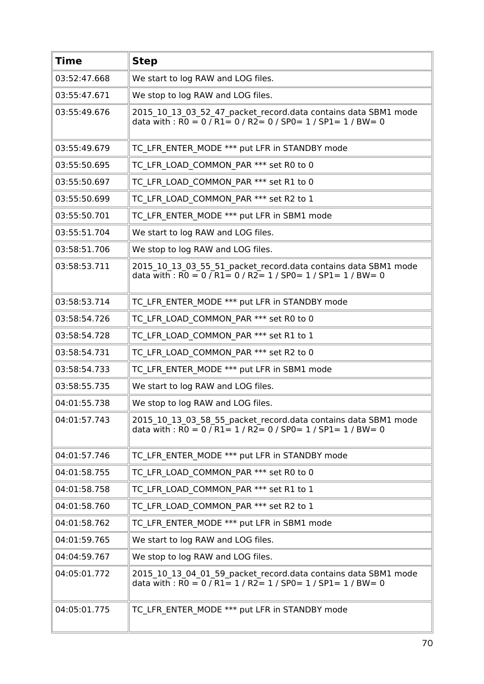| <b>Time</b>  | <b>Step</b>                                                                                                                                                                                                       |
|--------------|-------------------------------------------------------------------------------------------------------------------------------------------------------------------------------------------------------------------|
| 03:52:47.668 | We start to log RAW and LOG files.                                                                                                                                                                                |
| 03:55:47.671 | We stop to log RAW and LOG files.                                                                                                                                                                                 |
| 03:55:49.676 | 2015_10_13_03_52_47_packet_record.data contains data SBM1 mode<br>data with : $\overline{RO} = 0$ / $\overline{R1} = 0$ / $\overline{R2} = 0$ / SP0 = 1 / SP1 = 1 / BW = 0                                        |
| 03:55:49.679 | TC LFR ENTER MODE *** put LFR in STANDBY mode                                                                                                                                                                     |
| 03:55:50.695 | TC LFR LOAD COMMON PAR *** set R0 to 0                                                                                                                                                                            |
| 03:55:50.697 | TC LFR LOAD COMMON PAR *** set R1 to 0                                                                                                                                                                            |
| 03:55:50.699 | TC LFR LOAD COMMON PAR *** set R2 to 1                                                                                                                                                                            |
| 03:55:50.701 | TC LFR ENTER MODE *** put LFR in SBM1 mode                                                                                                                                                                        |
| 03:55:51.704 | We start to log RAW and LOG files.                                                                                                                                                                                |
| 03:58:51.706 | We stop to log RAW and LOG files.                                                                                                                                                                                 |
| 03:58:53.711 | 2015_10_13_03_55_51_packet_record.data contains data SBM1 mode<br>data with : $\overline{RO} = 0 / R1 = 0 / R2 = 1 / SPO = 1 / SP1 = 1 / BW = 0$                                                                  |
| 03:58:53.714 | TC LFR ENTER MODE *** put LFR in STANDBY mode                                                                                                                                                                     |
| 03:58:54.726 | TC LFR LOAD COMMON PAR *** set R0 to 0                                                                                                                                                                            |
| 03:58:54.728 | TC LFR LOAD COMMON PAR *** set R1 to 1                                                                                                                                                                            |
| 03:58:54.731 | TC LFR LOAD COMMON PAR *** set R2 to 0                                                                                                                                                                            |
| 03:58:54.733 | TC LFR ENTER MODE *** put LFR in SBM1 mode                                                                                                                                                                        |
| 03:58:55.735 | We start to log RAW and LOG files.                                                                                                                                                                                |
| 04:01:55.738 | We stop to log RAW and LOG files.                                                                                                                                                                                 |
| 04:01:57.743 | 2015_10_13_03_58_55_packet_record.data contains data SBM1 mode<br>data with : $\overline{RO} = 0$ / $\overline{R1} = 1$ / $\overline{R2} = 0$ / SP0 = 1 / SP1 = 1 / BW = 0                                        |
| 04:01:57.746 | TC LFR ENTER MODE *** put LFR in STANDBY mode                                                                                                                                                                     |
| 04:01:58.755 | TC LFR LOAD COMMON PAR *** set R0 to 0                                                                                                                                                                            |
| 04:01:58.758 | TC LFR LOAD COMMON PAR *** set R1 to 1                                                                                                                                                                            |
| 04:01:58.760 | TC LFR LOAD COMMON PAR *** set R2 to 1                                                                                                                                                                            |
| 04:01:58.762 | TC LFR ENTER MODE *** put LFR in SBM1 mode                                                                                                                                                                        |
| 04:01:59.765 | We start to log RAW and LOG files.                                                                                                                                                                                |
| 04:04:59.767 | We stop to log RAW and LOG files.                                                                                                                                                                                 |
| 04:05:01.772 | 2015_10_13_04_01_59_packet_record.data contains data SBM1 mode<br>data with : $\overline{RO} = 0$ / $\overline{R1} = 1$ / $\overline{R2} = 1$ / $\overline{SPO} = 1$ / $\overline{SP1} = 1$ / $\overline{BW} = 0$ |
| 04:05:01.775 | TC LFR ENTER MODE *** put LFR in STANDBY mode                                                                                                                                                                     |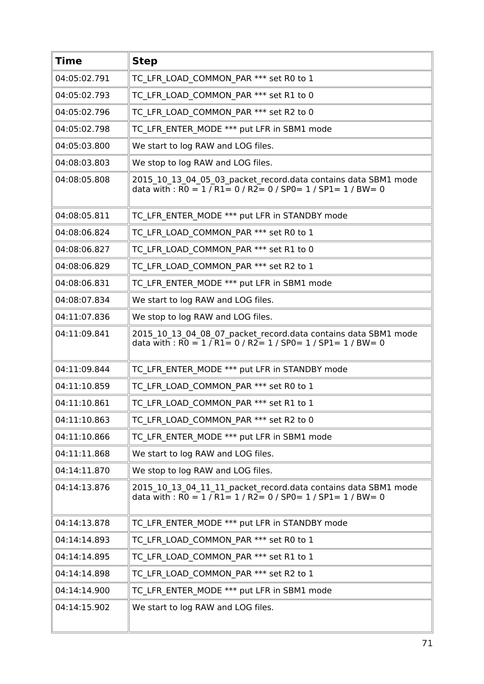| <b>Time</b>  | <b>Step</b>                                                                                                                                                                                             |
|--------------|---------------------------------------------------------------------------------------------------------------------------------------------------------------------------------------------------------|
| 04:05:02.791 | TC LFR LOAD COMMON PAR *** set R0 to 1                                                                                                                                                                  |
| 04:05:02.793 | TC LFR LOAD COMMON PAR *** set R1 to 0                                                                                                                                                                  |
| 04:05:02.796 | TC LFR LOAD COMMON PAR *** set R2 to 0                                                                                                                                                                  |
| 04:05:02.798 | TC LFR ENTER MODE *** put LFR in SBM1 mode                                                                                                                                                              |
| 04:05:03.800 | We start to log RAW and LOG files.                                                                                                                                                                      |
| 04:08:03.803 | We stop to log RAW and LOG files.                                                                                                                                                                       |
| 04:08:05.808 | 2015 10 13 04 05 03 packet record.data contains data SBM1 mode<br>data with : $\overline{RO} = 1 / \overline{R1} = 0 / \overline{R2} = 0 / \overline{SPO} = 1 / \overline{SPI} = 1 / \overline{BW} = 0$ |
| 04:08:05.811 | TC LFR ENTER MODE *** put LFR in STANDBY mode                                                                                                                                                           |
| 04:08:06.824 | TC LFR LOAD COMMON PAR *** set R0 to 1                                                                                                                                                                  |
| 04:08:06.827 | TC LFR LOAD COMMON PAR *** set R1 to 0                                                                                                                                                                  |
| 04:08:06.829 | TC LFR LOAD COMMON PAR *** set R2 to 1                                                                                                                                                                  |
| 04:08:06.831 | TC LFR ENTER MODE *** put LFR in SBM1 mode                                                                                                                                                              |
| 04:08:07.834 | We start to log RAW and LOG files.                                                                                                                                                                      |
| 04:11:07.836 | We stop to log RAW and LOG files.                                                                                                                                                                       |
| 04:11:09.841 | 2015_10_13_04_08_07_packet_record.data contains data SBM1 mode<br>data with : $R0 = 1 / R1 = 0 / R2 = 1 / SPO = 1 / SPI = 1 / BW = 0$                                                                   |
| 04:11:09.844 | TC LFR ENTER MODE *** put LFR in STANDBY mode                                                                                                                                                           |
| 04:11:10.859 | TC LFR LOAD COMMON PAR *** set R0 to 1                                                                                                                                                                  |
| 04:11:10.861 | TC LFR LOAD COMMON PAR *** set R1 to 1                                                                                                                                                                  |
| 04:11:10.863 | TC LFR LOAD COMMON PAR *** set R2 to 0                                                                                                                                                                  |
| 04:11:10.866 | TC LFR ENTER MODE *** put LFR in SBM1 mode                                                                                                                                                              |
| 04:11:11.868 | We start to log RAW and LOG files.                                                                                                                                                                      |
| 04:14:11.870 | We stop to log RAW and LOG files.                                                                                                                                                                       |
| 04:14:13.876 | 2015 10 13 04 11 11 packet record.data contains data SBM1 mode<br>data with : $\overline{RO} = 1$ $\overline{OR1} = 1$ / $\overline{R2} = 0$ / SP0 = 1 / SP1 = 1 / BW = 0                               |
| 04:14:13.878 | TC LFR ENTER MODE *** put LFR in STANDBY mode                                                                                                                                                           |
| 04:14:14.893 | TC LFR LOAD COMMON PAR *** set R0 to 1                                                                                                                                                                  |
| 04:14:14.895 | TC LFR LOAD COMMON PAR *** set R1 to 1                                                                                                                                                                  |
| 04:14:14.898 | TC LFR LOAD COMMON PAR *** set R2 to 1                                                                                                                                                                  |
| 04:14:14.900 | TC LFR ENTER MODE *** put LFR in SBM1 mode                                                                                                                                                              |
| 04:14:15.902 | We start to log RAW and LOG files.                                                                                                                                                                      |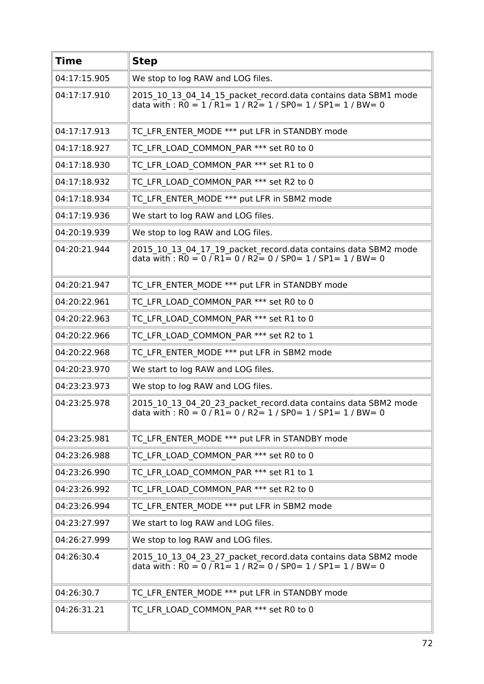| <b>Time</b>  | <b>Step</b>                                                                                                                                                                                             |
|--------------|---------------------------------------------------------------------------------------------------------------------------------------------------------------------------------------------------------|
| 04:17:15.905 | We stop to log RAW and LOG files.                                                                                                                                                                       |
| 04:17:17.910 | 2015 10 13 04 14 15 packet record.data contains data SBM1 mode<br>data with : $R0 = 1/R1 = 1/R2 = 1/SP0 = 1/SP1 = 1/BW = 0$                                                                             |
| 04:17:17.913 | TC LFR ENTER MODE *** put LFR in STANDBY mode                                                                                                                                                           |
| 04:17:18.927 | TC LFR LOAD COMMON PAR *** set R0 to 0                                                                                                                                                                  |
| 04:17:18.930 | TC LFR LOAD COMMON PAR *** set R1 to 0                                                                                                                                                                  |
| 04:17:18.932 | TC LFR LOAD COMMON PAR *** set R2 to 0                                                                                                                                                                  |
| 04:17:18.934 | TC LFR ENTER MODE *** put LFR in SBM2 mode                                                                                                                                                              |
| 04:17:19.936 | We start to log RAW and LOG files.                                                                                                                                                                      |
| 04:20:19.939 | We stop to log RAW and LOG files.                                                                                                                                                                       |
| 04:20:21.944 | 2015 10 13 04 17 19 packet record.data contains data SBM2 mode<br>data with : $\overline{RO} = 0$ / $\overline{R1} = 0$ / $\overline{R2} = 0$ / SP0 = 1 / SP1 = 1 / BW = 0                              |
| 04:20:21.947 | TC LFR ENTER MODE *** put LFR in STANDBY mode                                                                                                                                                           |
| 04:20:22.961 | TC LFR LOAD COMMON PAR *** set R0 to 0                                                                                                                                                                  |
| 04:20:22.963 | TC LFR LOAD COMMON PAR *** set R1 to 0                                                                                                                                                                  |
| 04:20:22.966 | TC LFR LOAD COMMON PAR *** set R2 to 1                                                                                                                                                                  |
| 04:20:22.968 | TC LFR ENTER MODE *** put LFR in SBM2 mode                                                                                                                                                              |
| 04:20:23.970 | We start to log RAW and LOG files.                                                                                                                                                                      |
| 04:23:23.973 | We stop to log RAW and LOG files.                                                                                                                                                                       |
| 04:23:25.978 | 2015_10_13_04_20_23_packet_record.data contains data SBM2 mode<br>data with : R0 = 0 / R1 = 0 / R2 = 1 / SP0 = 1 / SP1 = 1 / BW = 0                                                                     |
| 04:23:25.981 | TC LFR ENTER MODE *** put LFR in STANDBY mode                                                                                                                                                           |
| 04:23:26.988 | TC LFR LOAD COMMON PAR *** set R0 to 0                                                                                                                                                                  |
| 04:23:26.990 | TC LFR LOAD COMMON PAR *** set R1 to 1                                                                                                                                                                  |
| 04:23:26.992 | TC LFR LOAD COMMON PAR *** set R2 to 0                                                                                                                                                                  |
| 04:23:26.994 | TC LFR ENTER MODE *** put LFR in SBM2 mode                                                                                                                                                              |
| 04:23:27.997 | We start to log RAW and LOG files.                                                                                                                                                                      |
| 04:26:27.999 | We stop to log RAW and LOG files.                                                                                                                                                                       |
| 04:26:30.4   | 2015_10_13_04_23_27_packet_record.data contains data SBM2 mode<br>data with : $\overline{RO} = 0 / \overline{R1} = 1 / \overline{R2} = 0 / \overline{SPO} = 1 / \overline{SPI} = 1 / \overline{BW} = 0$ |
| 04:26:30.7   | TC LFR ENTER MODE *** put LFR in STANDBY mode                                                                                                                                                           |
| 04:26:31.21  | TC LFR LOAD COMMON PAR *** set R0 to 0                                                                                                                                                                  |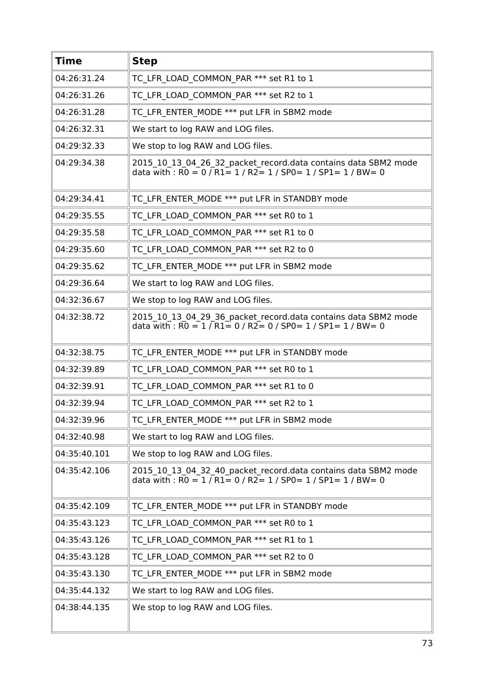| <b>Time</b>  | <b>Step</b>                                                                                                                                                                                             |
|--------------|---------------------------------------------------------------------------------------------------------------------------------------------------------------------------------------------------------|
| 04:26:31.24  | TC LFR LOAD COMMON PAR *** set R1 to 1                                                                                                                                                                  |
| 04:26:31.26  | TC LFR LOAD COMMON PAR *** set R2 to 1                                                                                                                                                                  |
| 04:26:31.28  | TC LFR ENTER MODE *** put LFR in SBM2 mode                                                                                                                                                              |
| 04:26:32.31  | We start to log RAW and LOG files.                                                                                                                                                                      |
| 04:29:32.33  | We stop to log RAW and LOG files.                                                                                                                                                                       |
| 04:29:34.38  | 2015_10_13_04_26_32_packet_record.data contains data SBM2 mode<br>data with : R0 = 0 / R1 = 1 / R2 = 1 / SP0 = 1 / SP1 = 1 / BW = 0                                                                     |
| 04:29:34.41  | TC LFR ENTER MODE *** put LFR in STANDBY mode                                                                                                                                                           |
| 04:29:35.55  | TC LFR LOAD COMMON PAR *** set R0 to 1                                                                                                                                                                  |
| 04:29:35.58  | TC LFR LOAD COMMON PAR *** set R1 to 0                                                                                                                                                                  |
| 04:29:35.60  | TC LFR LOAD COMMON PAR *** set R2 to 0                                                                                                                                                                  |
| 04:29:35.62  | TC LFR ENTER MODE *** put LFR in SBM2 mode                                                                                                                                                              |
| 04:29:36.64  | We start to log RAW and LOG files.                                                                                                                                                                      |
| 04:32:36.67  | We stop to log RAW and LOG files.                                                                                                                                                                       |
| 04:32:38.72  | 2015 10 13 04 29 36 packet record.data contains data SBM2 mode<br>data with : $\overline{RO} = 1 / \overline{R1} = 0 / \overline{R2} = 0 / \overline{SPO} = 1 / \overline{SPI} = 1 / \overline{BW} = 0$ |
| 04:32:38.75  | TC LFR ENTER MODE *** put LFR in STANDBY mode                                                                                                                                                           |
| 04:32:39.89  | TC LFR LOAD COMMON PAR *** set R0 to 1                                                                                                                                                                  |
| 04:32:39.91  | TC LFR LOAD COMMON PAR *** set R1 to 0                                                                                                                                                                  |
| 04:32:39.94  | TC LFR LOAD COMMON PAR *** set R2 to 1                                                                                                                                                                  |
| 04:32:39.96  | TC LFR ENTER MODE *** put LFR in SBM2 mode                                                                                                                                                              |
| 04:32:40.98  | We start to log RAW and LOG files.                                                                                                                                                                      |
| 04:35:40.101 | We stop to log RAW and LOG files.                                                                                                                                                                       |
| 04:35:42.106 | 2015 10 13 04 32 40 packet record.data contains data SBM2 mode<br>data with : $\overline{RO} = 1 / \overline{R1} = 0 / \overline{R2} = 1 / \overline{SPO} = 1 / \overline{SPI} = 1 / \overline{BW} = 0$ |
| 04:35:42.109 | TC LFR ENTER MODE *** put LFR in STANDBY mode                                                                                                                                                           |
| 04:35:43.123 | TC LFR LOAD COMMON PAR *** set R0 to 1                                                                                                                                                                  |
| 04:35:43.126 | TC LFR LOAD COMMON PAR *** set R1 to 1                                                                                                                                                                  |
| 04:35:43.128 | TC LFR LOAD COMMON PAR *** set R2 to 0                                                                                                                                                                  |
| 04:35:43.130 | TC LFR ENTER MODE *** put LFR in SBM2 mode                                                                                                                                                              |
| 04:35:44.132 | We start to log RAW and LOG files.                                                                                                                                                                      |
| 04:38:44.135 | We stop to log RAW and LOG files.                                                                                                                                                                       |